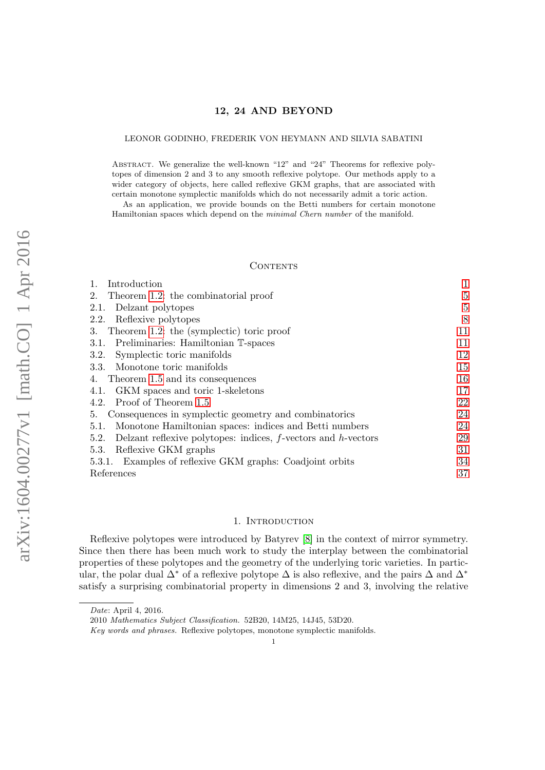### LEONOR GODINHO, FREDERIK VON HEYMANN AND SILVIA SABATINI

ABSTRACT. We generalize the well-known "12" and "24" Theorems for reflexive polytopes of dimension 2 and 3 to any smooth reflexive polytope. Our methods apply to a wider category of objects, here called reflexive GKM graphs, that are associated with certain monotone symplectic manifolds which do not necessarily admit a toric action.

As an application, we provide bounds on the Betti numbers for certain monotone Hamiltonian spaces which depend on the minimal Chern number of the manifold.

### **CONTENTS**

| Introduction                                                                |                |
|-----------------------------------------------------------------------------|----------------|
| Theorem 1.2: the combinatorial proof<br>2.                                  | $\overline{5}$ |
| Delzant polytopes<br>2.1.                                                   | 5              |
| Reflexive polytopes<br>2.2.                                                 | 8              |
| Theorem 1.2: the (symplectic) toric proof<br>3.                             | 11             |
| 3.1. Preliminaries: Hamiltonian T-spaces                                    | 11             |
| Symplectic toric manifolds<br>3.2.                                          | 12             |
| 3.3. Monotone toric manifolds                                               | 15             |
| Theorem 1.5 and its consequences<br>4.                                      | 16             |
| GKM spaces and toric 1-skeletons<br>4.1.                                    | 17             |
| Proof of Theorem 1.5<br>4.2.                                                | 22             |
| Consequences in symplectic geometry and combinatorics<br>5.                 | 24             |
| Monotone Hamiltonian spaces: indices and Betti numbers<br>5.1.              | 24             |
| Delzant reflexive polytopes: indices, $f$ -vectors and $h$ -vectors<br>5.2. | 29             |
| Reflexive GKM graphs<br>5.3.                                                | 31             |
| 5.3.1. Examples of reflexive GKM graphs: Coadjoint orbits                   | 34             |
| References                                                                  | 37             |

### 1. INTRODUCTION

<span id="page-0-0"></span>Reflexive polytopes were introduced by Batyrev [\[8\]](#page-37-0) in the context of mirror symmetry. Since then there has been much work to study the interplay between the combinatorial properties of these polytopes and the geometry of the underlying toric varieties. In particular, the polar dual  $\Delta^*$  of a reflexive polytope  $\Delta$  is also reflexive, and the pairs  $\Delta$  and  $\Delta^*$ satisfy a surprising combinatorial property in dimensions 2 and 3, involving the relative

Key words and phrases. Reflexive polytopes, monotone symplectic manifolds.

Date: April 4, 2016.

<sup>2010</sup> Mathematics Subject Classification. 52B20, 14M25, 14J45, 53D20.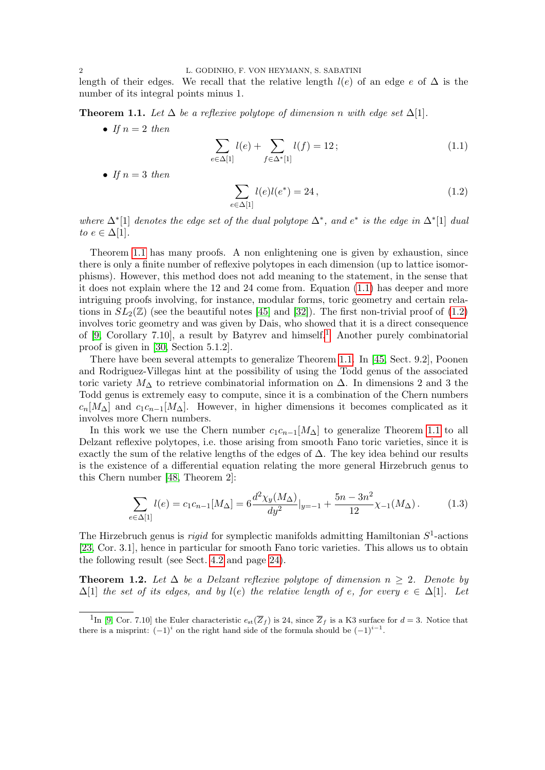length of their edges. We recall that the relative length  $l(e)$  of an edge e of  $\Delta$  is the number of its integral points minus 1.

<span id="page-1-1"></span>**Theorem 1.1.** Let  $\Delta$  be a reflexive polytope of dimension n with edge set  $\Delta[1]$ .

• If  $n=2$  then

<span id="page-1-2"></span>
$$
\sum_{e \in \Delta[1]} l(e) + \sum_{f \in \Delta^*[1]} l(f) = 12; \tag{1.1}
$$

• If  $n=3$  then

e∈∆[1]

<span id="page-1-3"></span>
$$
\sum_{e \in \Delta[1]} l(e)l(e^*) = 24, \qquad (1.2)
$$

where  $\Delta^*[1]$  denotes the edge set of the dual polytope  $\Delta^*$ , and  $e^*$  is the edge in  $\Delta^*[1]$  dual to  $e \in \Delta[1]$ .

Theorem [1.1](#page-1-1) has many proofs. A non enlightening one is given by exhaustion, since there is only a finite number of reflexive polytopes in each dimension (up to lattice isomorphisms). However, this method does not add meaning to the statement, in the sense that it does not explain where the 12 and 24 come from. Equation [\(1.1\)](#page-1-2) has deeper and more intriguing proofs involving, for instance, modular forms, toric geometry and certain relations in  $SL_2(\mathbb{Z})$  (see the beautiful notes [\[45\]](#page-38-0) and [\[32\]](#page-37-1)). The first non-trivial proof of [\(1.2\)](#page-1-3) involves toric geometry and was given by Dais, who showed that it is a direct consequence of [\[9,](#page-37-2) Corollary 7.[1](#page-1-4)0], a result by Batyrev and himself.<sup>1</sup> Another purely combinatorial proof is given in [\[30,](#page-37-3) Section 5.1.2].

There have been several attempts to generalize Theorem [1.1.](#page-1-1) In [\[45,](#page-38-0) Sect. 9.2], Poonen and Rodriguez-Villegas hint at the possibility of using the Todd genus of the associated toric variety  $M<sub>\Delta</sub>$  to retrieve combinatorial information on  $\Delta$ . In dimensions 2 and 3 the Todd genus is extremely easy to compute, since it is a combination of the Chern numbers  $c_n[M_\Delta]$  and  $c_1c_{n-1}[M_\Delta]$ . However, in higher dimensions it becomes complicated as it involves more Chern numbers.

In this work we use the Chern number  $c_1c_{n-1}[M_{\Delta}]$  to generalize Theorem [1.1](#page-1-1) to all Delzant reflexive polytopes, i.e. those arising from smooth Fano toric varieties, since it is exactly the sum of the relative lengths of the edges of  $\Delta$ . The key idea behind our results is the existence of a differential equation relating the more general Hirzebruch genus to this Chern number [\[48,](#page-38-1) Theorem 2]:

<span id="page-1-5"></span>
$$
\sum_{\substack{\in\Delta[1]}} l(e) = c_1 c_{n-1} [M_\Delta] = 6 \frac{d^2 \chi_y (M_\Delta)}{dy^2} |_{y=-1} + \frac{5n - 3n^2}{12} \chi_{-1} (M_\Delta). \tag{1.3}
$$

The Hirzebruch genus is *rigid* for symplectic manifolds admitting Hamiltonian  $S^1$ -actions [\[23,](#page-37-4) Cor. 3.1], hence in particular for smooth Fano toric varieties. This allows us to obtain the following result (see Sect. [4.2](#page-21-0) and page [24\)](#page-23-2).

<span id="page-1-0"></span>**Theorem 1.2.** Let  $\Delta$  be a Delzant reflexive polytope of dimension  $n \geq 2$ . Denote by  $\Delta[1]$  the set of its edges, and by  $l(e)$  the relative length of e, for every  $e \in \Delta[1]$ . Let

<span id="page-1-4"></span><sup>&</sup>lt;sup>1</sup>In [\[9,](#page-37-2) Cor. 7.10] the Euler characteristic  $e_{st}(\overline{Z}_f)$  is 24, since  $\overline{Z}_f$  is a K3 surface for  $d=3$ . Notice that there is a misprint:  $(-1)^i$  on the right hand side of the formula should be  $(-1)^{i-1}$ .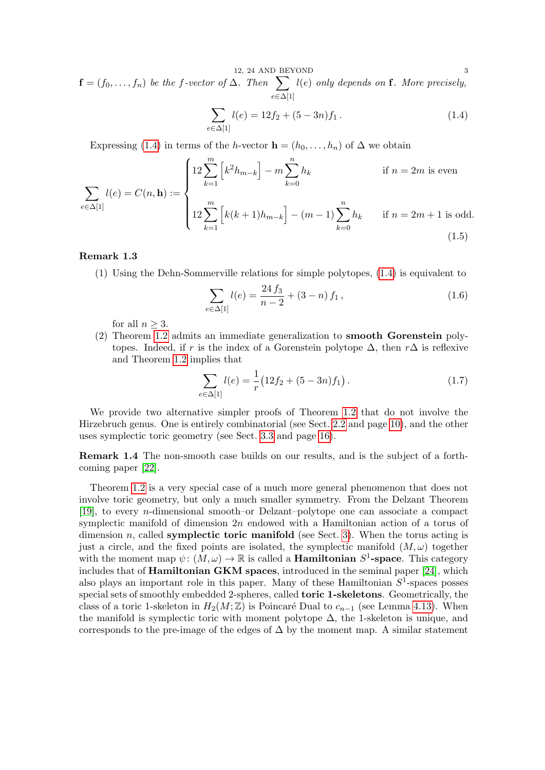12, 24 AND BEYOND 3  $\mathbf{f} = (f_0, \ldots, f_n)$  be the f-vector of  $\Delta$ . Then  $\sum$  $e \in \Delta[1]$  $l(e)$  only depends on **f**. More precisely,

<span id="page-2-0"></span>
$$
\sum_{e \in \Delta[1]} l(e) = 12f_2 + (5 - 3n)f_1.
$$
\n(1.4)

Expressing [\(1.4\)](#page-2-0) in terms of the h-vector  $\mathbf{h} = (h_0, \ldots, h_n)$  of  $\Delta$  we obtain

<span id="page-2-1"></span>
$$
\sum_{e \in \Delta[1]} l(e) = C(n, \mathbf{h}) := \begin{cases} 12 \sum_{k=1}^{m} \left[ k^2 h_{m-k} \right] - m \sum_{k=0}^{n} h_k & \text{if } n = 2m \text{ is even} \\ 12 \sum_{k=1}^{m} \left[ k(k+1) h_{m-k} \right] - (m-1) \sum_{k=0}^{n} h_k & \text{if } n = 2m+1 \text{ is odd.} \end{cases}
$$
(1.5)

## <span id="page-2-2"></span>Remark 1.3

(1) Using the Dehn-Sommerville relations for simple polytopes, [\(1.4\)](#page-2-0) is equivalent to

$$
\sum_{e \in \Delta[1]} l(e) = \frac{24 f_3}{n - 2} + (3 - n) f_1, \qquad (1.6)
$$

for all  $n \geq 3$ .

(2) Theorem [1.2](#page-1-0) admits an immediate generalization to smooth Gorenstein polytopes. Indeed, if r is the index of a Gorenstein polytope  $\Delta$ , then  $r\Delta$  is reflexive and Theorem [1.2](#page-1-0) implies that

$$
\sum_{e \in \Delta[1]} l(e) = \frac{1}{r} (12f_2 + (5 - 3n)f_1).
$$
 (1.7)

We provide two alternative simpler proofs of Theorem [1.2](#page-1-0) that do not involve the Hirzebruch genus. One is entirely combinatorial (see Sect. [2.2](#page-7-0) and page [10\)](#page-9-0), and the other uses symplectic toric geometry (see Sect. [3.3](#page-14-0) and page [16\)](#page-15-1).

Remark 1.4 The non-smooth case builds on our results, and is the subject of a forthcoming paper [\[22\]](#page-37-5).

Theorem [1.2](#page-1-0) is a very special case of a much more general phenomenon that does not involve toric geometry, but only a much smaller symmetry. From the Delzant Theorem [\[19\]](#page-37-6), to every n-dimensional smooth–or Delzant–polytope one can associate a compact symplectic manifold of dimension 2n endowed with a Hamiltonian action of a torus of dimension n, called **symplectic toric manifold** (see Sect. [3\)](#page-10-0). When the torus acting is just a circle, and the fixed points are isolated, the symplectic manifold  $(M, \omega)$  together with the moment map  $\psi: (M, \omega) \to \mathbb{R}$  is called a **Hamiltonian**  $S^1$ -space. This category includes that of Hamiltonian GKM spaces, introduced in the seminal paper [\[24\]](#page-37-7), which also plays an important role in this paper. Many of these Hamiltonian  $S^1$ -spaces posses special sets of smoothly embedded 2-spheres, called toric 1-skeletons. Geometrically, the class of a toric 1-skeleton in  $H_2(M; \mathbb{Z})$  is Poincaré Dual to  $c_{n-1}$  (see Lemma [4.13\)](#page-20-0). When the manifold is symplectic toric with moment polytope  $\Delta$ , the 1-skeleton is unique, and corresponds to the pre-image of the edges of  $\Delta$  by the moment map. A similar statement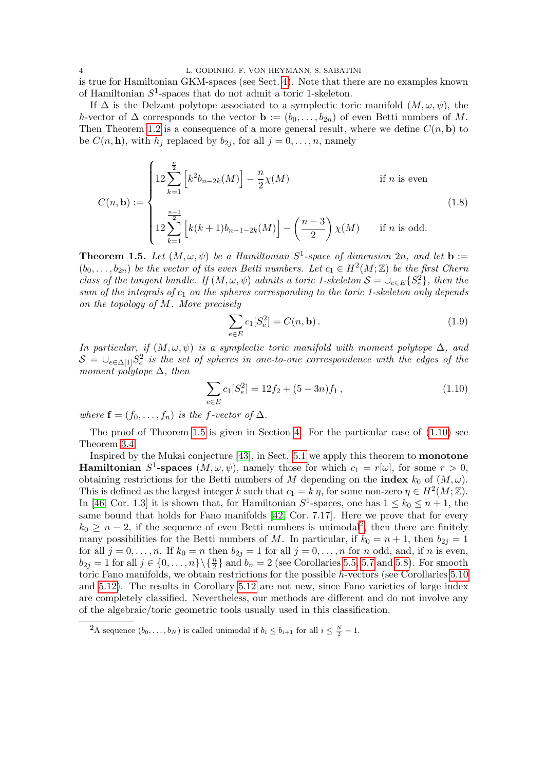is true for Hamiltonian GKM-spaces (see Sect. [4\)](#page-15-0). Note that there are no examples known of Hamiltonian  $S^1$ -spaces that do not admit a toric 1-skeleton.

If  $\Delta$  is the Delzant polytope associated to a symplectic toric manifold  $(M, \omega, \psi)$ , the h-vector of  $\Delta$  corresponds to the vector  $\mathbf{b} := (b_0, \ldots, b_{2n})$  of even Betti numbers of M. Then Theorem [1.2](#page-1-0) is a consequence of a more general result, where we define  $C(n, \mathbf{b})$  to be  $C(n, h)$ , with  $h_j$  replaced by  $b_{2i}$ , for all  $j = 0, \ldots, n$ , namely

$$
C(n, \mathbf{b}) := \begin{cases} 12 \sum_{k=1}^{\frac{n}{2}} \left[ k^2 b_{n-2k}(M) \right] - \frac{n}{2} \chi(M) & \text{if } n \text{ is even} \\ 12 \sum_{k=1}^{\frac{n-1}{2}} \left[ k(k+1)b_{n-1-2k}(M) \right] - \left( \frac{n-3}{2} \right) \chi(M) & \text{if } n \text{ is odd.} \end{cases}
$$
(1.8)

<span id="page-3-0"></span>**Theorem 1.5.** Let  $(M, \omega, \psi)$  be a Hamiltonian  $S^1$ -space of dimension  $2n$ , and let **b** :=  $(b_0, \ldots, b_{2n})$  be the vector of its even Betti numbers. Let  $c_1 \in H^2(M; \mathbb{Z})$  be the first Chern class of the tangent bundle. If  $(M, \omega, \psi)$  admits a toric 1-skeleton  $S = \cup_{e \in E} \{S_e^2\}$ , then the sum of the integrals of  $c_1$  on the spheres corresponding to the toric 1-skeleton only depends on the topology of M. More precisely

$$
\sum_{e \in E} c_1[S_e^2] = C(n, \mathbf{b}).
$$
\n(1.9)

In particular, if  $(M, \omega, \psi)$  is a symplectic toric manifold with moment polytope  $\Delta$ , and  $\mathcal{S} = \cup_{e \in \Delta[1]} S_e^2$  is the set of spheres in one-to-one correspondence with the edges of the moment polytope  $\Delta$ , then

<span id="page-3-1"></span>
$$
\sum_{e \in E} c_1 [S_e^2] = 12f_2 + (5 - 3n)f_1, \qquad (1.10)
$$

where  $\mathbf{f} = (f_0, \ldots, f_n)$  is the f-vector of  $\Delta$ .

The proof of Theorem [1.5](#page-3-0) is given in Section [4.](#page-15-0) For the particular case of  $(1.10)$  see Theorem [3.4.](#page-12-0)

Inspired by the Mukai conjecture [\[43\]](#page-38-2), in Sect. [5.1](#page-23-1) we apply this theorem to monotone **Hamiltonian**  $S^1$ -spaces  $(M, \omega, \psi)$ , namely those for which  $c_1 = r[\omega]$ , for some  $r > 0$ , obtaining restrictions for the Betti numbers of M depending on the **index**  $k_0$  of  $(M, \omega)$ . This is defined as the largest integer k such that  $c_1 = k \eta$ , for some non-zero  $\eta \in H^2(M; \mathbb{Z})$ . In [\[46,](#page-38-3) Cor. 1.3] it is shown that, for Hamiltonian  $S^1$ -spaces, one has  $1 \leq k_0 \leq n+1$ , the same bound that holds for Fano manifolds [\[42,](#page-38-4) Cor. 7.17]. Here we prove that for every  $k_0 \geq n-2$  $k_0 \geq n-2$ , if the sequence of even Betti numbers is unimodal<sup>2</sup>, then there are finitely many possibilities for the Betti numbers of M. In particular, if  $k_0 = n + 1$ , then  $b_{2j} = 1$ for all  $j = 0, \ldots, n$ . If  $k_0 = n$  then  $b_{2j} = 1$  for all  $j = 0, \ldots, n$  for n odd, and, if n is even,  $b_{2j} = 1$  for all  $j \in \{0, \ldots, n\} \setminus \{\frac{n}{2}\}\$  and  $b_n = 2$  (see Corollaries [5.5,](#page-24-0) [5.7](#page-26-0) and [5.8\)](#page-26-1). For smooth toric Fano manifolds, we obtain restrictions for the possible h-vectors (see Corollaries [5.10](#page-29-0) and [5.12\)](#page-29-1). The results in Corollary [5.12](#page-29-1) are not new, since Fano varieties of large index are completely classified. Nevertheless, our methods are different and do not involve any of the algebraic/toric geometric tools usually used in this classification.

<span id="page-3-2"></span><sup>&</sup>lt;sup>2</sup>A sequence  $(b_0, \ldots, b_N)$  is called unimodal if  $b_i \leq b_{i+1}$  for all  $i \leq \frac{N}{2} - 1$ .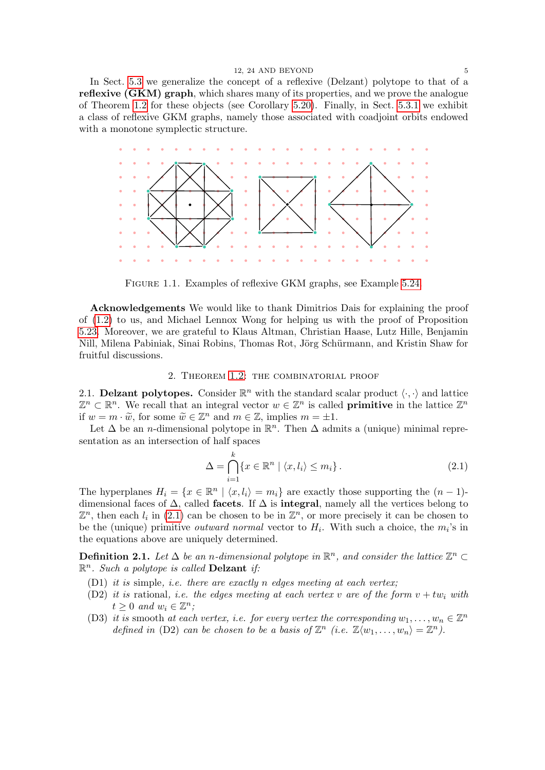In Sect. [5.3](#page-30-0) we generalize the concept of a reflexive (Delzant) polytope to that of a reflexive (GKM) graph, which shares many of its properties, and we prove the analogue of Theorem [1.2](#page-1-0) for these objects (see Corollary [5.20\)](#page-32-0). Finally, in Sect. [5.3.1](#page-33-0) we exhibit a class of reflexive GKM graphs, namely those associated with coadjoint orbits endowed with a monotone symplectic structure.



<span id="page-4-4"></span>Figure 1.1. Examples of reflexive GKM graphs, see Example [5.24.](#page-35-0)

Acknowledgements We would like to thank Dimitrios Dais for explaining the proof of [\(1.2\)](#page-1-3) to us, and Michael Lennox Wong for helping us with the proof of Proposition [5.23.](#page-35-1) Moreover, we are grateful to Klaus Altman, Christian Haase, Lutz Hille, Benjamin Nill, Milena Pabiniak, Sinai Robins, Thomas Rot, Jörg Schürmann, and Kristin Shaw for fruitful discussions.

## 2. Theorem [1.2:](#page-1-0) the combinatorial proof

<span id="page-4-1"></span><span id="page-4-0"></span>2.1. Delzant polytopes. Consider  $\mathbb{R}^n$  with the standard scalar product  $\langle \cdot, \cdot \rangle$  and lattice  $\mathbb{Z}^n \subset \mathbb{R}^n$ . We recall that an integral vector  $w \in \mathbb{Z}^n$  is called **primitive** in the lattice  $\mathbb{Z}^n$ if  $w = m \cdot \widetilde{w}$ , for some  $\widetilde{w} \in \mathbb{Z}^n$  and  $m \in \mathbb{Z}$ , implies  $m = \pm 1$ .<br>Let  $\Delta$  be an *n* dimensional polytope in  $\mathbb{P}^n$ . Then  $\Delta$  adm

Let  $\Delta$  be an *n*-dimensional polytope in  $\mathbb{R}^n$ . Then  $\Delta$  admits a (unique) minimal representation as an intersection of half spaces

<span id="page-4-2"></span>
$$
\Delta = \bigcap_{i=1}^{k} \{ x \in \mathbb{R}^n \mid \langle x, l_i \rangle \le m_i \}.
$$
\n(2.1)

The hyperplanes  $H_i = \{x \in \mathbb{R}^n \mid \langle x, l_i \rangle = m_i\}$  are exactly those supporting the  $(n-1)$ dimensional faces of  $\Delta$ , called **facets**. If  $\Delta$  is **integral**, namely all the vertices belong to  $\mathbb{Z}^n$ , then each  $l_i$  in [\(2.1\)](#page-4-2) can be chosen to be in  $\mathbb{Z}^n$ , or more precisely it can be chosen to be the (unique) primitive *outward normal* vector to  $H_i$ . With such a choice, the  $m_i$ 's in the equations above are uniquely determined.

<span id="page-4-3"></span>**Definition 2.1.** Let  $\Delta$  be an n-dimensional polytope in  $\mathbb{R}^n$ , and consider the lattice  $\mathbb{Z}^n \subset$  $\mathbb{R}^n$ . Such a polytope is called **Delzant** if:

- (D1) it is simple, i.e. there are exactly n edges meeting at each vertex;
- (D2) it is rational, i.e. the edges meeting at each vertex v are of the form  $v + tw_i$  with  $t \geq 0$  and  $w_i \in \mathbb{Z}^n$ ;
- (D3) it is smooth at each vertex, i.e. for every vertex the corresponding  $w_1, \ldots, w_n \in \mathbb{Z}^n$ defined in (D2) can be chosen to be a basis of  $\mathbb{Z}^n$  (i.e.  $\mathbb{Z}\langle w_1,\ldots,w_n\rangle=\mathbb{Z}^n$ ).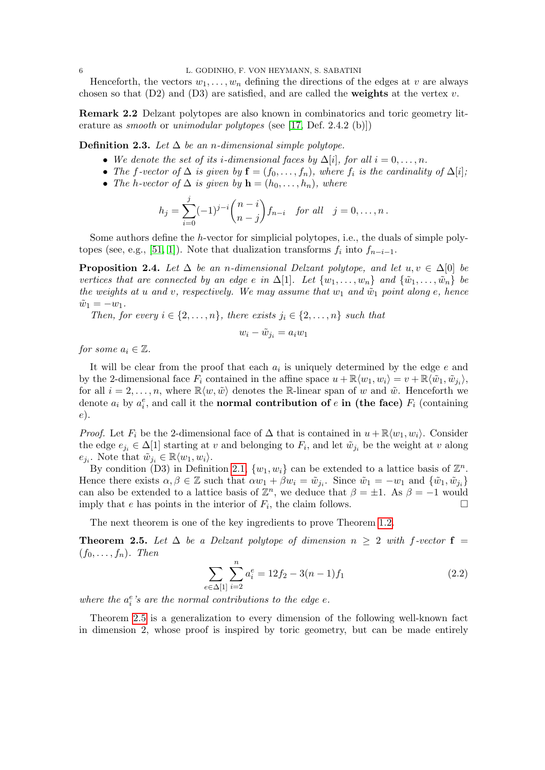Henceforth, the vectors  $w_1, \ldots, w_n$  defining the directions of the edges at v are always chosen so that  $(D2)$  and  $(D3)$  are satisfied, and are called the **weights** at the vertex v.

Remark 2.2 Delzant polytopes are also known in combinatorics and toric geometry literature as *smooth* or *unimodular polytopes* (see [\[17,](#page-37-8) Def. 2.4.2 (b)])

Definition 2.3. Let  $\Delta$  be an n-dimensional simple polytope.

- We denote the set of its i-dimensional faces by  $\Delta[i]$ , for all  $i = 0, \ldots, n$ .
- The f-vector of  $\Delta$  is given by  $\mathbf{f} = (f_0, \ldots, f_n)$ , where  $f_i$  is the cardinality of  $\Delta[i]$ ;
- The h-vector of  $\Delta$  is given by  $\mathbf{h} = (h_0, \ldots, h_n)$ , where

$$
h_j = \sum_{i=0}^j (-1)^{j-i} \binom{n-i}{n-j} f_{n-i} \text{ for all } j = 0, \dots, n.
$$

Some authors define the h-vector for simplicial polytopes, i.e., the duals of simple poly-topes (see, e.g., [\[51,](#page-38-5) [1\]](#page-36-1)). Note that dualization transforms  $f_i$  into  $f_{n-i-1}$ .

<span id="page-5-1"></span>**Proposition 2.4.** Let  $\Delta$  be an n-dimensional Delzant polytope, and let  $u, v \in \Delta[0]$  be vertices that are connected by an edge e in  $\Delta[1]$ . Let  $\{w_1, \ldots, w_n\}$  and  $\{\tilde{w}_1, \ldots, \tilde{w}_n\}$  be the weights at u and v, respectively. We may assume that  $w_1$  and  $\tilde{w}_1$  point along e, hence  $\tilde{w}_1 = -w_1.$ 

Then, for every  $i \in \{2, \ldots, n\}$ , there exists  $j_i \in \{2, \ldots, n\}$  such that

$$
w_i - \tilde{w}_{j_i} = a_i w_1
$$

for some  $a_i \in \mathbb{Z}$ .

It will be clear from the proof that each  $a_i$  is uniquely determined by the edge  $e$  and by the 2-dimensional face  $F_i$  contained in the affine space  $u + \mathbb{R}\langle w_1, w_i \rangle = v + \mathbb{R}\langle \tilde{w}_1, \tilde{w}_{j_i} \rangle$ , for all  $i = 2, \ldots, n$ , where  $\mathbb{R}\langle w, \tilde{w} \rangle$  denotes the R-linear span of w and  $\tilde{w}$ . Henceforth we denote  $a_i$  by  $a_i^e$ , and call it the **normal contribution of**  $e$  **in (the face)**  $F_i$  (containing e).

*Proof.* Let  $F_i$  be the 2-dimensional face of  $\Delta$  that is contained in  $u + \mathbb{R}\langle w_1, w_i \rangle$ . Consider the edge  $e_{j_i} \in \Delta[1]$  starting at v and belonging to  $F_i$ , and let  $\tilde{w}_{j_i}$  be the weight at v along  $e_{j_i}$ . Note that  $\tilde{w}_{j_i} \in \mathbb{R}\langle w_1, w_i \rangle$ .

By condition (D3) in Definition [2.1,](#page-4-3)  $\{w_1, w_i\}$  can be extended to a lattice basis of  $\mathbb{Z}^n$ . Hence there exists  $\alpha, \beta \in \mathbb{Z}$  such that  $\alpha w_1 + \beta w_i = \tilde{w}_{j_i}$ . Since  $\tilde{w}_1 = -w_1$  and  $\{\tilde{w}_1, \tilde{w}_{j_i}\}$ can also be extended to a lattice basis of  $\mathbb{Z}^n$ , we deduce that  $\beta = \pm 1$ . As  $\beta = -1$  would imply that e has points in the interior of  $F_i$ , the claim follows.

The next theorem is one of the key ingredients to prove Theorem [1.2.](#page-1-0)

<span id="page-5-0"></span>**Theorem 2.5.** Let  $\Delta$  be a Delzant polytope of dimension  $n \geq 2$  with f-vector  $f =$  $(f_0, \ldots, f_n)$ . Then

$$
\sum_{e \in \Delta[1]} \sum_{i=2}^{n} a_i^e = 12f_2 - 3(n-1)f_1 \tag{2.2}
$$

where the  $a_i^e$ 's are the normal contributions to the edge  $e$ .

Theorem [2.5](#page-5-0) is a generalization to every dimension of the following well-known fact in dimension 2, whose proof is inspired by toric geometry, but can be made entirely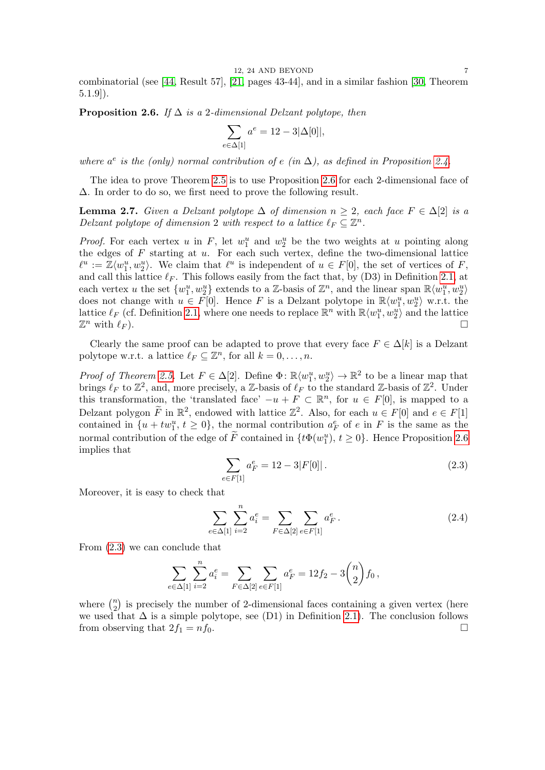combinatorial (see [\[44,](#page-38-6) Result 57], [\[21,](#page-37-9) pages 43-44], and in a similar fashion [\[30,](#page-37-3) Theorem 5.1.9]).

<span id="page-6-0"></span>**Proposition 2.6.** If  $\Delta$  is a 2-dimensional Delzant polytope, then

$$
\sum_{e \in \Delta[1]} a^e = 12 - 3|\Delta[0]|,
$$

where  $a^e$  is the (only) normal contribution of e (in  $\Delta$ ), as defined in Proposition [2.4.](#page-5-1)

The idea to prove Theorem [2.5](#page-5-0) is to use Proposition [2.6](#page-6-0) for each 2-dimensional face of ∆. In order to do so, we first need to prove the following result.

<span id="page-6-2"></span>**Lemma 2.7.** Given a Delzant polytope  $\Delta$  of dimension  $n \geq 2$ , each face  $F \in \Delta[2]$  is a Delzant polytope of dimension 2 with respect to a lattice  $\ell_F \subseteq \mathbb{Z}^n$ .

*Proof.* For each vertex u in F, let  $w_1^u$  and  $w_2^u$  be the two weights at u pointing along the edges of  $F$  starting at  $u$ . For each such vertex, define the two-dimensional lattice  $\ell^u := \mathbb{Z}\langle w_1^u, w_2^u \rangle$ . We claim that  $\ell^u$  is independent of  $u \in F[0]$ , the set of vertices of F, and call this lattice  $\ell_F$ . This follows easily from the fact that, by (D3) in Definition [2.1,](#page-4-3) at each vertex u the set  $\{w_1^u, w_2^u\}$  extends to a Z-basis of  $\mathbb{Z}^n$ , and the linear span  $\mathbb{R}\langle w_1^u, w_2^u \rangle$ does not change with  $u \in F[0]$ . Hence F is a Delzant polytope in  $\mathbb{R}\langle w_1^u, w_2^u \rangle$  w.r.t. the lattice  $\ell_F$  (cf. Definition [2.1,](#page-4-3) where one needs to replace  $\mathbb{R}^n$  with  $\mathbb{R}\langle w_1^u, w_2^u \rangle$  and the lattice  $\mathbb{Z}^n$  with  $\ell_F$ ). n with  $\ell_F$ ).

Clearly the same proof can be adapted to prove that every face  $F \in \Delta[k]$  is a Delzant polytope w.r.t. a lattice  $\ell_F \subseteq \mathbb{Z}^n$ , for all  $k = 0, \ldots, n$ .

*Proof of Theorem [2.5.](#page-5-0)* Let  $F \in \Delta[2]$ . Define  $\Phi \colon \mathbb{R}\langle w_1^u, w_2^u \rangle \to \mathbb{R}^2$  to be a linear map that brings  $\ell_F$  to  $\mathbb{Z}^2$ , and, more precisely, a Z-basis of  $\ell_F$  to the standard Z-basis of  $\mathbb{Z}^2$ . Under this transformation, the 'translated face'  $-u + F \subset \mathbb{R}^n$ , for  $u \in F[0]$ , is mapped to a Delzant polygon  $\widetilde{F}$  in  $\mathbb{R}^2$ , endowed with lattice  $\mathbb{Z}^2$ . Also, for each  $u \in F[0]$  and  $e \in F[1]$ contained in  $\{u + tw_1^u, t \geq 0\}$ , the normal contribution  $a_F^e$  of e in F is the same as the normal contribution of the edge of  $\tilde{F}$  contained in  $\{t\Phi(w_1^u), t \geq 0\}$ . Hence Proposition [2.6](#page-6-0) implies that

<span id="page-6-1"></span>
$$
\sum_{e \in F[1]} a_F^e = 12 - 3|F[0]|.
$$
\n(2.3)

Moreover, it is easy to check that

$$
\sum_{e \in \Delta[1]} \sum_{i=2}^{n} a_i^e = \sum_{F \in \Delta[2]} \sum_{e \in F[1]} a_F^e.
$$
 (2.4)

From [\(2.3\)](#page-6-1) we can conclude that

$$
\sum_{e \in \Delta[1]} \sum_{i=2}^n a_i^e = \sum_{F \in \Delta[2]} \sum_{e \in F[1]} a_F^e = 12f_2 - 3\binom{n}{2}f_0,
$$

where  $\binom{n}{2}$  $n_2$ ) is precisely the number of 2-dimensional faces containing a given vertex (here we used that  $\Delta$  is a simple polytope, see (D1) in Definition [2.1\)](#page-4-3). The conclusion follows from observing that  $2f_1 = nf_0$ .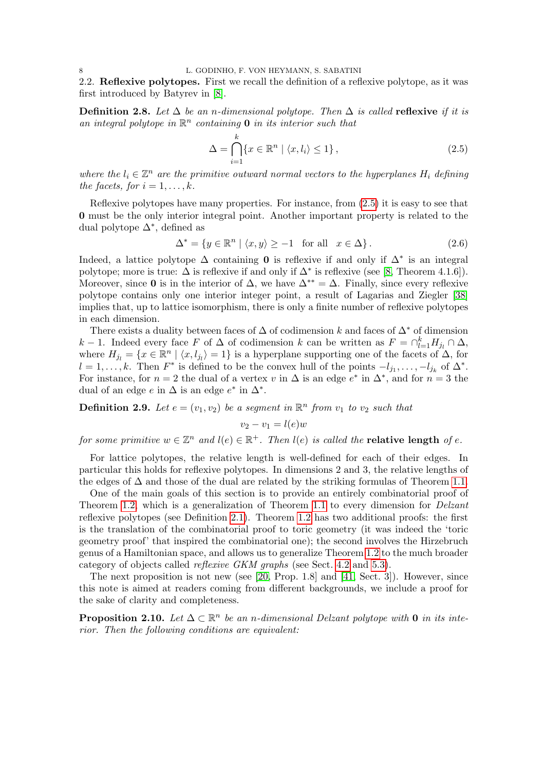<span id="page-7-0"></span>2.2. Reflexive polytopes. First we recall the definition of a reflexive polytope, as it was first introduced by Batyrev in [\[8\]](#page-37-0).

**Definition 2.8.** Let  $\Delta$  be an n-dimensional polytope. Then  $\Delta$  is called **reflexive** if it is an integral polytope in  $\mathbb{R}^n$  containing **0** in its interior such that

<span id="page-7-1"></span>
$$
\Delta = \bigcap_{i=1}^{k} \{ x \in \mathbb{R}^n \mid \langle x, l_i \rangle \le 1 \},\tag{2.5}
$$

where the  $l_i \in \mathbb{Z}^n$  are the primitive outward normal vectors to the hyperplanes  $H_i$  defining the facets, for  $i = 1, \ldots, k$ .

Reflexive polytopes have many properties. For instance, from [\(2.5\)](#page-7-1) it is easy to see that 0 must be the only interior integral point. Another important property is related to the dual polytope ∆<sup>∗</sup> , defined as

$$
\Delta^* = \{ y \in \mathbb{R}^n \mid \langle x, y \rangle \ge -1 \quad \text{for all} \quad x \in \Delta \}. \tag{2.6}
$$

Indeed, a lattice polytope  $\Delta$  containing 0 is reflexive if and only if  $\Delta^*$  is an integral polytope; more is true:  $\Delta$  is reflexive if and only if  $\Delta^*$  is reflexive (see [\[8,](#page-37-0) Theorem 4.1.6]). Moreover, since 0 is in the interior of  $\Delta$ , we have  $\Delta^{**} = \Delta$ . Finally, since every reflexive polytope contains only one interior integer point, a result of Lagarias and Ziegler [\[38\]](#page-38-7) implies that, up to lattice isomorphism, there is only a finite number of reflexive polytopes in each dimension.

There exists a duality between faces of  $\Delta$  of codimension k and faces of  $\Delta^*$  of dimension k − 1. Indeed every face F of  $\Delta$  of codimension k can be written as  $F = \bigcap_{l=1}^{k} H_{j_l} \cap \Delta$ , where  $H_{j_l} = \{x \in \mathbb{R}^n \mid \langle x, l_{j_l} \rangle = 1\}$  is a hyperplane supporting one of the facets of  $\Delta$ , for  $l = 1, \ldots, k$ . Then  $F^*$  is defined to be the convex hull of the points  $-l_{j_1}, \ldots, -l_{j_k}$  of  $\Delta^*$ . For instance, for  $n = 2$  the dual of a vertex v in  $\Delta$  is an edge  $e^*$  in  $\Delta^*$ , and for  $n = 3$  the dual of an edge  $e$  in  $\Delta$  is an edge  $e^*$  in  $\Delta^*$ .

<span id="page-7-3"></span>**Definition 2.9.** Let  $e = (v_1, v_2)$  be a segment in  $\mathbb{R}^n$  from  $v_1$  to  $v_2$  such that

$$
v_2 - v_1 = l(e)w
$$

for some primitive  $w \in \mathbb{Z}^n$  and  $l(e) \in \mathbb{R}^+$ . Then  $l(e)$  is called the **relative length** of e.

For lattice polytopes, the relative length is well-defined for each of their edges. In particular this holds for reflexive polytopes. In dimensions 2 and 3, the relative lengths of the edges of  $\Delta$  and those of the dual are related by the striking formulas of Theorem [1.1.](#page-1-1)

One of the main goals of this section is to provide an entirely combinatorial proof of Theorem [1.2,](#page-1-0) which is a generalization of Theorem [1.1](#page-1-1) to every dimension for *Delzant* reflexive polytopes (see Definition [2.1\)](#page-4-3). Theorem [1.2](#page-1-0) has two additional proofs: the first is the translation of the combinatorial proof to toric geometry (it was indeed the 'toric geometry proof' that inspired the combinatorial one); the second involves the Hirzebruch genus of a Hamiltonian space, and allows us to generalize Theorem [1.2](#page-1-0) to the much broader category of objects called reflexive GKM graphs (see Sect. [4.2](#page-21-0) and [5.3\)](#page-30-0).

The next proposition is not new (see [\[20,](#page-37-10) Prop. 1.8] and [\[41,](#page-38-8) Sect. 3]). However, since this note is aimed at readers coming from different backgrounds, we include a proof for the sake of clarity and completeness.

<span id="page-7-2"></span>**Proposition 2.10.** Let  $\Delta \subset \mathbb{R}^n$  be an n-dimensional Delzant polytope with 0 in its interior. Then the following conditions are equivalent: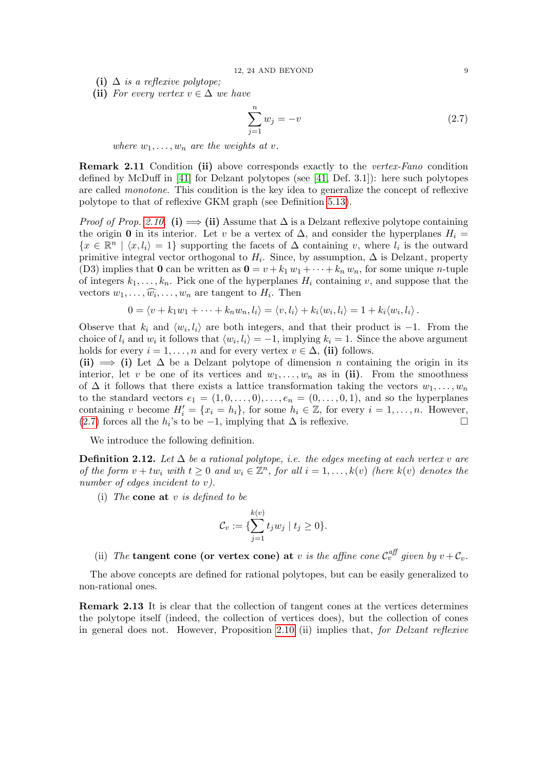(i)  $\Delta$  is a reflexive polytope;

(ii) For every vertex  $v \in \Delta$  we have

<span id="page-8-0"></span>
$$
\sum_{j=1}^{n} w_j = -v \tag{2.7}
$$

where  $w_1, \ldots, w_n$  are the weights at v.

Remark 2.11 Condition (ii) above corresponds exactly to the vertex-Fano condition defined by McDuff in [\[41\]](#page-38-8) for Delzant polytopes (see [\[41,](#page-38-8) Def. 3.1]): here such polytopes are called monotone. This condition is the key idea to generalize the concept of reflexive polytope to that of reflexive GKM graph (see Definition [5.13\)](#page-31-0).

*Proof of Prop. [2.10.](#page-7-2)* (i)  $\implies$  (ii) Assume that  $\Delta$  is a Delzant reflexive polytope containing the origin 0 in its interior. Let v be a vertex of  $\Delta$ , and consider the hyperplanes  $H_i =$  $\{x \in \mathbb{R}^n \mid \langle x, l_i \rangle = 1\}$  supporting the facets of  $\Delta$  containing v, where  $l_i$  is the outward primitive integral vector orthogonal to  $H_i$ . Since, by assumption,  $\Delta$  is Delzant, property (D3) implies that **0** can be written as  $\mathbf{0} = v + k_1 w_1 + \cdots + k_n w_n$ , for some unique *n*-tuple of integers  $k_1, \ldots, k_n$ . Pick one of the hyperplanes  $H_i$  containing v, and suppose that the vectors  $w_1, \ldots, \widehat{w_i}, \ldots, w_n$  are tangent to  $H_i$ . Then

$$
0 = \langle v + k_1 w_1 + \dots + k_n w_n, l_i \rangle = \langle v, l_i \rangle + k_i \langle w_i, l_i \rangle = 1 + k_i \langle w_i, l_i \rangle.
$$

Observe that  $k_i$  and  $\langle w_i, l_i \rangle$  are both integers, and that their product is  $-1$ . From the choice of  $l_i$  and  $w_i$  it follows that  $\langle w_i, l_i \rangle = -1$ , implying  $k_i = 1$ . Since the above argument holds for every  $i = 1, ..., n$  and for every vertex  $v \in \Delta$ , (ii) follows.

(ii)  $\implies$  (i) Let  $\Delta$  be a Delzant polytope of dimension n containing the origin in its interior, let v be one of its vertices and  $w_1, \ldots, w_n$  as in (ii). From the smoothness of  $\Delta$  it follows that there exists a lattice transformation taking the vectors  $w_1, \ldots, w_n$ to the standard vectors  $e_1 = (1, 0, \ldots, 0), \ldots, e_n = (0, \ldots, 0, 1)$ , and so the hyperplanes containing v become  $H'_i = \{x_i = h_i\}$ , for some  $h_i \in \mathbb{Z}$ , for every  $i = 1, ..., n$ . However, [\(2.7\)](#page-8-0) forces all the  $h_i$ 's to be −1, implying that  $\Delta$  is reflexive.  $\Box$ 

We introduce the following definition.

**Definition 2.12.** Let  $\Delta$  be a rational polytope, i.e. the edges meeting at each vertex v are of the form  $v + tw_i$  with  $t \geq 0$  and  $w_i \in \mathbb{Z}^n$ , for all  $i = 1, ..., k(v)$  (here  $k(v)$  denotes the number of edges incident to v).

(i) The **cone at** v is defined to be

$$
\mathcal{C}_v:=\{\sum_{j=1}^{k(v)}t_jw_j\mid t_j\geq 0\}.
$$

(ii) The tangent cone (or vertex cone) at v is the affine cone  $\mathcal{C}_v^{\text{aff}}$  given by  $v + \mathcal{C}_v$ .

The above concepts are defined for rational polytopes, but can be easily generalized to non-rational ones.

Remark 2.13 It is clear that the collection of tangent cones at the vertices determines the polytope itself (indeed, the collection of vertices does), but the collection of cones in general does not. However, Proposition [2.10](#page-7-2) (ii) implies that, for Delzant reflexive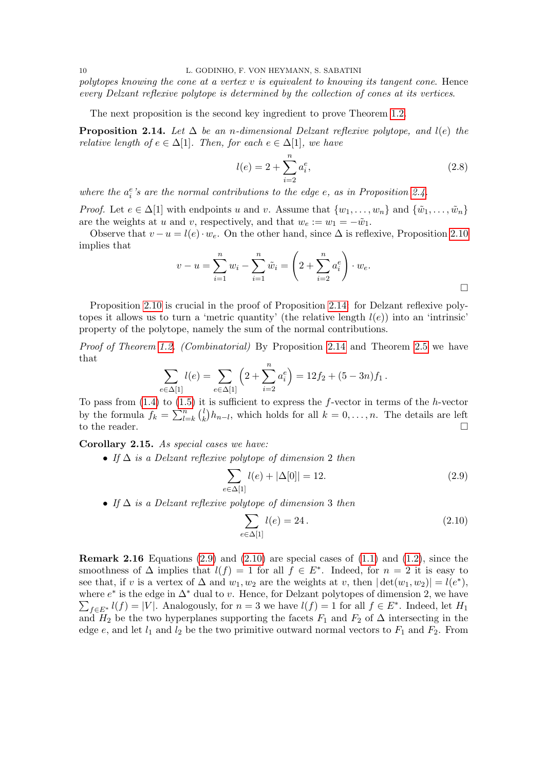polytopes knowing the cone at a vertex  $v$  is equivalent to knowing its tangent cone. Hence every Delzant reflexive polytope is determined by the collection of cones at its vertices.

The next proposition is the second key ingredient to prove Theorem [1.2.](#page-1-0)

<span id="page-9-1"></span>**Proposition 2.14.** Let  $\Delta$  be an n-dimensional Delzant reflexive polytope, and  $l(e)$  the relative length of  $e \in \Delta[1]$ . Then, for each  $e \in \Delta[1]$ , we have

<span id="page-9-0"></span>
$$
l(e) = 2 + \sum_{i=2}^{n} a_i^e,
$$
\n(2.8)

where the  $a_i^e$ 's are the normal contributions to the edge e, as in Proposition [2.4.](#page-5-1)

*Proof.* Let  $e \in \Delta[1]$  with endpoints u and v. Assume that  $\{w_1, \ldots, w_n\}$  and  $\{\tilde{w}_1, \ldots, \tilde{w}_n\}$ are the weights at u and v, respectively, and that  $w_e := w_1 = -\tilde{w}_1$ .

Observe that  $v - u = l(e) \cdot w_e$ . On the other hand, since  $\Delta$  is reflexive, Proposition [2.10](#page-7-2) implies that

$$
v - u = \sum_{i=1}^{n} w_i - \sum_{i=1}^{n} \tilde{w}_i = \left(2 + \sum_{i=2}^{n} a_i^e\right) \cdot w_e.
$$

Proposition [2.10](#page-7-2) is crucial in the proof of Proposition [2.14:](#page-9-1) for Delzant reflexive polytopes it allows us to turn a 'metric quantity' (the relative length  $l(e)$ ) into an 'intrinsic' property of the polytope, namely the sum of the normal contributions.

Proof of Theorem [1.2.](#page-1-0) (Combinatorial) By Proposition [2.14](#page-9-1) and Theorem [2.5](#page-5-0) we have that

$$
\sum_{e \in \Delta[1]} l(e) = \sum_{e \in \Delta[1]} \left(2 + \sum_{i=2}^n a_i^e\right) = 12f_2 + (5 - 3n)f_1.
$$

To pass from  $(1.4)$  to  $(1.5)$  it is sufficient to express the f-vector in terms of the h-vector by the formula  $f_k = \sum_{l=k}^n {l \choose k}$  $\binom{l}{k}h_{n-l}$ , which holds for all  $k = 0, \ldots, n$ . The details are left to the reader.  $\Box$ 

<span id="page-9-4"></span>Corollary 2.15. As special cases we have:

• If  $\Delta$  is a Delzant reflexive polytope of dimension 2 then

<span id="page-9-2"></span>
$$
\sum_{e \in \Delta[1]} l(e) + |\Delta[0]| = 12. \tag{2.9}
$$

• If  $\Delta$  is a Delzant reflexive polytope of dimension 3 then

<span id="page-9-3"></span>
$$
\sum_{e \in \Delta[1]} l(e) = 24. \tag{2.10}
$$

**Remark 2.16** Equations  $(2.9)$  and  $(2.10)$  are special cases of  $(1.1)$  and  $(1.2)$ , since the smoothness of  $\Delta$  implies that  $l(f) = 1$  for all  $f \in E^*$ . Indeed, for  $n = 2$  it is easy to see that, if v is a vertex of  $\Delta$  and  $w_1, w_2$  are the weights at v, then  $|\det(w_1, w_2)| = l(e^*),$ where  $e^*$  is the edge in  $\Delta^*$  dual to v. Hence, for Delzant polytopes of dimension 2, we have  $\sum_{f\in E^*} l(f) = |V|$ . Analogously, for  $n=3$  we have  $l(f) = 1$  for all  $f \in E^*$ . Indeed, let  $H_1$ and  $H_2$  be the two hyperplanes supporting the facets  $F_1$  and  $F_2$  of  $\Delta$  intersecting in the edge  $e$ , and let  $l_1$  and  $l_2$  be the two primitive outward normal vectors to  $F_1$  and  $F_2$ . From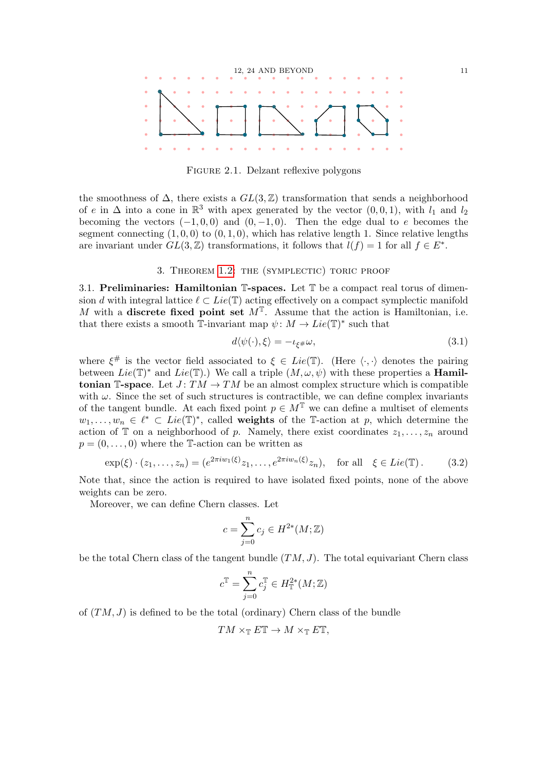

<span id="page-10-4"></span>FIGURE 2.1. Delzant reflexive polygons

the smoothness of  $\Delta$ , there exists a  $GL(3,\mathbb{Z})$  transformation that sends a neighborhood of e in  $\Delta$  into a cone in  $\mathbb{R}^3$  with apex generated by the vector  $(0,0,1)$ , with  $l_1$  and  $l_2$ becoming the vectors  $(-1, 0, 0)$  and  $(0, -1, 0)$ . Then the edge dual to e becomes the segment connecting  $(1, 0, 0)$  to  $(0, 1, 0)$ , which has relative length 1. Since relative lengths are invariant under  $GL(3, \mathbb{Z})$  transformations, it follows that  $\tilde{l}(f) = 1$  for all  $f \in E^*$ .

### 3. THEOREM [1.2:](#page-1-0) THE (SYMPLECTIC) TORIC PROOF

<span id="page-10-1"></span><span id="page-10-0"></span>3.1. Preliminaries: Hamiltonian  $\mathbb{T}$ -spaces. Let  $\mathbb{T}$  be a compact real torus of dimension d with integral lattice  $\ell \subset Lie(\mathbb{T})$  acting effectively on a compact symplectic manifold M with a discrete fixed point set  $M<sup>T</sup>$ . Assume that the action is Hamiltonian, i.e. that there exists a smooth  $\overline{\mathbb{I}}$ -invariant map  $\psi \colon M \to Lie(\mathbb{T})^*$  such that

<span id="page-10-3"></span>
$$
d\langle \psi(\cdot), \xi \rangle = -\iota_{\xi} \mu \omega, \tag{3.1}
$$

where  $\xi^{\#}$  is the vector field associated to  $\xi \in Lie(\mathbb{T})$ . (Here  $\langle \cdot, \cdot \rangle$  denotes the pairing between  $Lie(\mathbb{T})^*$  and  $Lie(\mathbb{T})$ .) We call a triple  $(M, \omega, \psi)$  with these properties a **Hamil**tonian T-space. Let  $J: TM \to TM$  be an almost complex structure which is compatible with  $\omega$ . Since the set of such structures is contractible, we can define complex invariants of the tangent bundle. At each fixed point  $p \in M^{\mathbb{T}}$  we can define a multiset of elements  $w_1, \ldots, w_n \in \ell^* \subset Lie(\mathbb{T})^*$ , called weights of the T-action at p, which determine the action of  $\mathbb T$  on a neighborhood of p. Namely, there exist coordinates  $z_1, \ldots, z_n$  around  $p = (0, \ldots, 0)$  where the T-action can be written as

<span id="page-10-2"></span>
$$
\exp(\xi) \cdot (z_1, \dots, z_n) = (e^{2\pi i w_1(\xi)} z_1, \dots, e^{2\pi i w_n(\xi)} z_n), \quad \text{for all} \quad \xi \in Lie(\mathbb{T}). \tag{3.2}
$$

Note that, since the action is required to have isolated fixed points, none of the above weights can be zero.

Moreover, we can define Chern classes. Let

$$
c = \sum_{j=0}^{n} c_j \in H^{2*}(M; \mathbb{Z})
$$

be the total Chern class of the tangent bundle  $(TM, J)$ . The total equivariant Chern class

$$
c^{\mathbb{T}} = \sum_{j=0}^{n} c_j^{\mathbb{T}} \in H_{\mathbb{T}}^{2*}(M; \mathbb{Z})
$$

of  $(TM, J)$  is defined to be the total (ordinary) Chern class of the bundle

$$
TM \times_{\mathbb{T}} E \mathbb{T} \to M \times_{\mathbb{T}} E \mathbb{T},
$$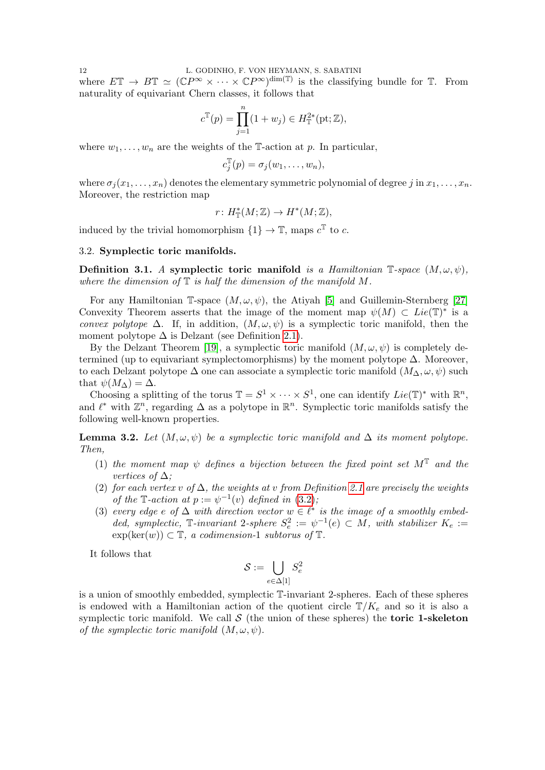where  $E\mathbb{T} \to B\mathbb{T} \simeq (\mathbb{C}P^{\infty} \times \cdots \times \mathbb{C}P^{\infty})^{\dim(\mathbb{T})}$  is the classifying bundle for  $\mathbb{T}$ . From naturality of equivariant Chern classes, it follows that

$$
c^{\mathbb{T}}(p) = \prod_{j=1}^{n} (1 + w_j) \in H_{\mathbb{T}}^{2*}(\text{pt}; \mathbb{Z}),
$$

where  $w_1, \ldots, w_n$  are the weights of the T-action at p. In particular,

$$
c_j^{\mathbb{T}}(p) = \sigma_j(w_1, \ldots, w_n),
$$

where  $\sigma_i(x_1,\ldots,x_n)$  denotes the elementary symmetric polynomial of degree j in  $x_1,\ldots,x_n$ . Moreover, the restriction map

$$
r\colon H^*_\mathbb{T}(M;\mathbb{Z})\to H^*(M;\mathbb{Z}),
$$

induced by the trivial homomorphism  $\{1\} \to \mathbb{T}$ , maps  $c^{\mathbb{T}}$  to c.

### <span id="page-11-0"></span>3.2. Symplectic toric manifolds.

Definition 3.1. A symplectic toric manifold is a Hamiltonian  $\mathbb{T}\text{-}space$   $(M, \omega, \psi)$ , where the dimension of  $\mathbb T$  is half the dimension of the manifold M.

For any Hamiltonian T-space  $(M, \omega, \psi)$ , the Atiyah [\[5\]](#page-37-11) and Guillemin-Sternberg [\[27\]](#page-37-12) Convexity Theorem asserts that the image of the moment map  $\psi(M) \subset Lie(\mathbb{T})^*$  is a convex polytope  $\Delta$ . If, in addition,  $(M, \omega, \psi)$  is a symplectic toric manifold, then the moment polytope  $\Delta$  is Delzant (see Definition [2.1\)](#page-4-3).

By the Delzant Theorem [\[19\]](#page-37-6), a symplectic toric manifold  $(M, \omega, \psi)$  is completely determined (up to equivariant symplectomorphisms) by the moment polytope  $\Delta$ . Moreover, to each Delzant polytope  $\Delta$  one can associate a symplectic toric manifold  $(M_\Delta, \omega, \psi)$  such that  $\psi(M_{\Delta}) = \Delta$ .

Choosing a splitting of the torus  $\mathbb{T} = S^1 \times \cdots \times S^1$ , one can identify  $Lie(\mathbb{T})^*$  with  $\mathbb{R}^n$ , and  $\ell^*$  with  $\mathbb{Z}^n$ , regarding  $\Delta$  as a polytope in  $\mathbb{R}^n$ . Symplectic toric manifolds satisfy the following well-known properties.

<span id="page-11-1"></span>**Lemma 3.2.** Let  $(M, \omega, \psi)$  be a symplectic toric manifold and  $\Delta$  its moment polytope. Then,

- (1) the moment map  $\psi$  defines a bijection between the fixed point set  $M^{\mathbb{T}}$  and the vertices of  $\Delta$ :
- (2) for each vertex v of  $\Delta$ , the weights at v from Definition [2.1](#page-4-3) are precisely the weights of the T-action at  $p := \psi^{-1}(v)$  defined in  $(3.2)$ ;
- (3) every edge e of  $\Delta$  with direction vector  $w \in \ell^*$  is the image of a smoothly embedded, symplectic, T-invariant 2-sphere  $S_e^2 := \psi^{-1}(e) \subset M$ , with stabilizer  $K_e :=$  $\exp(\ker(w)) \subset \mathbb{T}$ , a codimension-1 subtorus of  $\mathbb{T}$ .

It follows that

$$
\mathcal{S}:=\bigcup_{e\in\Delta[1]}S_e^2
$$

is a union of smoothly embedded, symplectic T-invariant 2-spheres. Each of these spheres is endowed with a Hamiltonian action of the quotient circle  $T/K_e$  and so it is also a symplectic toric manifold. We call  $S$  (the union of these spheres) the **toric 1-skeleton** of the symplectic toric manifold  $(M, \omega, \psi)$ .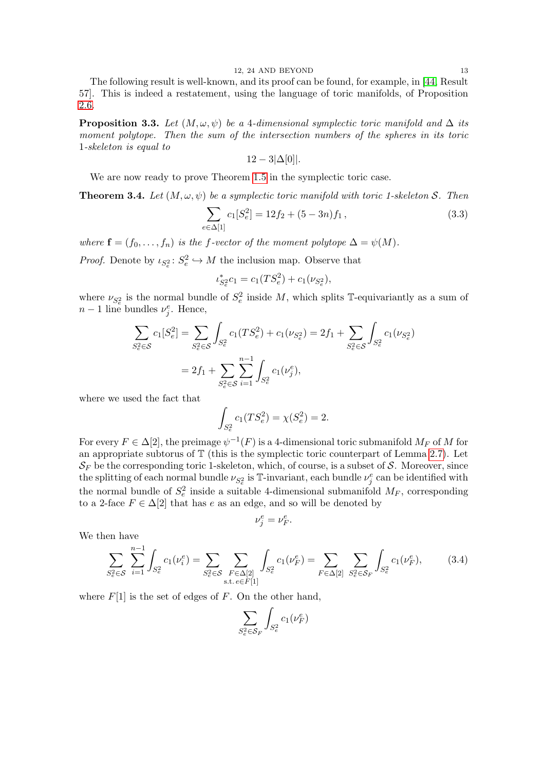The following result is well-known, and its proof can be found, for example, in [\[44,](#page-38-6) Result 57]. This is indeed a restatement, using the language of toric manifolds, of Proposition [2.6.](#page-6-0)

<span id="page-12-1"></span>**Proposition 3.3.** Let  $(M, \omega, \psi)$  be a 4-dimensional symplectic toric manifold and  $\Delta$  its moment polytope. Then the sum of the intersection numbers of the spheres in its toric 1-skeleton is equal to

$$
12-3|\Delta[0]|.
$$

We are now ready to prove Theorem [1.5](#page-3-0) in the symplectic toric case.

<span id="page-12-0"></span>**Theorem 3.4.** Let  $(M, \omega, \psi)$  be a symplectic toric manifold with toric 1-skeleton S. Then

<span id="page-12-3"></span>
$$
\sum_{e \in \Delta[1]} c_1[S_e^2] = 12f_2 + (5 - 3n)f_1,
$$
\n(3.3)

where  $\mathbf{f} = (f_0, \ldots, f_n)$  is the f-vector of the moment polytope  $\Delta = \psi(M)$ .

*Proof.* Denote by  $\iota_{S_e^2}: S_e^2 \hookrightarrow M$  the inclusion map. Observe that

$$
\iota_{S_e^2}^* c_1 = c_1(TS_e^2) + c_1(\nu_{S_e^2}),
$$

where  $\nu_{S_e^2}$  is the normal bundle of  $S_e^2$  inside M, which splits T-equivariantly as a sum of  $n-1$  line bundles  $\nu_j^e$ . Hence,

$$
\sum_{S_e^2 \in S} c_1[S_e^2] = \sum_{S_e^2 \in S} \int_{S_e^2} c_1(TS_e^2) + c_1(\nu_{S_e^2}) = 2f_1 + \sum_{S_e^2 \in S} \int_{S_e^2} c_1(\nu_{S_e^2})
$$
  
=  $2f_1 + \sum_{S_e^2 \in S} \sum_{i=1}^{n-1} \int_{S_e^2} c_1(\nu_j^e),$ 

where we used the fact that

$$
\int_{S_e^2} c_1(TS_e^2) = \chi(S_e^2) = 2.
$$

For every  $F \in \Delta[2]$ , the preimage  $\psi^{-1}(F)$  is a 4-dimensional toric submanifold  $M_F$  of M for an appropriate subtorus of T (this is the symplectic toric counterpart of Lemma [2.7\)](#page-6-2). Let  $\mathcal{S}_F$  be the corresponding toric 1-skeleton, which, of course, is a subset of S. Moreover, since the splitting of each normal bundle  $\nu_{S_e^2}$  is T-invariant, each bundle  $\nu_j^e$  can be identified with the normal bundle of  $S_e^2$  inside a suitable 4-dimensional submanifold  $M_F$ , corresponding to a 2-face  $F \in \Delta[2]$  that has e as an edge, and so will be denoted by

$$
\nu_j^e = \nu_F^e.
$$

We then have

<span id="page-12-2"></span>
$$
\sum_{S_e^2 \in \mathcal{S}} \sum_{i=1}^{n-1} \int_{S_e^2} c_1(\nu_i^e) = \sum_{S_e^2 \in \mathcal{S}} \sum_{F \in \Delta[2]} \int_{S_e^2} c_1(\nu_F^e) = \sum_{F \in \Delta[2]} \sum_{S_e^2 \in \mathcal{S}_F} \int_{S_e^2} c_1(\nu_F^e),
$$
(3.4)

where  $F[1]$  is the set of edges of F. On the other hand,

$$
\sum_{S_e^2 \in \mathcal{S}_F} \int_{S_e^2} c_1(\nu_F^e)
$$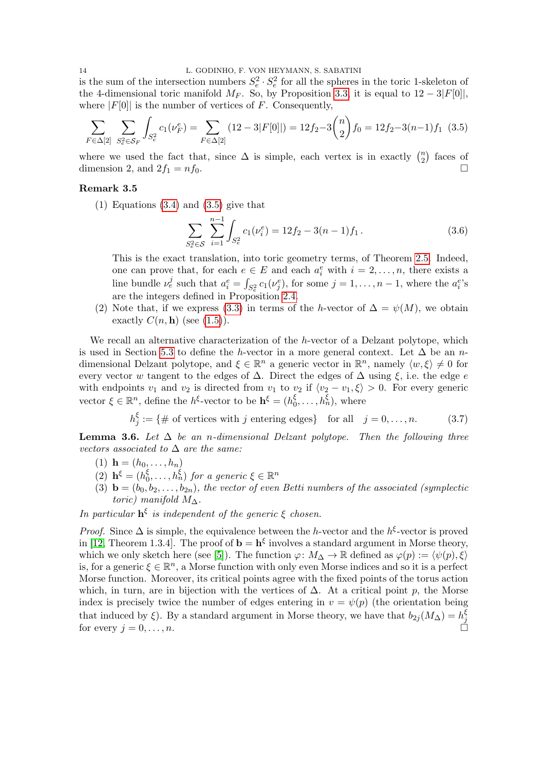is the sum of the intersection numbers  $S_e^2 \cdot S_e^2$  for all the spheres in the toric 1-skeleton of the 4-dimensional toric manifold  $M_F$ . So, by Proposition [3.3,](#page-12-1) it is equal to  $12-3|F[0]|$ , where  $|F[0]|$  is the number of vertices of F. Consequently,

<span id="page-13-0"></span>
$$
\sum_{F \in \Delta[2]} \sum_{S_e^2 \in \mathcal{S}_F} \int_{S_e^2} c_1(\nu_F^e) = \sum_{F \in \Delta[2]} (12 - 3|F[0]|) = 12f_2 - 3\binom{n}{2}f_0 = 12f_2 - 3(n-1)f_1 \tag{3.5}
$$

where we used the fact that, since  $\Delta$  is simple, each vertex is in exactly  $\binom{n}{2}$  $n \choose 2$  faces of dimension 2, and  $2f_1 = nf_0$ .

## Remark 3.5

(1) Equations [\(3.4\)](#page-12-2) and [\(3.5\)](#page-13-0) give that

$$
\sum_{S_e^2 \in S} \sum_{i=1}^{n-1} \int_{S_e^2} c_1(\nu_i^e) = 12f_2 - 3(n-1)f_1.
$$
 (3.6)

This is the exact translation, into toric geometry terms, of Theorem [2.5.](#page-5-0) Indeed, one can prove that, for each  $e \in E$  and each  $a_i^e$  with  $i = 2, \ldots, n$ , there exists a line bundle  $\nu_e^j$  such that  $a_i^e = \int_{S_e^2} c_1(\nu_j^e)$ , for some  $j = 1, \ldots, n-1$ , where the  $a_i^e$ 's are the integers defined in Proposition [2.4.](#page-5-1)

(2) Note that, if we express [\(3.3\)](#page-12-3) in terms of the h-vector of  $\Delta = \psi(M)$ , we obtain exactly  $C(n, h)$  (see  $(1.5)$ ).

We recall an alternative characterization of the h-vector of a Delzant polytope, which is used in Section [5.3](#page-30-0) to define the h-vector in a more general context. Let  $\Delta$  be an ndimensional Delzant polytope, and  $\xi \in \mathbb{R}^n$  a generic vector in  $\mathbb{R}^n$ , namely  $\langle w, \xi \rangle \neq 0$  for every vector w tangent to the edges of  $\Delta$ . Direct the edges of  $\Delta$  using  $\xi$ , i.e. the edge e with endpoints  $v_1$  and  $v_2$  is directed from  $v_1$  to  $v_2$  if  $\langle v_2 - v_1, \xi \rangle > 0$ . For every generic vector  $\xi \in \mathbb{R}^n$ , define the  $h^{\xi}$ -vector to be  $\mathbf{h}^{\xi} = (h_0^{\xi})$  $\zeta_0^{\xi}, \ldots, \zeta_n^{\xi}$ , where

$$
h_j^{\xi} := \{ \# \text{ of vertices with } j \text{ entering edges} \} \text{ for all } j = 0, \dots, n. \tag{3.7}
$$

<span id="page-13-1"></span>**Lemma 3.6.** Let  $\Delta$  be an n-dimensional Delzant polytope. Then the following three vectors associated to  $\Delta$  are the same:

- (1)  $\mathbf{h} = (h_0, \ldots, h_n)$
- (2)  $h^{\xi} = (h_0^{\xi})$  $\zeta_0^{\xi}, \ldots, h_n^{\xi}$  for a generic  $\xi \in \mathbb{R}^n$
- (3)  $\mathbf{b} = (b_0, b_2, \ldots, b_{2n})$ , the vector of even Betti numbers of the associated (symplectic toric) manifold  $M_{\Delta}$ .

In particular  $h^{\xi}$  is independent of the generic  $\xi$  chosen.

*Proof.* Since  $\Delta$  is simple, the equivalence between the h-vector and the h<sup> $\xi$ </sup>-vector is proved in [\[12,](#page-37-13) Theorem 1.3.4]. The proof of  $\mathbf{b} = \mathbf{h}^{\xi}$  involves a standard argument in Morse theory, which we only sketch here (see [\[5\]](#page-37-11)). The function  $\varphi: M_{\Delta} \to \mathbb{R}$  defined as  $\varphi(p) := \langle \psi(p), \xi \rangle$ is, for a generic  $\xi \in \mathbb{R}^n$ , a Morse function with only even Morse indices and so it is a perfect Morse function. Moreover, its critical points agree with the fixed points of the torus action which, in turn, are in bijection with the vertices of  $\Delta$ . At a critical point p, the Morse index is precisely twice the number of edges entering in  $v = \psi(p)$  (the orientation being that induced by  $\xi$ ). By a standard argument in Morse theory, we have that  $b_{2j}(M_{\Delta}) = h_j^{\xi}$ that induced by  $\zeta$ ). By a standard argument in worse theory, we have that  $v_{2j}(M\Delta) - h_j$ <br>for every  $j = 0, ..., n$ .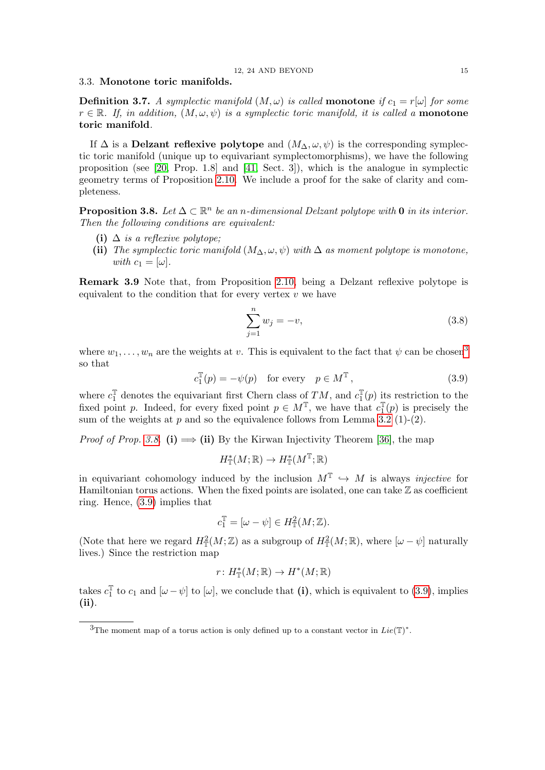## <span id="page-14-0"></span>3.3. Monotone toric manifolds.

**Definition 3.7.** A symplectic manifold  $(M, \omega)$  is called **monotone** if  $c_1 = r[\omega]$  for some  $r \in \mathbb{R}$ . If, in addition,  $(M, \omega, \psi)$  is a symplectic toric manifold, it is called a **monotone** toric manifold.

If  $\Delta$  is a Delzant reflexive polytope and  $(M_{\Delta}, \omega, \psi)$  is the corresponding symplectic toric manifold (unique up to equivariant symplectomorphisms), we have the following proposition (see [\[20,](#page-37-10) Prop. 1.8] and [\[41,](#page-38-8) Sect. 3]), which is the analogue in symplectic geometry terms of Proposition [2.10.](#page-7-2) We include a proof for the sake of clarity and completeness.

<span id="page-14-2"></span>**Proposition 3.8.** Let  $\Delta \subset \mathbb{R}^n$  be an n-dimensional Delzant polytope with 0 in its interior. Then the following conditions are equivalent:

- (i)  $\Delta$  is a reflexive polytope:
- (ii) The symplectic toric manifold  $(M_\Delta, \omega, \psi)$  with  $\Delta$  as moment polytope is monotone, with  $c_1 = [\omega]$ .

Remark 3.9 Note that, from Proposition [2.10,](#page-7-2) being a Delzant reflexive polytope is equivalent to the condition that for every vertex  $v$  we have

$$
\sum_{j=1}^{n} w_j = -v,\tag{3.8}
$$

where  $w_1, \ldots, w_n$  are the weights at v. This is equivalent to the fact that  $\psi$  can be chosen<sup>[3](#page-14-1)</sup> so that

<span id="page-14-3"></span>
$$
c_1^{\mathbb{T}}(p) = -\psi(p) \quad \text{for every} \quad p \in M^{\mathbb{T}}, \tag{3.9}
$$

where  $c_1^{\mathbb{T}}$  denotes the equivariant first Chern class of  $TM$ , and  $c_1^{\mathbb{T}}$  $\mathcal{I}_1^{\mathbb{T}}(p)$  its restriction to the fixed point p. Indeed, for every fixed point  $p \in M^{\mathbb{T}}$ , we have that  $c_1^{\mathbb{T}}$  $E_1^{\mathbb{T}}(p)$  is precisely the sum of the weights at  $p$  and so the equivalence follows from Lemma [3.2](#page-11-1) (1)-(2).

*Proof of Prop. [3.8.](#page-14-2)* (i)  $\implies$  (ii) By the Kirwan Injectivity Theorem [\[36\]](#page-38-9), the map

$$
H^*_\mathbb{T}(M;\mathbb{R}) \to H^*_\mathbb{T}(M^\mathbb{T};\mathbb{R})
$$

in equivariant cohomology induced by the inclusion  $M^{\mathbb{T}} \hookrightarrow M$  is always *injective* for Hamiltonian torus actions. When the fixed points are isolated, one can take  $\mathbb Z$  as coefficient ring. Hence, [\(3.9\)](#page-14-3) implies that

$$
c_1^{\mathbb{T}} = [\omega - \psi] \in H^2_{\mathbb{T}}(M; \mathbb{Z}).
$$

(Note that here we regard  $H^2_{\mathbb{T}}(M;\mathbb{Z})$  as a subgroup of  $H^2_{\mathbb{T}}(M;\mathbb{R})$ , where  $[\omega - \psi]$  naturally lives.) Since the restriction map

$$
r\colon H^*_\mathbb{T}(M;\mathbb{R})\to H^*(M;\mathbb{R})
$$

takes  $c_1^{\mathbb{T}}$  $\mathbb{I}_{1}^{\mathbb{T}}$  to  $c_{1}$  and  $[\omega - \psi]$  to  $[\omega]$ , we conclude that (i), which is equivalent to [\(3.9\)](#page-14-3), implies (ii).

<span id="page-14-1"></span><sup>&</sup>lt;sup>3</sup>The moment map of a torus action is only defined up to a constant vector in  $Lie(T)^*$ .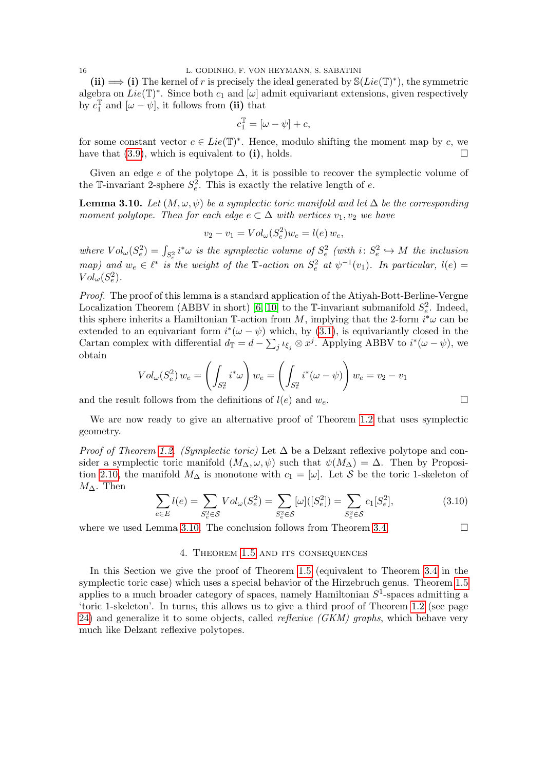(ii)  $\implies$  (i) The kernel of r is precisely the ideal generated by  $\mathcal{S}(Lie(\mathbb{T})^*)$ , the symmetric algebra on  $Lie(\mathbb{T})^*$ . Since both  $c_1$  and  $[\omega]$  admit equivariant extensions, given respectively by  $c_1^{\mathbb{T}}$  $\mathbb{I}^{\mathbb{T}}_1$  and  $[\omega - \psi]$ , it follows from (ii) that

$$
c_1^{\mathbb{T}} = [\omega - \psi] + c,
$$

for some constant vector  $c \in Lie(\mathbb{T})^*$ . Hence, modulo shifting the moment map by c, we have that  $(3.9)$ , which is equivalent to (i), holds.

Given an edge  $e$  of the polytope  $\Delta$ , it is possible to recover the symplectic volume of the T-invariant 2-sphere  $S_e^2$ . This is exactly the relative length of e.

<span id="page-15-1"></span>**Lemma 3.10.** Let  $(M, \omega, \psi)$  be a symplectic toric manifold and let  $\Delta$  be the corresponding moment polytope. Then for each edge  $e \subset \Delta$  with vertices  $v_1, v_2$  we have

$$
v_2 - v_1 = Vol_{\omega}(S_e^2) w_e = l(e) w_e,
$$

where  $Vol_{\omega}(S_e^2) = \int_{S_e^2} i^*\omega$  is the symplectic volume of  $S_e^2$  (with  $i: S_e^2 \hookrightarrow M$  the inclusion map) and  $w_e \in \ell^*$  is the weight of the T-action on  $S_e^2$  at  $\psi^{-1}(v_1)$ . In particular,  $l(e)$  $Vol_{\omega}(S_e^2)$ .

Proof. The proof of this lemma is a standard application of the Atiyah-Bott-Berline-Vergne Localization Theorem (ABBV in short) [\[6,](#page-37-14) [10\]](#page-37-15) to the T-invariant submanifold  $S_e^2$ . Indeed, this sphere inherits a Hamiltonian T-action from M, implying that the 2-form  $i^*\omega$  can be extended to an equivariant form  $i^*(\omega - \psi)$  which, by [\(3.1\)](#page-10-3), is equivariantly closed in the Cartan complex with differential  $d_{\mathbb{T}} = d - \sum_j \iota_{\xi_j} \otimes x^j$ . Applying ABBV to  $i^*(\omega - \psi)$ , we obtain

$$
Vol_{\omega}(S_e^2) w_e = \left(\int_{S_e^2} i^*\omega\right) w_e = \left(\int_{S_e^2} i^*(\omega - \psi)\right) w_e = v_2 - v_1
$$

and the result follows from the definitions of  $l(e)$  and  $w_e$ .

We are now ready to give an alternative proof of Theorem [1.2](#page-1-0) that uses symplectic geometry.

*Proof of Theorem [1.2.](#page-1-0) (Symplectic toric)* Let  $\Delta$  be a Delzant reflexive polytope and consider a symplectic toric manifold  $(M_{\Delta}, \omega, \psi)$  such that  $\psi(M_{\Delta}) = \Delta$ . Then by Proposi-tion [2.10,](#page-7-2) the manifold  $M_{\Delta}$  is monotone with  $c_1 = [\omega]$ . Let S be the toric 1-skeleton of  $M_{\Delta}$ . Then

$$
\sum_{e \in E} l(e) = \sum_{S_e^2 \in \mathcal{S}} Vol_{\omega}(S_e^2) = \sum_{S_e^2 \in \mathcal{S}} [\omega] ([S_e^2]) = \sum_{S_e^2 \in \mathcal{S}} c_1 [S_e^2], \tag{3.10}
$$

<span id="page-15-0"></span>where we used Lemma [3.10.](#page-15-1) The conclusion follows from Theorem [3.4.](#page-12-0)

$$
\qquad \qquad \Box
$$

# 4. Theorem [1.5](#page-3-0) and its consequences

In this Section we give the proof of Theorem [1.5](#page-3-0) (equivalent to Theorem [3.4](#page-12-0) in the symplectic toric case) which uses a special behavior of the Hirzebruch genus. Theorem [1.5](#page-3-0) applies to a much broader category of spaces, namely Hamiltonian  $S^1$ -spaces admitting a 'toric 1-skeleton'. In turns, this allows us to give a third proof of Theorem [1.2](#page-1-0) (see page [24\)](#page-23-3) and generalize it to some objects, called *reflexive (GKM)* graphs, which behave very much like Delzant reflexive polytopes.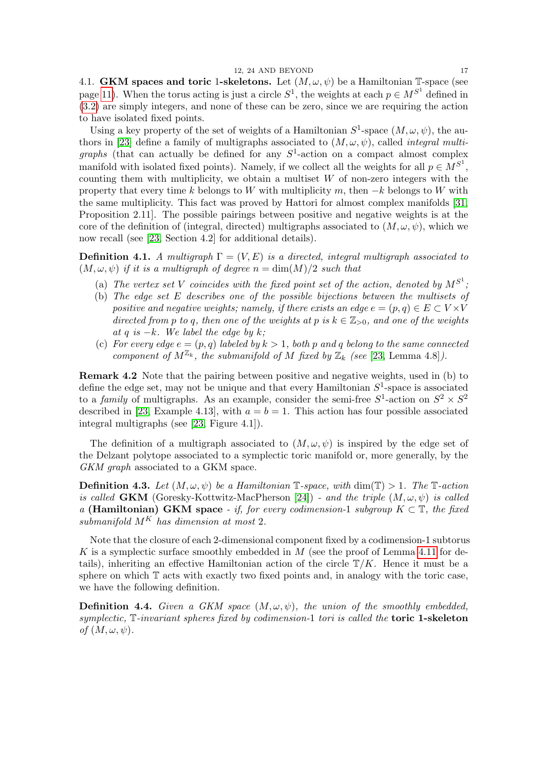<span id="page-16-0"></span>4.1. **GKM spaces and toric 1-skeletons.** Let  $(M, \omega, \psi)$  be a Hamiltonian T-space (see page [11\)](#page-10-3). When the torus acting is just a circle  $S^1$ , the weights at each  $p \in M^{S^1}$  defined in [\(3.2\)](#page-10-2) are simply integers, and none of these can be zero, since we are requiring the action to have isolated fixed points.

Using a key property of the set of weights of a Hamiltonian  $S^1$ -space  $(M, \omega, \psi)$ , the au-thors in [\[23\]](#page-37-4) define a family of multigraphs associated to  $(M, \omega, \psi)$ , called *integral multi*graphs (that can actually be defined for any  $S^1$ -action on a compact almost complex manifold with isolated fixed points). Namely, if we collect all the weights for all  $p \in M^{S^1}$ , counting them with multiplicity, we obtain a multiset  $W$  of non-zero integers with the property that every time k belongs to W with multiplicity m, then  $-k$  belongs to W with the same multiplicity. This fact was proved by Hattori for almost complex manifolds [\[31,](#page-37-16) Proposition 2.11]. The possible pairings between positive and negative weights is at the core of the definition of (integral, directed) multigraphs associated to  $(M, \omega, \psi)$ , which we now recall (see [\[23,](#page-37-4) Section 4.2] for additional details).

**Definition 4.1.** A multigraph  $\Gamma = (V, E)$  is a directed, integral multigraph associated to  $(M, \omega, \psi)$  if it is a multigraph of degree  $n = \dim(M)/2$  such that

- (a) The vertex set V coincides with the fixed point set of the action, denoted by  $M^{S^1}$ ;
- (b) The edge set E describes one of the possible bijections between the multisets of positive and negative weights; namely, if there exists an edge  $e = (p, q) \in E \subset V \times V$ directed from p to q, then one of the weights at p is  $k \in \mathbb{Z}_{>0}$ , and one of the weights at q is  $-k$ . We label the edge by k;
- (c) For every edge  $e = (p, q)$  labeled by  $k > 1$ , both p and q belong to the same connected component of  $M^{\mathbb{Z}_k}$ , the submanifold of M fixed by  $\mathbb{Z}_k$  (see [\[23,](#page-37-4) Lemma 4.8]).

<span id="page-16-1"></span>Remark 4.2 Note that the pairing between positive and negative weights, used in (b) to define the edge set, may not be unique and that every Hamiltonian  $S^1$ -space is associated to a family of multigraphs. As an example, consider the semi-free  $S^1$ -action on  $S^2 \times S^2$ described in [\[23,](#page-37-4) Example 4.13], with  $a = b = 1$ . This action has four possible associated integral multigraphs (see [\[23,](#page-37-4) Figure 4.1]).

The definition of a multigraph associated to  $(M, \omega, \psi)$  is inspired by the edge set of the Delzant polytope associated to a symplectic toric manifold or, more generally, by the GKM graph associated to a GKM space.

**Definition 4.3.** Let  $(M, \omega, \psi)$  be a Hamiltonian T-space, with  $\dim(\mathbb{T}) > 1$ . The T-action is called **GKM** (Goresky-Kottwitz-MacPherson [\[24\]](#page-37-7)) - and the triple  $(M, \omega, \psi)$  is called a (Hamiltonian) GKM space - if, for every codimension-1 subgroup  $K \subset \mathbb{T}$ , the fixed submanifold  $M^K$  has dimension at most 2.

Note that the closure of each 2-dimensional component fixed by a codimension-1 subtorus K is a symplectic surface smoothly embedded in M (see the proof of Lemma [4.11](#page-19-0) for details), inheriting an effective Hamiltonian action of the circle  $T/K$ . Hence it must be a sphere on which  $T$  acts with exactly two fixed points and, in analogy with the toric case, we have the following definition.

<span id="page-16-2"></span>**Definition 4.4.** Given a GKM space  $(M, \omega, \psi)$ , the union of the smoothly embedded, symplectic,  $\mathbb{T}$ -invariant spheres fixed by codimension-1 tori is called the **toric 1-skeleton** of  $(M, \omega, \psi)$ .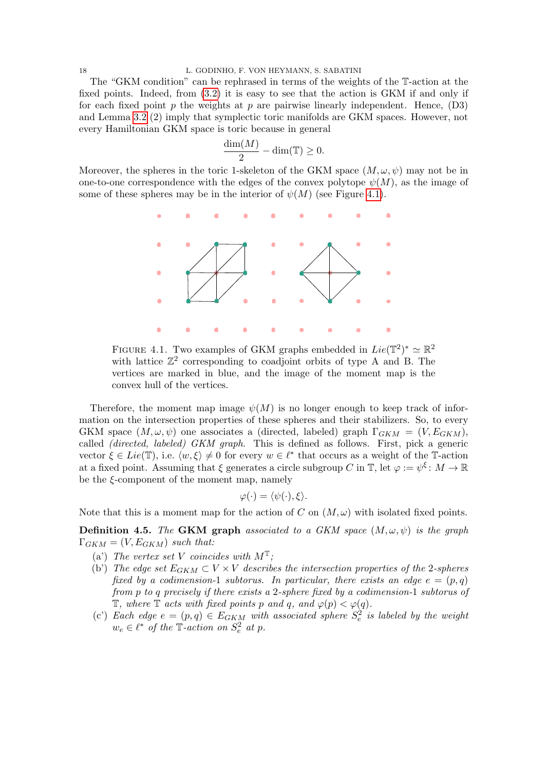The "GKM condition" can be rephrased in terms of the weights of the T-action at the fixed points. Indeed, from [\(3.2\)](#page-10-2) it is easy to see that the action is GKM if and only if for each fixed point p the weights at p are pairwise linearly independent. Hence,  $(D3)$ and Lemma [3.2](#page-11-1) (2) imply that symplectic toric manifolds are GKM spaces. However, not every Hamiltonian GKM space is toric because in general

$$
\frac{\dim(M)}{2} - \dim(\mathbb{T}) \ge 0.
$$

Moreover, the spheres in the toric 1-skeleton of the GKM space  $(M, \omega, \psi)$  may not be in one-to-one correspondence with the edges of the convex polytope  $\psi(M)$ , as the image of some of these spheres may be in the interior of  $\psi(M)$  (see Figure [4.1\)](#page-17-0).



<span id="page-17-0"></span>FIGURE 4.1. Two examples of GKM graphs embedded in  $Lie(\mathbb{T}^2)^* \simeq \mathbb{R}^2$ with lattice  $\mathbb{Z}^2$  corresponding to coadjoint orbits of type A and B. The vertices are marked in blue, and the image of the moment map is the convex hull of the vertices.

Therefore, the moment map image  $\psi(M)$  is no longer enough to keep track of information on the intersection properties of these spheres and their stabilizers. So, to every GKM space  $(M, \omega, \psi)$  one associates a (directed, labeled) graph  $\Gamma_{GKM} = (V, E_{GKM})$ , called (directed, labeled) GKM graph. This is defined as follows. First, pick a generic vector  $\xi \in Lie(\mathbb{T})$ , i.e.  $\langle w, \xi \rangle \neq 0$  for every  $w \in \ell^*$  that occurs as a weight of the T-action at a fixed point. Assuming that  $\xi$  generates a circle subgroup C in  $\mathbb{T}$ , let  $\varphi := \psi^{\xi} \colon M \to \mathbb{R}$ be the  $\xi$ -component of the moment map, namely

$$
\varphi(\cdot) = \langle \psi(\cdot), \xi \rangle.
$$

Note that this is a moment map for the action of C on  $(M,\omega)$  with isolated fixed points.

<span id="page-17-1"></span>**Definition 4.5.** The GKM graph associated to a GKM space  $(M, \omega, \psi)$  is the graph  $\Gamma_{GKM} = (V, E_{GKM})$  such that:

- (a) The vertex set V coincides with  $M^{\mathbb{T}}$ ;
- (b') The edge set  $E_{GKM} \subset V \times V$  describes the intersection properties of the 2-spheres fixed by a codimension-1 subtorus. In particular, there exists an edge  $e = (p, q)$ from p to q precisely if there exists a 2-sphere fixed by a codimension-1 subtorus of  $\mathbb{T}$ , where  $\mathbb{T}$  acts with fixed points p and q, and  $\varphi(p) < \varphi(q)$ .
- (c) Each edge  $e = (p, q) \in E_{GKM}$  with associated sphere  $S_e^2$  is labeled by the weight  $w_e \in \ell^*$  of the T-action on  $S_e^2$  at p.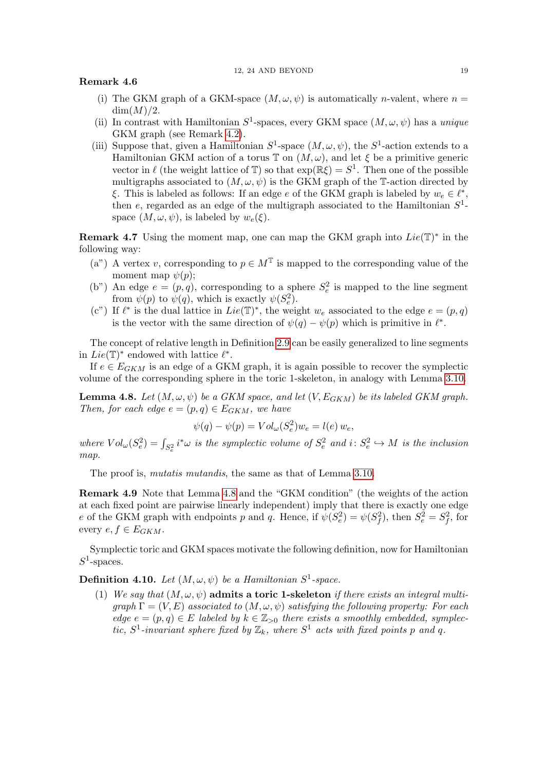## Remark 4.6

- (i) The GKM graph of a GKM-space  $(M, \omega, \psi)$  is automatically *n*-valent, where  $n =$  $\dim(M)/2$ .
- (ii) In contrast with Hamiltonian  $S^1$ -spaces, every GKM space  $(M, \omega, \psi)$  has a unique GKM graph (see Remark [4.2\)](#page-16-1).
- (iii) Suppose that, given a Hamiltonian  $S^1$ -space  $(M, \omega, \psi)$ , the  $S^1$ -action extends to a Hamiltonian GKM action of a torus  $\mathbb T$  on  $(M, \omega)$ , and let  $\xi$  be a primitive generic vector in  $\ell$  (the weight lattice of T) so that  $\exp(\mathbb{R}\xi) = S^1$ . Then one of the possible multigraphs associated to  $(M, \omega, \psi)$  is the GKM graph of the T-action directed by ξ. This is labeled as follows: If an edge  $e$  of the GKM graph is labeled by  $w_e \in \ell^*$ , then  $e$ , regarded as an edge of the multigraph associated to the Hamiltonian  $S^1$ space  $(M, \omega, \psi)$ , is labeled by  $w_e(\xi)$ .

<span id="page-18-2"></span>**Remark 4.7** Using the moment map, one can map the GKM graph into  $Lie(T)^*$  in the following way:

- (a") A vertex v, corresponding to  $p \in M^{\mathbb{T}}$  is mapped to the corresponding value of the moment map  $\psi(p)$ ;
- (b") An edge  $e = (p, q)$ , corresponding to a sphere  $S_e^2$  is mapped to the line segment from  $\psi(p)$  to  $\psi(q)$ , which is exactly  $\psi(S_e^2)$ .
- (c") If  $\ell^*$  is the dual lattice in  $Lie(\mathbb{T})^*$ , the weight  $w_e$  associated to the edge  $e = (p, q)$ is the vector with the same direction of  $\psi(q) - \psi(p)$  which is primitive in  $\ell^*$ .

The concept of relative length in Definition [2.9](#page-7-3) can be easily generalized to line segments in  $Lie(\mathbb{T})^*$  endowed with lattice  $\ell^*$ .

If  $e \in E_{GKM}$  is an edge of a GKM graph, it is again possible to recover the symplectic volume of the corresponding sphere in the toric 1-skeleton, in analogy with Lemma [3.10.](#page-15-1)

<span id="page-18-0"></span>**Lemma 4.8.** Let  $(M, \omega, \psi)$  be a GKM space, and let  $(V, E_{GKM})$  be its labeled GKM graph. Then, for each edge  $e = (p, q) \in E_{GKM}$ , we have

$$
\psi(q) - \psi(p) = Vol_{\omega}(S_e^2) w_e = l(e) w_e,
$$

where  $Vol_{\omega}(S_e^2) = \int_{S_e^2} i^*\omega$  is the symplectic volume of  $S_e^2$  and  $i: S_e^2 \hookrightarrow M$  is the inclusion map.

The proof is, *mutatis mutandis*, the same as that of Lemma [3.10.](#page-15-1)

Remark 4.9 Note that Lemma [4.8](#page-18-0) and the "GKM condition" (the weights of the action at each fixed point are pairwise linearly independent) imply that there is exactly one edge e of the GKM graph with endpoints p and q. Hence, if  $\psi(S_e^2) = \psi(S_f^2)$ , then  $S_e^2 = S_f^2$ , for every  $e, f \in E_{GKM}$ .

Symplectic toric and GKM spaces motivate the following definition, now for Hamiltonian  $S^1$ -spaces.

<span id="page-18-1"></span>**Definition 4.10.** Let  $(M, \omega, \psi)$  be a Hamiltonian  $S^1$ -space.

(1) We say that  $(M, \omega, \psi)$  admits a toric 1-skeleton if there exists an integral multi $graph \Gamma = (V, E)$  associated to  $(M, \omega, \psi)$  satisfying the following property: For each edge  $e = (p, q) \in E$  labeled by  $k \in \mathbb{Z}_{\geq 0}$  there exists a smoothly embedded, symplectic,  $S^1$ -invariant sphere fixed by  $\mathbb{Z}_k$ , where  $S^1$  acts with fixed points p and q.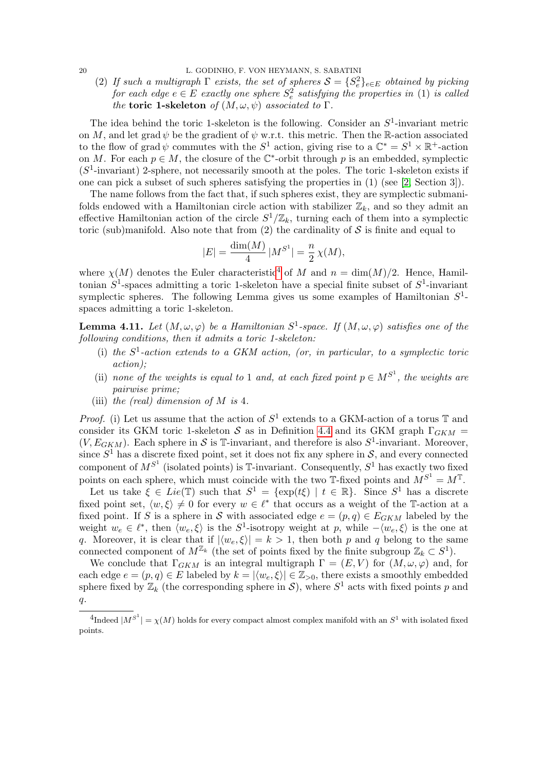(2) If such a multigraph  $\Gamma$  exists, the set of spheres  $S = \{S_e^2\}_{e \in E}$  obtained by picking for each edge  $e \in E$  exactly one sphere  $S_e^2$  satisfying the properties in (1) is called the toric 1-skeleton of  $(M, \omega, \psi)$  associated to  $\Gamma$ .

The idea behind the toric 1-skeleton is the following. Consider an  $S^1$ -invariant metric on M, and let grad  $\psi$  be the gradient of  $\psi$  w.r.t. this metric. Then the R-action associated to the flow of grad  $\psi$  commutes with the  $S^1$  action, giving rise to a  $\mathbb{C}^* = S^1 \times \mathbb{R}^+$ -action on M. For each  $p \in M$ , the closure of the  $\mathbb{C}^*$ -orbit through p is an embedded, symplectic  $(S<sup>1</sup>$ -invariant) 2-sphere, not necessarily smooth at the poles. The toric 1-skeleton exists if one can pick a subset of such spheres satisfying the properties in (1) (see [\[2,](#page-36-2) Section 3]).

The name follows from the fact that, if such spheres exist, they are symplectic submanifolds endowed with a Hamiltonian circle action with stabilizer  $\mathbb{Z}_k$ , and so they admit an effective Hamiltonian action of the circle  $S^1/\mathbb{Z}_k$ , turning each of them into a symplectic toric (sub)manifold. Also note that from  $(2)$  the cardinality of S is finite and equal to

$$
|E| = \frac{\dim(M)}{4} |M^{S^1}| = \frac{n}{2} \chi(M),
$$

where  $\chi(M)$  denotes the Euler characteristic<sup>[4](#page-19-1)</sup> of M and  $n = \dim(M)/2$ . Hence, Hamiltonian  $S^1$ -spaces admitting a toric 1-skeleton have a special finite subset of  $S^1$ -invariant symplectic spheres. The following Lemma gives us some examples of Hamiltonian  $S^1$ spaces admitting a toric 1-skeleton.

<span id="page-19-0"></span>**Lemma 4.11.** Let  $(M, \omega, \varphi)$  be a Hamiltonian  $S^1$ -space. If  $(M, \omega, \varphi)$  satisfies one of the following conditions, then it admits a toric 1-skeleton:

- (i) the  $S<sup>1</sup>$ -action extends to a GKM action, (or, in particular, to a symplectic toric action);
- (ii) none of the weights is equal to 1 and, at each fixed point  $p \in M^{S^1}$ , the weights are pairwise prime;
- (iii) the (real) dimension of  $M$  is 4.

*Proof.* (i) Let us assume that the action of  $S^1$  extends to a GKM-action of a torus T and consider its GKM toric 1-skeleton S as in Definition [4.4](#page-16-2) and its GKM graph  $\Gamma_{GKM}$  =  $(V, E_{GKM})$ . Each sphere in S is T-invariant, and therefore is also  $S^1$ -invariant. Moreover, since  $S^1$  has a discrete fixed point, set it does not fix any sphere in  $S$ , and every connected component of  $M^{S^1}$  (isolated points) is T-invariant. Consequently,  $S^1$  has exactly two fixed points on each sphere, which must coincide with the two  $\mathbb{T}$ -fixed points and  $M^{S^1} = M^{\mathbb{T}}$ .

Let us take  $\xi \in Lie(\mathbb{T})$  such that  $S^1 = {\exp(t\xi) \mid t \in \mathbb{R}}$ . Since  $S^1$  has a discrete fixed point set,  $\langle w, \xi \rangle \neq 0$  for every  $w \in \ell^*$  that occurs as a weight of the T-action at a fixed point. If S is a sphere in S with associated edge  $e = (p, q) \in E_{GKM}$  labeled by the weight  $w_e \in \ell^*$ , then  $\langle w_e, \xi \rangle$  is the S<sup>1</sup>-isotropy weight at p, while  $-\langle w_e, \xi \rangle$  is the one at q. Moreover, it is clear that if  $|\langle w_e, \xi \rangle| = k > 1$ , then both p and q belong to the same connected component of  $M^{\mathbb{Z}_k}$  (the set of points fixed by the finite subgroup  $\mathbb{Z}_k \subset S^1$ ).

We conclude that  $\Gamma_{GKM}$  is an integral multigraph  $\Gamma = (E, V)$  for  $(M, \omega, \varphi)$  and, for each edge  $e = (p, q) \in E$  labeled by  $k = |\langle w_e, \xi \rangle| \in \mathbb{Z}_{>0}$ , there exists a smoothly embedded sphere fixed by  $\mathbb{Z}_k$  (the corresponding sphere in S), where  $S^1$  acts with fixed points p and  $q$ .

<span id="page-19-1"></span><sup>&</sup>lt;sup>4</sup>Indeed  $|M^{S^1}| = \chi(M)$  holds for every compact almost complex manifold with an  $S^1$  with isolated fixed points.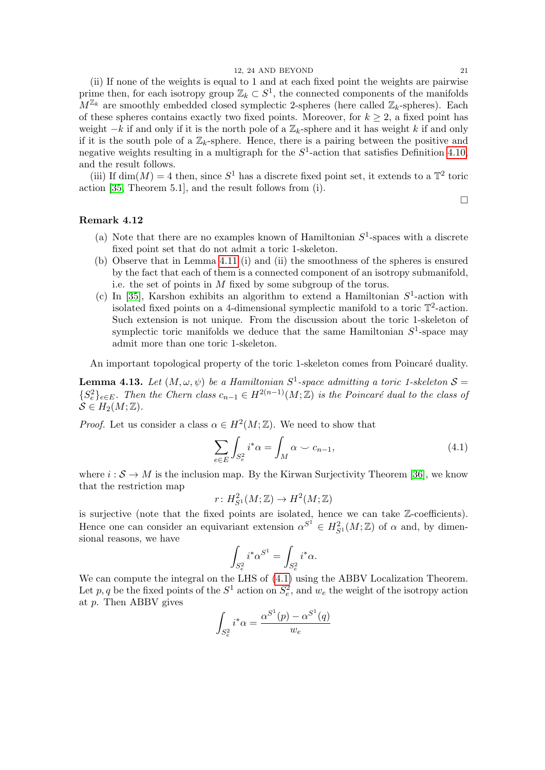(ii) If none of the weights is equal to 1 and at each fixed point the weights are pairwise prime then, for each isotropy group  $\mathbb{Z}_k \subset S^1$ , the connected components of the manifolds  $M^{\mathbb{Z}_k}$  are smoothly embedded closed symplectic 2-spheres (here called  $\mathbb{Z}_k$ -spheres). Each of these spheres contains exactly two fixed points. Moreover, for  $k \geq 2$ , a fixed point has weight  $-k$  if and only if it is the north pole of a  $\mathbb{Z}_k$ -sphere and it has weight k if and only if it is the south pole of a  $\mathbb{Z}_k$ -sphere. Hence, there is a pairing between the positive and negative weights resulting in a multigraph for the  $S^1$ -action that satisfies Definition [4.10,](#page-18-1) and the result follows.

(iii) If  $\dim(M) = 4$  then, since  $S^1$  has a discrete fixed point set, it extends to a  $\mathbb{T}^2$  toric action [\[35,](#page-38-10) Theorem 5.1], and the result follows from (i).

## Remark 4.12

- (a) Note that there are no examples known of Hamiltonian  $S<sup>1</sup>$ -spaces with a discrete fixed point set that do not admit a toric 1-skeleton.
- (b) Observe that in Lemma [4.11](#page-19-0) (i) and (ii) the smoothness of the spheres is ensured by the fact that each of them is a connected component of an isotropy submanifold, i.e. the set of points in M fixed by some subgroup of the torus.
- (c) In [\[35\]](#page-38-10), Karshon exhibits an algorithm to extend a Hamiltonian  $S^1$ -action with isolated fixed points on a 4-dimensional symplectic manifold to a toric  $\mathbb{T}^2$ -action. Such extension is not unique. From the discussion about the toric 1-skeleton of symplectic toric manifolds we deduce that the same Hamiltonian  $S^1$ -space may admit more than one toric 1-skeleton.

An important topological property of the toric 1-skeleton comes from Poincaré duality.

<span id="page-20-0"></span>**Lemma 4.13.** Let  $(M, \omega, \psi)$  be a Hamiltonian  $S^1$ -space admitting a toric 1-skeleton  $S =$  $\{S_e^2\}_{e \in E}$ . Then the Chern class  $c_{n-1} \in H^{2(n-1)}(M;\mathbb{Z})$  is the Poincaré dual to the class of  $S \in H_2(M; \mathbb{Z})$ .

*Proof.* Let us consider a class  $\alpha \in H^2(M; \mathbb{Z})$ . We need to show that

<span id="page-20-1"></span>
$$
\sum_{e \in E} \int_{S_e^2} i^* \alpha = \int_M \alpha \smile c_{n-1},\tag{4.1}
$$

where  $i : \mathcal{S} \to M$  is the inclusion map. By the Kirwan Surjectivity Theorem [\[36\]](#page-38-9), we know that the restriction map

$$
r\colon H^2_{S^1}(M;{\Bbb Z})\to H^2(M;{\Bbb Z})
$$

is surjective (note that the fixed points are isolated, hence we can take Z-coefficients). Hence one can consider an equivariant extension  $\alpha^{S^1} \in H^2_{S^1}(M;\mathbb{Z})$  of  $\alpha$  and, by dimensional reasons, we have

$$
\int_{S_e^2} i^* \alpha^{S^1} = \int_{S_e^2} i^* \alpha.
$$

We can compute the integral on the LHS of [\(4.1\)](#page-20-1) using the ABBV Localization Theorem. Let p, q be the fixed points of the  $S^1$  action on  $S_e^2$ , and  $w_e$  the weight of the isotropy action at p. Then ABBV gives

$$
\int_{S_e^2} i^* \alpha = \frac{\alpha^{S^1}(p) - \alpha^{S^1}(q)}{w_e}
$$

 $\Box$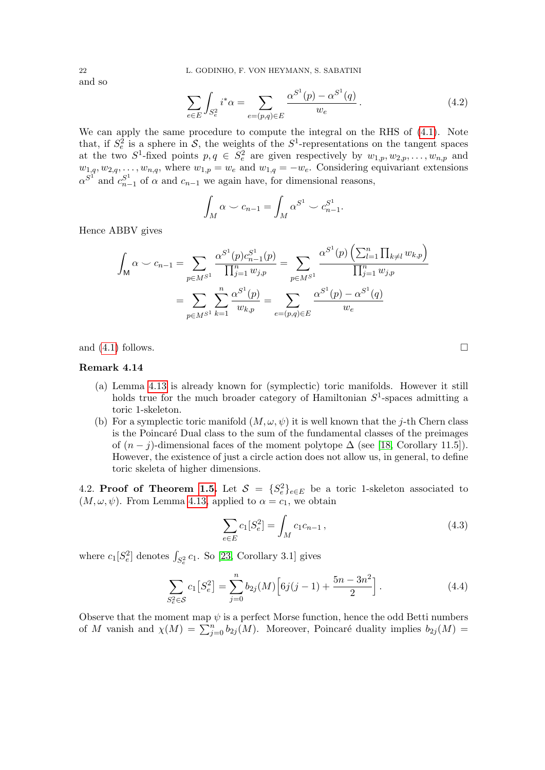and so

$$
\sum_{e \in E} \int_{S_e^2} i^* \alpha = \sum_{e = (p,q) \in E} \frac{\alpha^{S^1}(p) - \alpha^{S^1}(q)}{w_e}.
$$
\n(4.2)

We can apply the same procedure to compute the integral on the RHS of [\(4.1\)](#page-20-1). Note that, if  $S_e^2$  is a sphere in S, the weights of the  $S^1$ -representations on the tangent spaces at the two  $S^1$ -fixed points  $p, q \in S^2_e$  are given respectively by  $w_{1,p}, w_{2,p}, \ldots, w_{n,p}$  and  $w_{1,q}, w_{2,q}, \ldots, w_{n,q}$ , where  $w_{1,p} = w_e$  and  $w_{1,q} = -w_e$ . Considering equivariant extensions  $\alpha^{S^1}$  and  $c_{n-1}^{S^1}$  $\sum_{n=1}^{S^1}$  of  $\alpha$  and  $c_{n-1}$  we again have, for dimensional reasons,

$$
\int_M \alpha \smile c_{n-1} = \int_M \alpha^{S^1} \smile c_{n-1}^{S^1}.
$$

Hence ABBV gives

$$
\int_{\mathsf{M}} \alpha \smile c_{n-1} = \sum_{p \in M^{S^1}} \frac{\alpha^{S^1}(p)c_{n-1}^{S^1}(p)}{\prod_{j=1}^n w_{j,p}} = \sum_{p \in M^{S^1}} \frac{\alpha^{S^1}(p)\left(\sum_{l=1}^n \prod_{k \neq l} w_{k,p}\right)}{\prod_{j=1}^n w_{j,p}}
$$
\n
$$
= \sum_{p \in M^{S^1}} \sum_{k=1}^n \frac{\alpha^{S^1}(p)}{w_{k,p}} = \sum_{e=(p,q) \in E} \frac{\alpha^{S^1}(p) - \alpha^{S^1}(q)}{w_e}
$$

and  $(4.1)$  follows.

## Remark 4.14

- (a) Lemma [4.13](#page-20-0) is already known for (symplectic) toric manifolds. However it still holds true for the much broader category of Hamiltonian  $S^1$ -spaces admitting a toric 1-skeleton.
- (b) For a symplectic toric manifold  $(M, \omega, \psi)$  it is well known that the j-th Chern class is the Poincar´e Dual class to the sum of the fundamental classes of the preimages of  $(n - j)$ -dimensional faces of the moment polytope  $\Delta$  (see [\[18,](#page-37-17) Corollary 11.5]). However, the existence of just a circle action does not allow us, in general, to define toric skeleta of higher dimensions.

<span id="page-21-0"></span>4.2. Proof of Theorem [1.5.](#page-3-0) Let  $S = {S_e^2}_{e \in E}$  be a toric 1-skeleton associated to  $(M, \omega, \psi)$ . From Lemma [4.13,](#page-20-0) applied to  $\alpha = c_1$ , we obtain

<span id="page-21-2"></span>
$$
\sum_{e \in E} c_1[S_e^2] = \int_M c_1 c_{n-1}, \qquad (4.3)
$$

where  $c_1[S_e^2]$  denotes  $\int_{S_e^2} c_1$ . So [\[23,](#page-37-4) Corollary 3.1] gives

<span id="page-21-1"></span>
$$
\sum_{S_e^2 \in S} c_1 \left[ S_e^2 \right] = \sum_{j=0}^n b_{2j}(M) \left[ 6j(j-1) + \frac{5n - 3n^2}{2} \right]. \tag{4.4}
$$

Observe that the moment map  $\psi$  is a perfect Morse function, hence the odd Betti numbers of M vanish and  $\chi(M) = \sum_{j=0}^{n} b_{2j}(M)$ . Moreover, Poincaré duality implies  $b_{2j}(M)$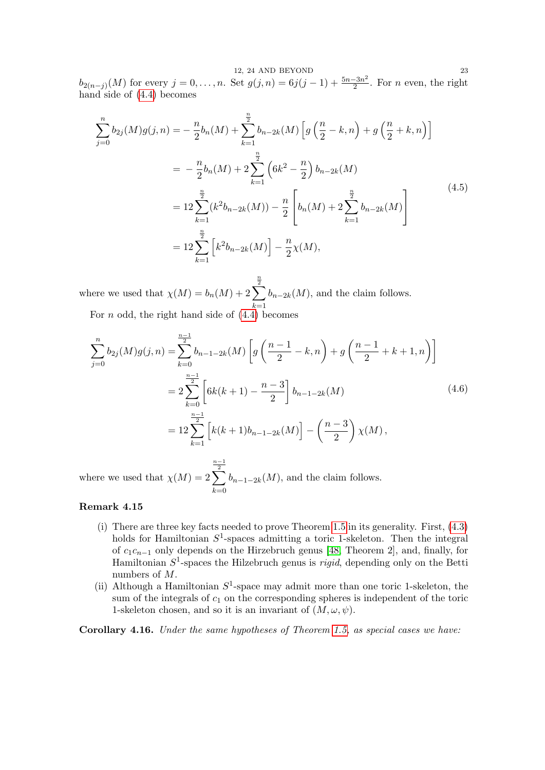12, 24 AND BEYOND 23  $b_{2(n-j)}(M)$  for every  $j = 0, \ldots, n$ . Set  $g(j, n) = 6j(j-1) + \frac{5n-3n^2}{2}$  $\frac{-3n^2}{2}$ . For *n* even, the right hand side of [\(4.4\)](#page-21-1) becomes

$$
\sum_{j=0}^{n} b_{2j}(M)g(j,n) = -\frac{n}{2}b_n(M) + \sum_{k=1}^{\frac{n}{2}} b_{n-2k}(M) \left[ g\left(\frac{n}{2} - k, n\right) + g\left(\frac{n}{2} + k, n\right) \right]
$$
  

$$
= -\frac{n}{2}b_n(M) + 2\sum_{k=1}^{\frac{n}{2}} \left(6k^2 - \frac{n}{2}\right) b_{n-2k}(M)
$$
  

$$
= 12\sum_{k=1}^{\frac{n}{2}} (k^2 b_{n-2k}(M)) - \frac{n}{2} \left[ b_n(M) + 2\sum_{k=1}^{\frac{n}{2}} b_{n-2k}(M) \right]
$$
  

$$
= 12\sum_{k=1}^{\frac{n}{2}} \left[ k^2 b_{n-2k}(M) \right] - \frac{n}{2}\chi(M),
$$
 (4.5)

where we used that  $\chi(M) = b_n(M) + 2$  $\sum_{2}^{\frac{n}{2}}$  $_{k=1}$  $b_{n-2k}(M)$ , and the claim follows. For  $n$  odd, the right hand side of  $(4.4)$  becomes

$$
\sum_{j=0}^{n} b_{2j}(M)g(j,n) = \sum_{k=0}^{\frac{n-1}{2}} b_{n-1-2k}(M) \left[ g\left(\frac{n-1}{2} - k, n\right) + g\left(\frac{n-1}{2} + k + 1, n\right) \right]
$$
  

$$
= 2 \sum_{k=0}^{\frac{n-1}{2}} \left[ 6k(k+1) - \frac{n-3}{2} \right] b_{n-1-2k}(M) \tag{4.6}
$$
  

$$
= 12 \sum_{k=1}^{\frac{n-1}{2}} \left[ k(k+1)b_{n-1-2k}(M) \right] - \left(\frac{n-3}{2}\right) \chi(M),
$$

where we used that  $\chi(M) = 2$  $\frac{n-1}{2}$  $k=0$  $b_{n-1-2k}(M)$ , and the claim follows.

# Remark 4.15

- (i) There are three key facts needed to prove Theorem [1.5](#page-3-0) in its generality. First, [\(4.3\)](#page-21-2) holds for Hamiltonian  $S^1$ -spaces admitting a toric 1-skeleton. Then the integral of  $c_1c_{n-1}$  only depends on the Hirzebruch genus [\[48,](#page-38-1) Theorem 2], and, finally, for Hamiltonian  $S^1$ -spaces the Hilzebruch genus is *rigid*, depending only on the Betti numbers of M.
- (ii) Although a Hamiltonian  $S^1$ -space may admit more than one toric 1-skeleton, the sum of the integrals of  $c_1$  on the corresponding spheres is independent of the toric 1-skeleton chosen, and so it is an invariant of  $(M, \omega, \psi)$ .

<span id="page-22-0"></span>Corollary 4.16. Under the same hypotheses of Theorem [1.5,](#page-3-0) as special cases we have: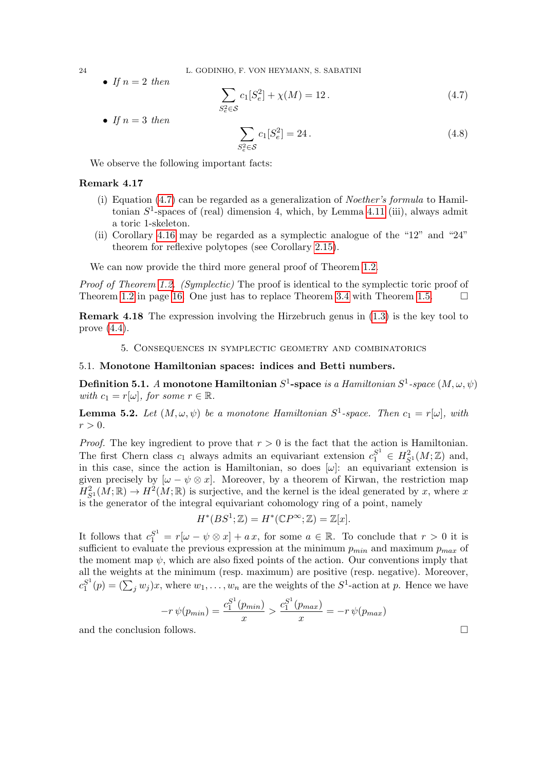• If  $n=2$  then

<span id="page-23-4"></span>
$$
\sum_{S_e^2 \in S} c_1 [S_e^2] + \chi(M) = 12.
$$
 (4.7)

• If  $n=3$  then

$$
\sum_{S_e^2 \in \mathcal{S}} c_1[S_e^2] = 24. \tag{4.8}
$$

We observe the following important facts:

### <span id="page-23-2"></span>Remark 4.17

- (i) Equation  $(4.7)$  can be regarded as a generalization of *Noether's formula* to Hamiltonian  $S^1$ -spaces of (real) dimension 4, which, by Lemma [4.11](#page-19-0) (iii), always admit a toric 1-skeleton.
- (ii) Corollary [4.16](#page-22-0) may be regarded as a symplectic analogue of the "12" and "24" theorem for reflexive polytopes (see Corollary [2.15\)](#page-9-4).

We can now provide the third more general proof of Theorem [1.2.](#page-1-0)

S<sup>2</sup>

Proof of Theorem [1.2.](#page-1-0) (Symplectic) The proof is identical to the symplectic toric proof of Theorem [1.2](#page-1-0) in page [16.](#page-15-1) One just has to replace Theorem [3.4](#page-12-0) with Theorem [1.5.](#page-3-0)  $\Box$ 

<span id="page-23-3"></span>Remark 4.18 The expression involving the Hirzebruch genus in [\(1.3\)](#page-1-5) is the key tool to prove [\(4.4\)](#page-21-1).

5. Consequences in symplectic geometry and combinatorics

### <span id="page-23-1"></span><span id="page-23-0"></span>5.1. Monotone Hamiltonian spaces: indices and Betti numbers.

**Definition 5.1.** A monotone Hamiltonian  $S^1$ -space *is a Hamiltonian*  $S^1$ *-space*  $(M,\omega,\psi)$ with  $c_1 = r[\omega]$ , for some  $r \in \mathbb{R}$ .

<span id="page-23-5"></span>**Lemma 5.2.** Let  $(M, \omega, \psi)$  be a monotone Hamiltonian  $S^1$ -space. Then  $c_1 = r[\omega]$ , with  $r > 0$ .

*Proof.* The key ingredient to prove that  $r > 0$  is the fact that the action is Hamiltonian. The first Chern class  $c_1$  always admits an equivariant extension  $c_1^{S^1} \in H^2_{S^1}(M;\mathbb{Z})$  and, in this case, since the action is Hamiltonian, so does  $[\omega]$ : an equivariant extension is given precisely by  $[\omega - \psi \otimes x]$ . Moreover, by a theorem of Kirwan, the restriction map  $H_{S^1}^2(M;\mathbb{R}) \to H^2(M;\mathbb{R})$  is surjective, and the kernel is the ideal generated by x, where x is the generator of the integral equivariant cohomology ring of a point, namely

$$
H^*(BS^1; \mathbb{Z}) = H^*(\mathbb{C}P^\infty; \mathbb{Z}) = \mathbb{Z}[x].
$$

It follows that  $c_1^{S^1} = r[\omega - \psi \otimes x] + ax$ , for some  $a \in \mathbb{R}$ . To conclude that  $r > 0$  it is sufficient to evaluate the previous expression at the minimum  $p_{min}$  and maximum  $p_{max}$  of the moment map  $\psi$ , which are also fixed points of the action. Our conventions imply that all the weights at the minimum (resp. maximum) are positive (resp. negative). Moreover,  $c_1^{S^1}$  $S^1(p) = (\sum_j w_j)x$ , where  $w_1, \ldots, w_n$  are the weights of the  $S^1$ -action at p. Hence we have

$$
-r \psi(p_{min}) = \frac{c_1^{S^1}(p_{min})}{x} > \frac{c_1^{S^1}(p_{max})}{x} = -r \psi(p_{max})
$$

and the conclusion follows.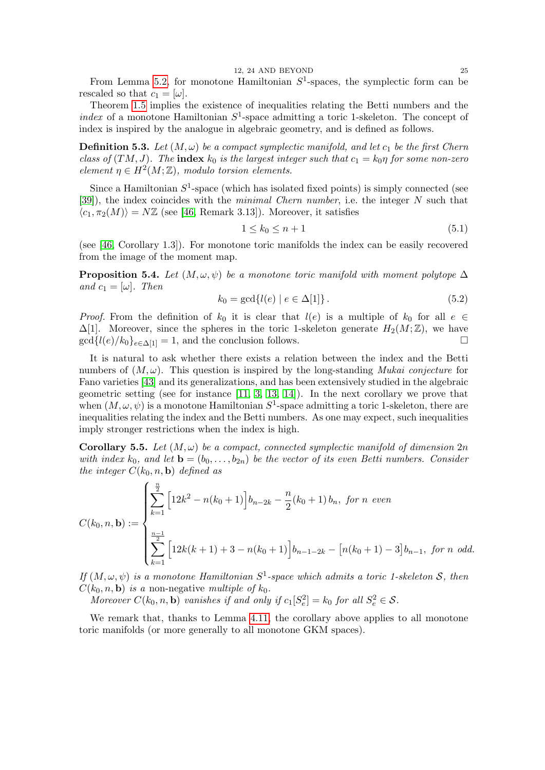From Lemma [5.2,](#page-23-5) for monotone Hamiltonian  $S^1$ -spaces, the symplectic form can be rescaled so that  $c_1 = [\omega]$ .

Theorem [1.5](#page-3-0) implies the existence of inequalities relating the Betti numbers and the index of a monotone Hamiltonian  $S^1$ -space admitting a toric 1-skeleton. The concept of index is inspired by the analogue in algebraic geometry, and is defined as follows.

<span id="page-24-3"></span>**Definition 5.3.** Let  $(M, \omega)$  be a compact symplectic manifold, and let  $c_1$  be the first Chern class of  $(TM, J)$ . The index  $k_0$  is the largest integer such that  $c_1 = k_0 \eta$  for some non-zero element  $\eta \in H^2(M;\mathbb{Z})$ , modulo torsion elements.

Since a Hamiltonian  $S^1$ -space (which has isolated fixed points) is simply connected (see [\[39\]](#page-38-11)), the index coincides with the minimal Chern number, i.e. the integer N such that  $\langle c_1, \pi_2(M)\rangle = N\mathbb{Z}$  (see [\[46,](#page-38-3) Remark 3.13]). Moreover, it satisfies

<span id="page-24-2"></span>
$$
1 \le k_0 \le n+1 \tag{5.1}
$$

(see [\[46,](#page-38-3) Corollary 1.3]). For monotone toric manifolds the index can be easily recovered from the image of the moment map.

<span id="page-24-1"></span>**Proposition 5.4.** Let  $(M, \omega, \psi)$  be a monotone toric manifold with moment polytope  $\Delta$ and  $c_1 = [\omega]$ . Then

$$
k_0 = \gcd\{l(e) \mid e \in \Delta[1]\}.
$$
 (5.2)

*Proof.* From the definition of  $k_0$  it is clear that  $l(e)$  is a multiple of  $k_0$  for all  $e \in$  $\Delta[1]$ . Moreover, since the spheres in the toric 1-skeleton generate  $H_2(M;\mathbb{Z})$ , we have  $\gcd\{l(e)/k_0\}_{e\in\Lambda[1]} = 1$ , and the conclusion follows.

It is natural to ask whether there exists a relation between the index and the Betti numbers of  $(M, \omega)$ . This question is inspired by the long-standing *Mukai conjecture* for Fano varieties [\[43\]](#page-38-2) and its generalizations, and has been extensively studied in the algebraic geometric setting (see for instance  $[11, 3, 13, 14]$  $[11, 3, 13, 14]$  $[11, 3, 13, 14]$  $[11, 3, 13, 14]$ ). In the next corollary we prove that when  $(M, \omega, \psi)$  is a monotone Hamiltonian  $S^1$ -space admitting a toric 1-skeleton, there are inequalities relating the index and the Betti numbers. As one may expect, such inequalities imply stronger restrictions when the index is high.

<span id="page-24-0"></span>**Corollary 5.5.** Let  $(M, \omega)$  be a compact, connected symplectic manifold of dimension 2n with index  $k_0$ , and let  $\mathbf{b} = (b_0, \ldots, b_{2n})$  be the vector of its even Betti numbers. Consider the integer  $C(k_0, n, \mathbf{b})$  defined as

$$
C(k_0, n, \mathbf{b}) := \begin{cases} \sum_{k=1}^{\frac{n}{2}} \left[ 12k^2 - n(k_0 + 1) \right] b_{n-2k} - \frac{n}{2} (k_0 + 1) b_n, \text{ for } n \text{ even} \\ \sum_{k=1}^{\frac{n-1}{2}} \left[ 12k(k+1) + 3 - n(k_0 + 1) \right] b_{n-1-2k} - \left[ n(k_0 + 1) - 3 \right] b_{n-1}, \text{ for } n \text{ odd.} \end{cases}
$$

If  $(M, \omega, \psi)$  is a monotone Hamiltonian  $S^1$ -space which admits a toric 1-skeleton S, then  $C(k_0, n, \mathbf{b})$  is a non-negative multiple of  $k_0$ .

Moreover  $C(k_0, n, \mathbf{b})$  vanishes if and only if  $c_1[S_e^2] = k_0$  for all  $S_e^2 \in \mathcal{S}$ .

We remark that, thanks to Lemma [4.11,](#page-19-0) the corollary above applies to all monotone toric manifolds (or more generally to all monotone GKM spaces).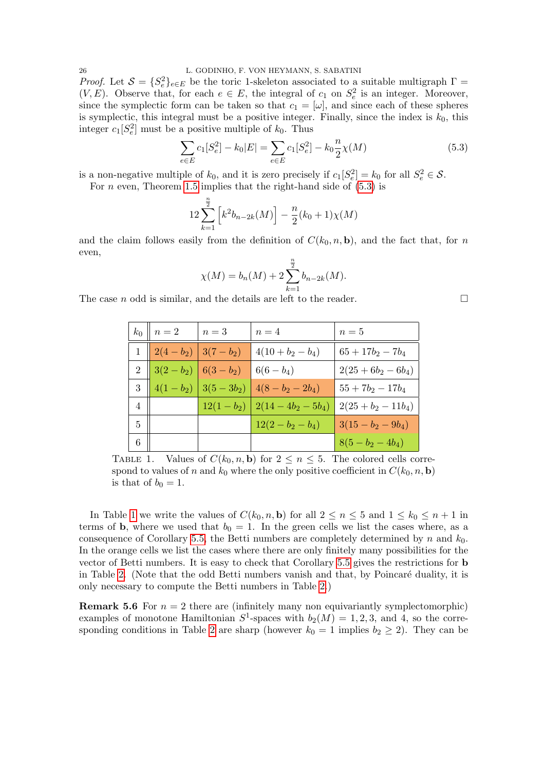26 L. GODINHO, F. VON HEYMANN, S. SABATINI *Proof.* Let  $S = \{S_e^2\}_{e \in E}$  be the toric 1-skeleton associated to a suitable multigraph  $\Gamma =$  $(V, E)$ . Observe that, for each  $e \in E$ , the integral of  $c_1$  on  $S_e^2$  is an integer. Moreover, since the symplectic form can be taken so that  $c_1 = [\omega]$ , and since each of these spheres is symplectic, this integral must be a positive integer. Finally, since the index is  $k_0$ , this integer  $c_1[S_e^2]$  must be a positive multiple of  $k_0$ . Thus

<span id="page-25-0"></span>
$$
\sum_{e \in E} c_1[S_e^2] - k_0|E| = \sum_{e \in E} c_1[S_e^2] - k_0 \frac{n}{2} \chi(M)
$$
\n(5.3)

is a non-negative multiple of  $k_0$ , and it is zero precisely if  $c_1[S_e^2] = k_0$  for all  $S_e^2 \in \mathcal{S}$ .

For *n* even, Theorem 1.5 implies that the right-hand side of 
$$
(5.3)
$$
 is

$$
12\sum_{k=1}^{\frac{n}{2}} \left[ k^2 b_{n-2k}(M) \right] - \frac{n}{2}(k_0+1)\chi(M)
$$

and the claim follows easily from the definition of  $C(k_0, n, \mathbf{b})$ , and the fact that, for n even,

$$
\chi(M) = b_n(M) + 2 \sum_{k=1}^{\frac{n}{2}} b_{n-2k}(M).
$$

The case *n* odd is similar, and the details are left to the reader.  $\Box$ 

| $k_0$          | $\mid n=2$ | $n=3$                                               | $n=4$                                  | $n=5$                 |
|----------------|------------|-----------------------------------------------------|----------------------------------------|-----------------------|
|                |            | $1 \parallel 2(4-b_2) \parallel 3(7-b_2) \parallel$ | $4(10+b_2-b_4)$                        | $65+17b_2-7b_4$       |
| 2 <sup>1</sup> |            | $ 3(2 - b_2)  6(3 - b_2)$                           | $6(6-b_4)$                             | $2(25+6b_2-6b_4)$     |
| 3              |            |                                                     | $4(1-b_2)$ $3(5-3b_2)$ $4(8-b_2-2b_4)$ | $55 + 7b_2 - 17b_4$   |
| $\overline{4}$ |            |                                                     | $12(1-b_2)$   $2(14-4b_2-5b_4)$        | $2(25 + b_2 - 11b_4)$ |
| 5              |            |                                                     | $12(2 - b_2 - b_4)$                    | $3(15 - b_2 - 9b_4)$  |
|                |            |                                                     |                                        | $8(5 - b_2 - 4b_4)$   |

<span id="page-25-1"></span>TABLE 1. Values of  $C(k_0, n, \mathbf{b})$  for  $2 \leq n \leq 5$ . The colored cells correspond to values of n and  $k_0$  where the only positive coefficient in  $C(k_0, n, \mathbf{b})$ is that of  $b_0 = 1$ .

In Table [1](#page-25-1) we write the values of  $C(k_0, n, \mathbf{b})$  for all  $2 \leq n \leq 5$  and  $1 \leq k_0 \leq n+1$  in terms of b, where we used that  $b_0 = 1$ . In the green cells we list the cases where, as a consequence of Corollary [5.5,](#page-24-0) the Betti numbers are completely determined by n and  $k_0$ . In the orange cells we list the cases where there are only finitely many possibilities for the vector of Betti numbers. It is easy to check that Corollary [5.5](#page-24-0) gives the restrictions for b in Table [2.](#page-26-2) (Note that the odd Betti numbers vanish and that, by Poincaré duality, it is only necessary to compute the Betti numbers in Table [2.](#page-26-2))

**Remark 5.6** For  $n = 2$  there are (infinitely many non equivariantly symplectomorphic) examples of monotone Hamiltonian  $S^1$ -spaces with  $b_2(M) = 1, 2, 3$ , and 4, so the corre-sponding conditions in Table [2](#page-26-2) are sharp (however  $k_0 = 1$  implies  $b_2 \geq 2$ ). They can be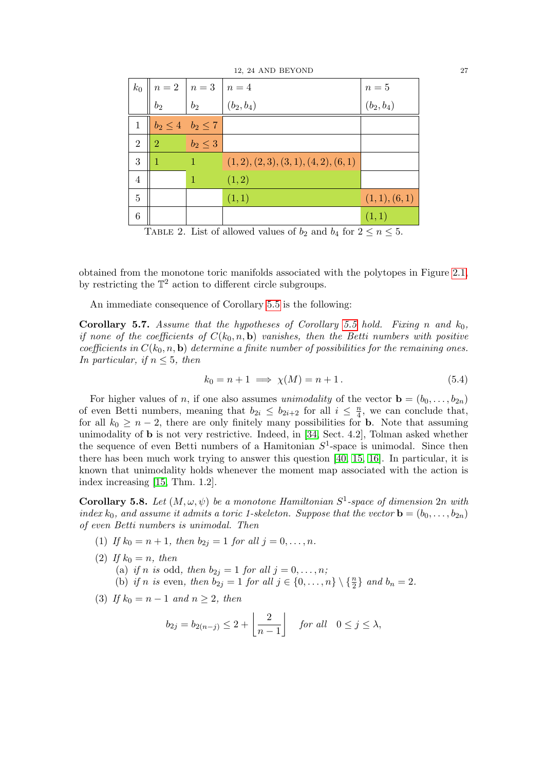|                |                                                                                                                               |                              |                                          | $n=5$        |
|----------------|-------------------------------------------------------------------------------------------------------------------------------|------------------------------|------------------------------------------|--------------|
|                | $k_0$ $\begin{array}{c c} n = 2 & n = 3 \\ b_2 & b_2 \end{array}$ $\begin{array}{c c} n = 4 & n = 4 \\ b_2 & b_3 \end{array}$ |                              |                                          | $(b_2, b_4)$ |
| 1              |                                                                                                                               | $b_2 \leq 4 \mid b_2 \leq 7$ |                                          |              |
| $\overline{2}$ | $\overline{2}$                                                                                                                | $b_2\leq 3$                  |                                          |              |
| 3              | 1                                                                                                                             | 1                            | $(1, 2), (2, 3), (3, 1), (4, 2), (6, 1)$ |              |
| 4              |                                                                                                                               | 1                            | (1, 2)                                   |              |
| 5              |                                                                                                                               |                              | (1,1)                                    | (1,1), (6,1) |
| 6              |                                                                                                                               |                              |                                          | (1,1)        |

<span id="page-26-2"></span>TABLE 2. List of allowed values of  $b_2$  and  $b_4$  for  $2 \le n \le 5$ .

obtained from the monotone toric manifolds associated with the polytopes in Figure [2.1,](#page-10-4) by restricting the  $\mathbb{T}^2$  action to different circle subgroups.

An immediate consequence of Corollary [5.5](#page-24-0) is the following:

<span id="page-26-0"></span>**Corollary 5.7.** Assume that the hypotheses of Corollary [5.5](#page-24-0) hold. Fixing n and  $k_0$ , if none of the coefficients of  $C(k_0, n, \mathbf{b})$  vanishes, then the Betti numbers with positive coefficients in  $C(k_0, n, \mathbf{b})$  determine a finite number of possibilities for the remaining ones. In particular, if  $n \leq 5$ , then

$$
k_0 = n + 1 \implies \chi(M) = n + 1. \tag{5.4}
$$

For higher values of n, if one also assumes unimodality of the vector  $\mathbf{b} = (b_0, \ldots, b_{2n})$ of even Betti numbers, meaning that  $b_{2i} \leq b_{2i+2}$  for all  $i \leq \frac{n}{4}$  $\frac{n}{4}$ , we can conclude that, for all  $k_0 \geq n-2$ , there are only finitely many possibilities for **b**. Note that assuming unimodality of b is not very restrictive. Indeed, in [\[34,](#page-38-12) Sect. 4.2], Tolman asked whether the sequence of even Betti numbers of a Hamitonian  $S^1$ -space is unimodal. Since then there has been much work trying to answer this question [\[40,](#page-38-13) [15,](#page-37-22) [16\]](#page-37-23). In particular, it is known that unimodality holds whenever the moment map associated with the action is index increasing [\[15,](#page-37-22) Thm. 1.2].

<span id="page-26-1"></span>**Corollary 5.8.** Let  $(M, \omega, \psi)$  be a monotone Hamiltonian  $S^1$ -space of dimension  $2n$  with index  $k_0$ , and assume it admits a toric 1-skeleton. Suppose that the vector  $\mathbf{b} = (b_0, \ldots, b_{2n})$ of even Betti numbers is unimodal. Then

- (1) If  $k_0 = n + 1$ , then  $b_{2j} = 1$  for all  $j = 0, ..., n$ .
- (2) If  $k_0 = n$ , then (a) if n is odd, then  $b_{2j} = 1$  for all  $j = 0, \ldots, n;$ (b) if n is even, then  $b_{2j} = 1$  for all  $j \in \{0, ..., n\} \setminus \{\frac{n}{2}\}\$  and  $b_n = 2$ .
- (3) If  $k_0 = n 1$  and  $n \geq 2$ , then

$$
b_{2j} = b_{2(n-j)} \le 2 + \left\lfloor \frac{2}{n-1} \right\rfloor \quad \text{for all} \quad 0 \le j \le \lambda,
$$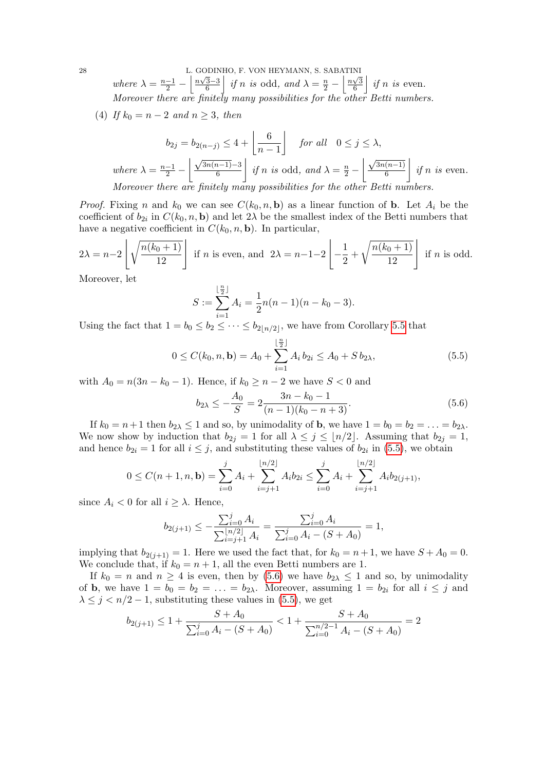28 L. GODINHO, F. VON HEYMANN, S. SABATINI where  $\lambda = \frac{n-1}{2} - \left( \frac{n\sqrt{3}-3}{6} \right)$  $\left| \frac{\overline{3}-3}{6} \right|$  if n is odd, and  $\lambda = \frac{n}{2} - \left| \frac{n\sqrt{3}}{6} \right|$  $\frac{\sqrt{3}}{6}$  *if n is* even. Moreover there are finitely many possibilities for the other Betti numbers.

(4) If  $k_0 = n - 2$  and  $n \geq 3$ , then

$$
b_{2j} = b_{2(n-j)} \le 4 + \left\lfloor \frac{6}{n-1} \right\rfloor \quad \text{for all} \quad 0 \le j \le \lambda,
$$
\n
$$
\text{where } \lambda = \frac{n-1}{2} - \left\lfloor \frac{\sqrt{3n(n-1)} - 3}{6} \right\rfloor \text{ if } n \text{ is odd, and } \lambda = \frac{n}{2} - \left\lfloor \frac{\sqrt{3n(n-1)}}{6} \right\rfloor \text{ if } n \text{ is even.}
$$
\n
$$
\text{Moreover, there are finitely many possibilities for the other Betti numbers.}
$$

*Proof.* Fixing n and  $k_0$  we can see  $C(k_0, n, \mathbf{b})$  as a linear function of **b**. Let  $A_i$  be the coefficient of  $b_{2i}$  in  $C(k_0, n, \mathbf{b})$  and let  $2\lambda$  be the smallest index of the Betti numbers that have a negative coefficient in  $C(k_0, n, \mathbf{b})$ . In particular,

$$
2\lambda = n-2\left\lfloor\sqrt{\frac{n(k_0+1)}{12}}\right\rfloor \text{ if } n \text{ is even, and } 2\lambda = n-1-2\left\lfloor\frac{1}{2} + \sqrt{\frac{n(k_0+1)}{12}}\right\rfloor \text{ if } n \text{ is odd.}
$$

Moreover, let

$$
S := \sum_{i=1}^{\lfloor \frac{n}{2} \rfloor} A_i = \frac{1}{2} n(n-1)(n-k_0-3).
$$

Using the fact that  $1 = b_0 \leq b_2 \leq \cdots \leq b_{2\lfloor n/2 \rfloor}$ , we have from Corollary [5.5](#page-24-0) that

<span id="page-27-0"></span>
$$
0 \le C(k_0, n, \mathbf{b}) = A_0 + \sum_{i=1}^{\lfloor \frac{n}{2} \rfloor} A_i b_{2i} \le A_0 + S b_{2\lambda}, \tag{5.5}
$$

with  $A_0 = n(3n - k_0 - 1)$ . Hence, if  $k_0 \geq n - 2$  we have  $S < 0$  and

<span id="page-27-1"></span>
$$
b_{2\lambda} \le -\frac{A_0}{S} = 2 \frac{3n - k_0 - 1}{(n - 1)(k_0 - n + 3)}.
$$
\n(5.6)

If  $k_0 = n+1$  then  $b_{2\lambda} \leq 1$  and so, by unimodality of **b**, we have  $1 = b_0 = b_2 = \ldots = b_{2\lambda}$ . We now show by induction that  $b_{2j} = 1$  for all  $\lambda \leq j \leq \lfloor n/2 \rfloor$ . Assuming that  $b_{2j} = 1$ , and hence  $b_{2i} = 1$  for all  $i \leq j$ , and substituting these values of  $b_{2i}$  in [\(5.5\)](#page-27-0), we obtain

$$
0 \le C(n+1,n,\mathbf{b}) = \sum_{i=0}^{j} A_i + \sum_{i=j+1}^{\lfloor n/2 \rfloor} A_i b_{2i} \le \sum_{i=0}^{j} A_i + \sum_{i=j+1}^{\lfloor n/2 \rfloor} A_i b_{2(j+1)},
$$

since  $A_i < 0$  for all  $i \geq \lambda$ . Hence,

$$
b_{2(j+1)} \le -\frac{\sum_{i=0}^{j} A_i}{\sum_{i=j+1}^{\lfloor n/2 \rfloor} A_i} = \frac{\sum_{i=0}^{j} A_i}{\sum_{i=0}^{j} A_i - (S + A_0)} = 1,
$$

implying that  $b_{2(j+1)} = 1$ . Here we used the fact that, for  $k_0 = n+1$ , we have  $S + A_0 = 0$ . We conclude that, if  $k_0 = n + 1$ , all the even Betti numbers are 1.

If  $k_0 = n$  and  $n \geq 4$  is even, then by [\(5.6\)](#page-27-1) we have  $b_{2\lambda} \leq 1$  and so, by unimodality of **b**, we have  $1 = b_0 = b_2 = \ldots = b_{2\lambda}$ . Moreover, assuming  $1 = b_{2i}$  for all  $i \leq j$  and  $\lambda \leq j < n/2 - 1$ , substituting these values in [\(5.5\)](#page-27-0), we get

$$
b_{2(j+1)} \le 1 + \frac{S + A_0}{\sum_{i=0}^{j} A_i - (S + A_0)} < 1 + \frac{S + A_0}{\sum_{i=0}^{n/2 - 1} A_i - (S + A_0)} = 2
$$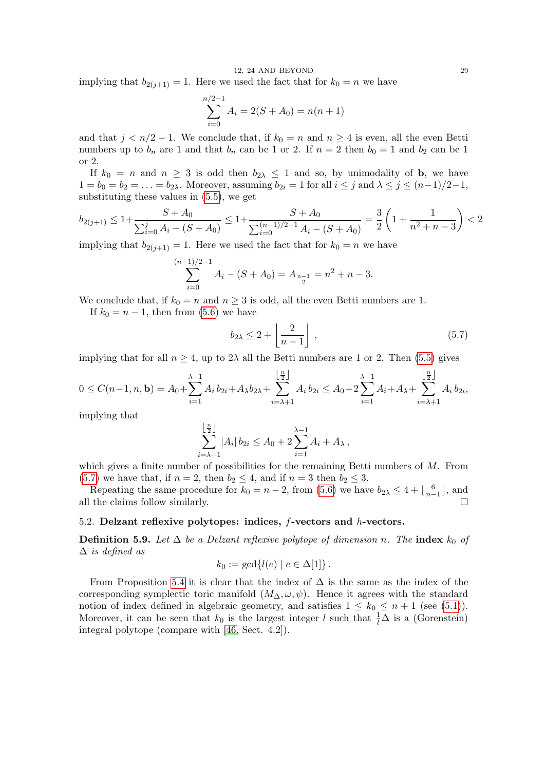implying that  $b_{2(j+1)} = 1$ . Here we used the fact that for  $k_0 = n$  we have

$$
\sum_{i=0}^{n/2-1} A_i = 2(S + A_0) = n(n+1)
$$

and that  $j < n/2 - 1$ . We conclude that, if  $k_0 = n$  and  $n \ge 4$  is even, all the even Betti numbers up to  $b_n$  are 1 and that  $b_n$  can be 1 or 2. If  $n = 2$  then  $b_0 = 1$  and  $b_2$  can be 1 or 2.

If  $k_0 = n$  and  $n \geq 3$  is odd then  $b_{2\lambda} \leq 1$  and so, by unimodality of **b**, we have  $1 = b_0 = b_2 = \ldots = b_{2\lambda}$ . Moreover, assuming  $b_{2i} = 1$  for all  $i \leq j$  and  $\lambda \leq j \leq (n-1)/2-1$ , substituting these values in [\(5.5\)](#page-27-0), we get

$$
b_{2(j+1)} \le 1 + \frac{S + A_0}{\sum_{i=0}^{j} A_i - (S + A_0)} \le 1 + \frac{S + A_0}{\sum_{i=0}^{(n-1)/2 - 1} A_i - (S + A_0)} = \frac{3}{2} \left( 1 + \frac{1}{n^2 + n - 3} \right) < 2
$$

implying that  $b_{2(i+1)} = 1$ . Here we used the fact that for  $k_0 = n$  we have

$$
\sum_{i=0}^{(n-1)/2-1} A_i - (S + A_0) = A_{\frac{n-1}{2}} = n^2 + n - 3.
$$

We conclude that, if  $k_0 = n$  and  $n \geq 3$  is odd, all the even Betti numbers are 1.

If  $k_0 = n - 1$ , then from [\(5.6\)](#page-27-1) we have

<span id="page-28-1"></span>
$$
b_{2\lambda} \le 2 + \left\lfloor \frac{2}{n-1} \right\rfloor , \tag{5.7}
$$

implying that for all  $n \geq 4$ , up to  $2\lambda$  all the Betti numbers are 1 or 2. Then [\(5.5\)](#page-27-0) gives

$$
0 \leq C(n-1,n,\mathbf{b}) = A_0 + \sum_{i=1}^{\lambda-1} A_i b_{2i} + A_{\lambda} b_{2\lambda} + \sum_{i=\lambda+1}^{\lfloor \frac{n}{2} \rfloor} A_i b_{2i} \leq A_0 + 2 \sum_{i=1}^{\lambda-1} A_i + A_{\lambda} + \sum_{i=\lambda+1}^{\lfloor \frac{n}{2} \rfloor} A_i b_{2i},
$$

implying that

$$
\sum_{i=\lambda+1}^{\lfloor \frac{n}{2} \rfloor} |A_i| b_{2i} \le A_0 + 2 \sum_{i=1}^{\lambda-1} A_i + A_\lambda,
$$

which gives a finite number of possibilities for the remaining Betti numbers of  $M$ . From [\(5.7\)](#page-28-1) we have that, if  $n = 2$ , then  $b_2 \leq 4$ , and if  $n = 3$  then  $b_2 \leq 3$ .

Repeating the same procedure for  $k_0 = n - 2$ , from [\(5.6\)](#page-27-1) we have  $b_{2\lambda} \leq 4 + \lfloor \frac{6}{n-1} \rfloor$ , and all the claims follow similarly.

## <span id="page-28-0"></span>5.2. Delzant reflexive polytopes: indices, f-vectors and h-vectors.

**Definition 5.9.** Let  $\Delta$  be a Delzant reflexive polytope of dimension n. The index  $k_0$  of  $\Delta$  is defined as

$$
k_0 := \gcd\{l(e) \mid e \in \Delta[1]\}.
$$

From Proposition [5.4](#page-24-1) it is clear that the index of  $\Delta$  is the same as the index of the corresponding symplectic toric manifold  $(M_{\Delta}, \omega, \psi)$ . Hence it agrees with the standard notion of index defined in algebraic geometry, and satisfies  $1 \leq k_0 \leq n+1$  (see [\(5.1\)](#page-24-2)). Moreover, it can be seen that  $k_0$  is the largest integer l such that  $\frac{1}{l}\Delta$  is a (Gorenstein) integral polytope (compare with [\[46,](#page-38-3) Sect. 4.2]).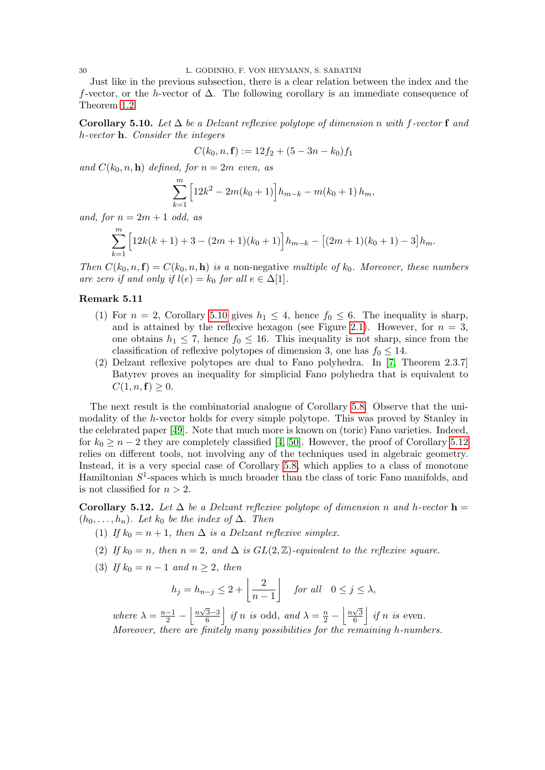Just like in the previous subsection, there is a clear relation between the index and the f-vector, or the h-vector of  $\Delta$ . The following corollary is an immediate consequence of Theorem [1.2.](#page-1-0)

<span id="page-29-0"></span>Corollary 5.10. Let  $\Delta$  be a Delzant reflexive polytope of dimension n with f-vector f and h-vector h. Consider the integers

$$
C(k_0, n, \mathbf{f}) := 12f_2 + (5 - 3n - k_0)f_1
$$

and  $C(k_0, n, \mathbf{h})$  defined, for  $n = 2m$  even, as

$$
\sum_{k=1}^{m} \left[ 12k^2 - 2m(k_0 + 1) \right] h_{m-k} - m(k_0 + 1) h_m,
$$

and, for  $n = 2m + 1$  odd, as

$$
\sum_{k=1}^{m} \left[ 12k(k+1) + 3 - (2m+1)(k_0+1) \right] h_{m-k} - \left[ (2m+1)(k_0+1) - 3 \right] h_m.
$$

Then  $C(k_0, n, f) = C(k_0, n, h)$  is a non-negative multiple of  $k_0$ . Moreover, these numbers are zero if and only if  $l(e) = k_0$  for all  $e \in \Delta[1]$ .

## Remark 5.11

- (1) For  $n = 2$ , Corollary [5.10](#page-29-0) gives  $h_1 \leq 4$ , hence  $f_0 \leq 6$ . The inequality is sharp, and is attained by the reflexive hexagon (see Figure [2.1\)](#page-10-4). However, for  $n = 3$ , one obtains  $h_1 \leq 7$ , hence  $f_0 \leq 16$ . This inequality is not sharp, since from the classification of reflexive polytopes of dimension 3, one has  $f_0 \leq 14$ .
- (2) Delzant reflexive polytopes are dual to Fano polyhedra. In [\[7,](#page-37-24) Theorem 2.3.7] Batyrev proves an inequality for simplicial Fano polyhedra that is equivalent to  $C(1, n, f) \geq 0.$

The next result is the combinatorial analogue of Corollary [5.8.](#page-26-1) Observe that the unimodality of the h-vector holds for every simple polytope. This was proved by Stanley in the celebrated paper [\[49\]](#page-38-14). Note that much more is known on (toric) Fano varieties. Indeed, for  $k_0 \geq n-2$  they are completely classified [\[4,](#page-37-25) [50\]](#page-38-15). However, the proof of Corollary [5.12](#page-29-1) relies on different tools, not involving any of the techniques used in algebraic geometry. Instead, it is a very special case of Corollary [5.8,](#page-26-1) which applies to a class of monotone Hamiltonian  $S^1$ -spaces which is much broader than the class of toric Fano manifolds, and is not classified for  $n > 2$ .

<span id="page-29-1"></span>Corollary 5.12. Let  $\Delta$  be a Delzant reflexive polytope of dimension n and h-vector  $h =$  $(h_0, \ldots, h_n)$ . Let  $k_0$  be the index of  $\Delta$ . Then

- (1) If  $k_0 = n + 1$ , then  $\Delta$  is a Delzant reflexive simplex.
- (2) If  $k_0 = n$ , then  $n = 2$ , and  $\Delta$  is  $GL(2, \mathbb{Z})$ -equivalent to the reflexive square.
- (3) If  $k_0 = n 1$  and  $n \geq 2$ , then

$$
h_j = h_{n-j} \le 2 + \left\lfloor \frac{2}{n-1} \right\rfloor \quad \text{for all} \quad 0 \le j \le \lambda,
$$

where  $\lambda = \frac{n-1}{2} - \left( \frac{n\sqrt{3}-3}{6} \right)$  $\frac{\overline{3}-3}{6}$  if n is odd, and  $\lambda = \frac{n}{2} - \left\lfloor \frac{n\sqrt{3}}{6} \right\rfloor$  $\frac{\sqrt{3}}{6}$  *if n is even.* Moreover, there are finitely many possibilities for the remaining h-numbers.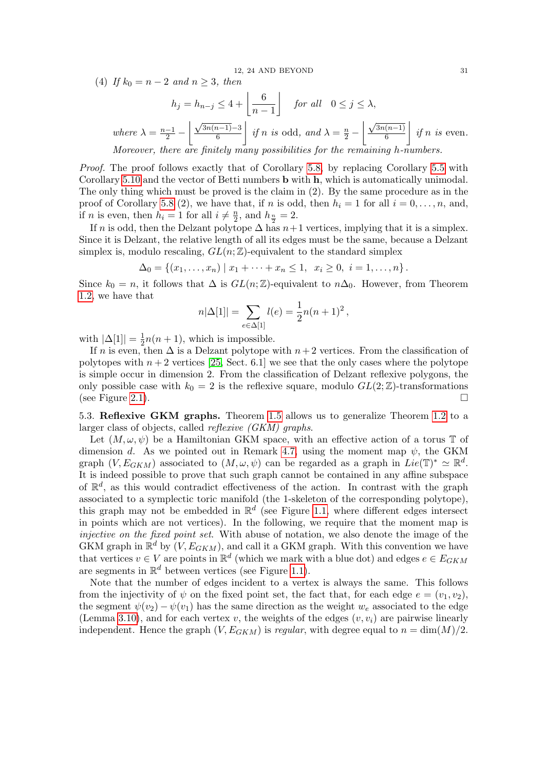(4) If  $k_0 = n - 2$  and  $n \ge 3$ , then

$$
h_j = h_{n-j} \le 4 + \left\lfloor \frac{6}{n-1} \right\rfloor \quad \text{for all} \quad 0 \le j \le \lambda,
$$
\n
$$
\text{where } \lambda = \frac{n-1}{2} - \left\lfloor \frac{\sqrt{3n(n-1)} - 3}{6} \right\rfloor \text{ if } n \text{ is odd, and } \lambda = \frac{n}{2} - \left\lfloor \frac{\sqrt{3n(n-1)}}{6} \right\rfloor \text{ if } n \text{ is even.}
$$
\n
$$
\text{Moreover, there are finitely many possibilities for the remaining } h\text{-numbers}
$$

Moreover, there are finitely many possibilities for the remaining h-numbers.

Proof. The proof follows exactly that of Corollary [5.8,](#page-26-1) by replacing Corollary [5.5](#page-24-0) with Corollary [5.10](#page-29-0) and the vector of Betti numbers b with h, which is automatically unimodal. The only thing which must be proved is the claim in (2). By the same procedure as in the proof of Corollary [5.8](#page-26-1) (2), we have that, if n is odd, then  $h_i = 1$  for all  $i = 0, \ldots, n$ , and, if *n* is even, then  $h_i = 1$  for all  $i \neq \frac{n}{2}$  $\frac{n}{2}$ , and  $h_{\frac{n}{2}}=2$ .

If n is odd, then the Delzant polytope  $\Delta$  has  $n+1$  vertices, implying that it is a simplex. Since it is Delzant, the relative length of all its edges must be the same, because a Delzant simplex is, modulo rescaling,  $GL(n;\mathbb{Z})$ -equivalent to the standard simplex

 $\Delta_0 = \{(x_1, \ldots, x_n) \mid x_1 + \cdots + x_n \leq 1, x_i \geq 0, i = 1, \ldots, n\}.$ 

Since  $k_0 = n$ , it follows that  $\Delta$  is  $GL(n;\mathbb{Z})$ -equivalent to  $n\Delta_0$ . However, from Theorem [1.2,](#page-1-0) we have that

$$
n|\Delta[1]| = \sum_{e \in \Delta[1]} l(e) = \frac{1}{2}n(n+1)^2,
$$

with  $|\Delta[1]| = \frac{1}{2}$  $\frac{1}{2}n(n+1)$ , which is impossible.

If n is even, then  $\Delta$  is a Delzant polytope with  $n+2$  vertices. From the classification of polytopes with  $n+2$  vertices [\[25,](#page-37-26) Sect. 6.1] we see that the only cases where the polytope is simple occur in dimension 2. From the classification of Delzant reflexive polygons, the only possible case with  $k_0 = 2$  is the reflexive square, modulo  $GL(2;\mathbb{Z})$ -transformations (see Figure [2.1\)](#page-10-4).

<span id="page-30-0"></span>5.3. Reflexive GKM graphs. Theorem [1.5](#page-3-0) allows us to generalize Theorem [1.2](#page-1-0) to a larger class of objects, called reflexive (GKM) graphs.

Let  $(M, \omega, \psi)$  be a Hamiltonian GKM space, with an effective action of a torus T of dimension d. As we pointed out in Remark [4.7,](#page-18-2) using the moment map  $\psi$ , the GKM graph  $(V, E_{GKM})$  associated to  $(M, \omega, \psi)$  can be regarded as a graph in  $Lie(\mathbb{T})^* \simeq \mathbb{R}^d$ . It is indeed possible to prove that such graph cannot be contained in any affine subspace of  $\mathbb{R}^d$ , as this would contradict effectiveness of the action. In contrast with the graph associated to a symplectic toric manifold (the 1-skeleton of the corresponding polytope), this graph may not be embedded in  $\mathbb{R}^d$  (see Figure [1.1,](#page-4-4) where different edges intersect in points which are not vertices). In the following, we require that the moment map is injective on the fixed point set. With abuse of notation, we also denote the image of the GKM graph in  $\mathbb{R}^d$  by  $(V, E_{GKM})$ , and call it a GKM graph. With this convention we have that vertices  $v \in V$  are points in  $\mathbb{R}^d$  (which we mark with a blue dot) and edges  $e \in E_{GKM}$ are segments in  $\mathbb{R}^d$  between vertices (see Figure [1.1\)](#page-4-4).

Note that the number of edges incident to a vertex is always the same. This follows from the injectivity of  $\psi$  on the fixed point set, the fact that, for each edge  $e = (v_1, v_2)$ , the segment  $\psi(v_2) - \psi(v_1)$  has the same direction as the weight  $w_e$  associated to the edge (Lemma [3.10\)](#page-15-1), and for each vertex v, the weights of the edges  $(v, v_i)$  are pairwise linearly independent. Hence the graph  $(V, E_{GKM})$  is *regular*, with degree equal to  $n = \dim(M)/2$ .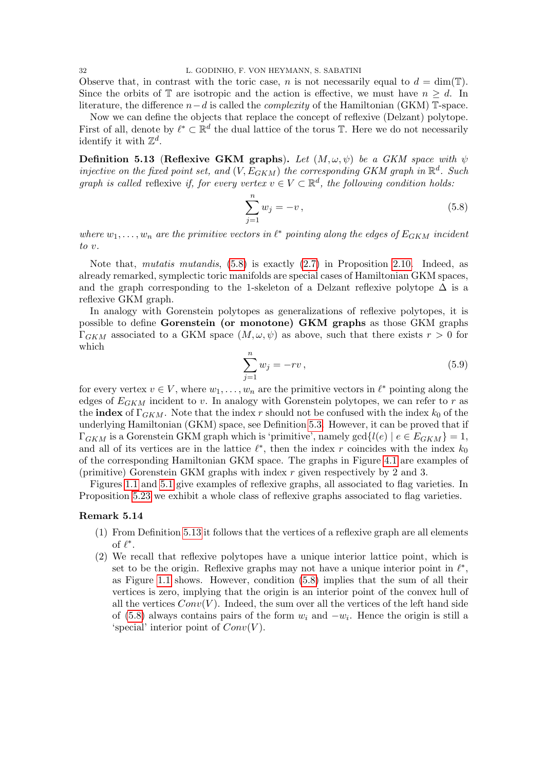Observe that, in contrast with the toric case, n is not necessarily equal to  $d = \dim(T)$ . Since the orbits of  $\mathbb T$  are isotropic and the action is effective, we must have  $n \geq d$ . In literature, the difference  $n-d$  is called the *complexity* of the Hamiltonian (GKM) T-space.

Now we can define the objects that replace the concept of reflexive (Delzant) polytope. First of all, denote by  $\ell^* \subset \mathbb{R}^d$  the dual lattice of the torus T. Here we do not necessarily identify it with  $\mathbb{Z}^d$ .

<span id="page-31-0"></span>**Definition 5.13 (Reflexive GKM graphs).** Let  $(M, \omega, \psi)$  be a GKM space with  $\psi$ injective on the fixed point set, and  $(V, E_{GKM})$  the corresponding GKM graph in  $\mathbb{R}^d$ . Such graph is called reflexive if, for every vertex  $v \in V \subset \mathbb{R}^d$ , the following condition holds.

<span id="page-31-1"></span>
$$
\sum_{j=1}^{n} w_j = -v, \tag{5.8}
$$

where  $w_1, \ldots, w_n$  are the primitive vectors in  $\ell^*$  pointing along the edges of  $E_{GKM}$  incident to v.

Note that, mutatis mutandis, [\(5.8\)](#page-31-1) is exactly [\(2.7\)](#page-8-0) in Proposition [2.10.](#page-7-2) Indeed, as already remarked, symplectic toric manifolds are special cases of Hamiltonian GKM spaces, and the graph corresponding to the 1-skeleton of a Delzant reflexive polytope  $\Delta$  is a reflexive GKM graph.

In analogy with Gorenstein polytopes as generalizations of reflexive polytopes, it is possible to define Gorenstein (or monotone) GKM graphs as those GKM graphs  $\Gamma_{GKM}$  associated to a GKM space  $(M, \omega, \psi)$  as above, such that there exists  $r > 0$  for which

<span id="page-31-2"></span>
$$
\sum_{j=1}^{n} w_j = -rv, \tag{5.9}
$$

for every vertex  $v \in V$ , where  $w_1, \ldots, w_n$  are the primitive vectors in  $\ell^*$  pointing along the edges of  $E_{GKM}$  incident to v. In analogy with Gorenstein polytopes, we can refer to r as the **index** of  $\Gamma_{GKM}$ . Note that the index r should not be confused with the index  $k_0$  of the underlying Hamiltonian (GKM) space, see Definition [5.3.](#page-24-3) However, it can be proved that if  $\Gamma_{GKM}$  is a Gorenstein GKM graph which is 'primitive', namely gcd $\{l(e) | e \in E_{GKM}\}=1$ , and all of its vertices are in the lattice  $\ell^*$ , then the index r coincides with the index  $k_0$ of the corresponding Hamiltonian GKM space. The graphs in Figure [4.1](#page-17-0) are examples of (primitive) Gorenstein GKM graphs with index r given respectively by 2 and 3.

Figures [1.1](#page-4-4) and [5.1](#page-36-3) give examples of reflexive graphs, all associated to flag varieties. In Proposition [5.23](#page-35-1) we exhibit a whole class of reflexive graphs associated to flag varieties.

## Remark 5.14

- (1) From Definition [5.13](#page-31-0) it follows that the vertices of a reflexive graph are all elements of  $\ell^*$ .
- (2) We recall that reflexive polytopes have a unique interior lattice point, which is set to be the origin. Reflexive graphs may not have a unique interior point in  $\ell^*$ , as Figure [1.1](#page-4-4) shows. However, condition [\(5.8\)](#page-31-1) implies that the sum of all their vertices is zero, implying that the origin is an interior point of the convex hull of all the vertices  $Conv(V)$ . Indeed, the sum over all the vertices of the left hand side of [\(5.8\)](#page-31-1) always contains pairs of the form  $w_i$  and  $-w_i$ . Hence the origin is still a 'special' interior point of  $Conv(V)$ .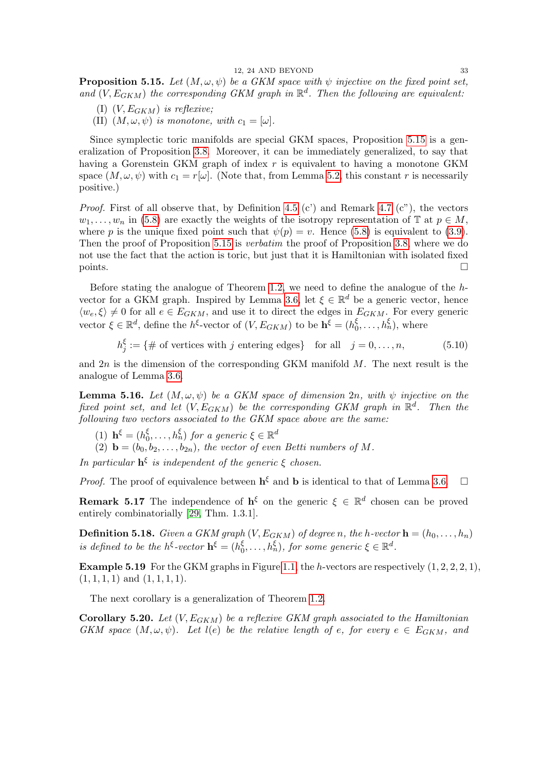<span id="page-32-1"></span>**Proposition 5.15.** Let  $(M, \omega, \psi)$  be a GKM space with  $\psi$  injective on the fixed point set, and  $(V, E_{GKM})$  the corresponding GKM graph in  $\mathbb{R}^d$ . Then the following are equivalent:

- (I)  $(V, E_{GKM})$  is reflexive;
- (II)  $(M, \omega, \psi)$  is monotone, with  $c_1 = [\omega]$ .

Since symplectic toric manifolds are special GKM spaces, Proposition [5.15](#page-32-1) is a generalization of Proposition [3.8.](#page-14-2) Moreover, it can be immediately generalized, to say that having a Gorenstein GKM graph of index r is equivalent to having a monotone GKM space  $(M, \omega, \psi)$  with  $c_1 = r[\omega]$ . (Note that, from Lemma [5.2,](#page-23-5) this constant r is necessarily positive.)

*Proof.* First of all observe that, by Definition [4.5](#page-17-1) (c') and Remark [4.7](#page-18-2) (c''), the vectors  $w_1, \ldots, w_n$  in [\(5.8\)](#page-31-1) are exactly the weights of the isotropy representation of  $\mathbb{T}$  at  $p \in M$ , where p is the unique fixed point such that  $\psi(p) = v$ . Hence [\(5.8\)](#page-31-1) is equivalent to [\(3.9\)](#page-14-3). Then the proof of Proposition [5.15](#page-32-1) is *verbatim* the proof of Proposition [3.8,](#page-14-2) where we do not use the fact that the action is toric, but just that it is Hamiltonian with isolated fixed  $\Box$  points.

Before stating the analogue of Theorem [1.2,](#page-1-0) we need to define the analogue of the  $h$ -vector for a GKM graph. Inspired by Lemma [3.6,](#page-13-1) let  $\xi \in \mathbb{R}^d$  be a generic vector, hence  $\langle w_e, \xi \rangle \neq 0$  for all  $e \in E_{GKM}$ , and use it to direct the edges in  $E_{GKM}$ . For every generic vector  $\xi \in \mathbb{R}^d$ , define the  $h^{\xi}$ -vector of  $(V, E_{GKM})$  to be  $\mathbf{h}^{\xi} = (h^{\xi}_{\mathbb{C}})$  $\zeta_0^{\xi}, \ldots, \zeta_n^{\xi}$ , where

$$
h_j^{\xi} := \{ \# \text{ of vertices with } j \text{ entering edges} \} \quad \text{for all} \quad j = 0, \dots, n,
$$
 (5.10)

and  $2n$  is the dimension of the corresponding GKM manifold  $M$ . The next result is the analogue of Lemma [3.6.](#page-13-1)

<span id="page-32-2"></span>**Lemma 5.16.** Let  $(M, \omega, \psi)$  be a GKM space of dimension 2n, with  $\psi$  injective on the fixed point set, and let  $(V, E_{GKM})$  be the corresponding GKM graph in  $\mathbb{R}^d$ . Then the following two vectors associated to the GKM space above are the same:

- (1)  $\mathbf{h}^{\xi} = (h_0^{\xi})$  $\zeta_0^{\xi}, \ldots, h_n^{\xi}$  for a generic  $\xi \in \mathbb{R}^d$
- (2)  $\mathbf{b} = (b_0, b_2, \ldots, b_{2n})$ , the vector of even Betti numbers of M.

In particular  $h^{\xi}$  is independent of the generic  $\xi$  chosen.

*Proof.* The proof of equivalence between  $\mathbf{h}^{\xi}$  and  $\mathbf{b}$  is identical to that of Lemma [3.6.](#page-13-1)  $\Box$ 

**Remark 5.17** The independence of  $h^{\xi}$  on the generic  $\xi \in \mathbb{R}^d$  chosen can be proved entirely combinatorially [\[29,](#page-37-27) Thm. 1.3.1].

**Definition 5.18.** Given a GKM graph  $(V, E_{GKM})$  of degree n, the h-vector  $\mathbf{h} = (h_0, \ldots, h_n)$ is defined to be the  $h^{\xi}$ -vector  $\mathbf{h}^{\xi} = (h_0^{\xi})$  $\zeta_0^{\xi}, \ldots, h_n^{\xi}$ , for some generic  $\xi \in \mathbb{R}^d$ .

**Example 5.19** For the GKM graphs in Figure [1.1,](#page-4-4) the h-vectors are respectively  $(1, 2, 2, 2, 1)$ ,  $(1, 1, 1, 1)$  and  $(1, 1, 1, 1)$ .

The next corollary is a generalization of Theorem [1.2.](#page-1-0)

<span id="page-32-0"></span>**Corollary 5.20.** Let  $(V, E_{GKM})$  be a reflexive GKM graph associated to the Hamiltonian GKM space  $(M, \omega, \psi)$ . Let  $l(e)$  be the relative length of e, for every  $e \in E_{GKM}$ , and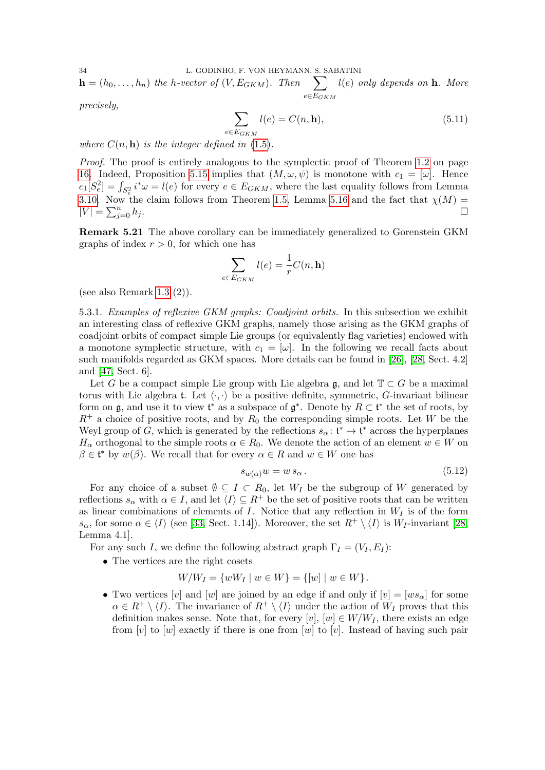34 L. GODINHO, F. VON HEYMANN, S. SABATINI  $\mathbf{h} = (h_0, \ldots, h_n)$  the h-vector of  $(V, E_{GKM})$ . Then  $\sum$  $e \in E_{GKM}$  $l(e)$  only depends on **. More** 

precisely,

$$
\sum_{E_{GKM}} l(e) = C(n, \mathbf{h}),\tag{5.11}
$$

where  $C(n, h)$  is the integer defined in [\(1.5\)](#page-2-1).

 $e$ 

Proof. The proof is entirely analogous to the symplectic proof of Theorem [1.2](#page-1-0) on page [16.](#page-15-1) Indeed, Proposition [5.15](#page-32-1) implies that  $(M, \omega, \psi)$  is monotone with  $c_1 = [\omega]$ . Hence  $c_1[S_e^2] = \int_{S_e^2} i^*\omega = l(e)$  for every  $e \in E_{GKM}$ , where the last equality follows from Lemma [3.10.](#page-15-1) Now the claim follows from Theorem [1.5,](#page-3-0) Lemma [5.16](#page-32-2) and the fact that  $\chi(M) =$  $|V| = \sum_{i=1}^{n}$  $\sum_{j=0}^n h_j$ .

<span id="page-33-2"></span>Remark 5.21 The above corollary can be immediately generalized to Gorenstein GKM graphs of index  $r > 0$ , for which one has

$$
\sum_{e \in E_{GKM}} l(e) = \frac{1}{r} C(n, \mathbf{h})
$$

(see also Remark [1.3](#page-2-2)  $(2)$ ).

<span id="page-33-0"></span>5.3.1. Examples of reflexive GKM graphs: Coadjoint orbits. In this subsection we exhibit an interesting class of reflexive GKM graphs, namely those arising as the GKM graphs of coadjoint orbits of compact simple Lie groups (or equivalently flag varieties) endowed with a monotone symplectic structure, with  $c_1 = [\omega]$ . In the following we recall facts about such manifolds regarded as GKM spaces. More details can be found in [\[26\]](#page-37-28), [\[28,](#page-37-29) Sect. 4.2] and [\[47,](#page-38-16) Sect. 6].

Let G be a compact simple Lie group with Lie algebra g, and let  $\mathbb{T} \subset G$  be a maximal torus with Lie algebra t. Let  $\langle \cdot, \cdot \rangle$  be a positive definite, symmetric, G-invariant bilinear form on  $\mathfrak{g}$ , and use it to view  $\mathfrak{t}^*$  as a subspace of  $\mathfrak{g}^*$ . Denote by  $R \subset \mathfrak{t}^*$  the set of roots, by  $R^+$  a choice of positive roots, and by  $R_0$  the corresponding simple roots. Let W be the Weyl group of G, which is generated by the reflections  $s_{\alpha} : \mathfrak{t}^* \to \mathfrak{t}^*$  across the hyperplanes  $H_{\alpha}$  orthogonal to the simple roots  $\alpha \in R_0$ . We denote the action of an element  $w \in W$  on  $\beta \in \mathfrak{t}^*$  by  $w(\beta)$ . We recall that for every  $\alpha \in R$  and  $w \in W$  one has

<span id="page-33-1"></span>
$$
s_{w(\alpha)}w = w s_{\alpha} \,. \tag{5.12}
$$

For any choice of a subset  $\emptyset \subseteq I \subset R_0$ , let  $W_I$  be the subgroup of W generated by reflections  $s_{\alpha}$  with  $\alpha \in I$ , and let  $\langle I \rangle \subseteq R^+$  be the set of positive roots that can be written as linear combinations of elements of  $I$ . Notice that any reflection in  $W_I$  is of the form  $s_{\alpha}$ , for some  $\alpha \in \langle I \rangle$  (see [\[33,](#page-38-17) Sect. 1.14]). Moreover, the set  $R^+ \setminus \langle I \rangle$  is  $W_I$ -invariant [\[28,](#page-37-29) Lemma 4.1].

For any such I, we define the following abstract graph  $\Gamma_I = (V_I, E_I)$ :

• The vertices are the right cosets

$$
W/W_I = \{wW_I \mid w \in W\} = \{[w] \mid w \in W\}.
$$

• Two vertices [v] and [w] are joined by an edge if and only if  $[v] = [ws_\alpha]$  for some  $\alpha \in R^+ \setminus \langle I \rangle$ . The invariance of  $R^+ \setminus \langle I \rangle$  under the action of  $W_I$  proves that this definition makes sense. Note that, for every [v],  $[w] \in W/W_I$ , there exists an edge from  $[v]$  to  $[w]$  exactly if there is one from  $[w]$  to  $[v]$ . Instead of having such pair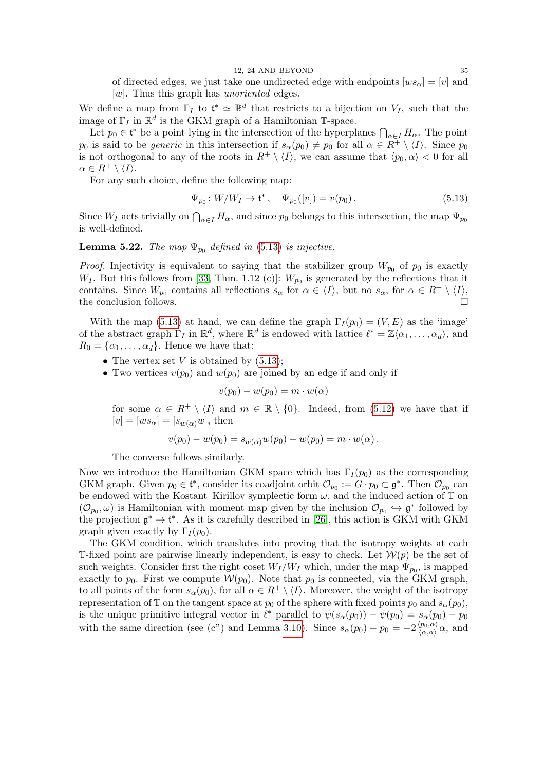of directed edges, we just take one undirected edge with endpoints  $[w s_{\alpha}] = [v]$  and  $[w]$ . Thus this graph has *unoriented* edges.

We define a map from  $\Gamma_I$  to  $\mathfrak{t}^* \simeq \mathbb{R}^d$  that restricts to a bijection on  $V_I$ , such that the image of  $\Gamma_I$  in  $\mathbb{R}^d$  is the GKM graph of a Hamiltonian T-space.

Let  $p_0 \in \mathfrak{t}^*$  be a point lying in the intersection of the hyperplanes  $\bigcap_{\alpha \in I} H_\alpha$ . The point  $p_0$  is said to be *generic* in this intersection if  $s_\alpha(p_0) \neq p_0$  for all  $\alpha \in R^+ \setminus \langle I \rangle$ . Since  $p_0$ is not orthogonal to any of the roots in  $R^+ \setminus \langle I \rangle$ , we can assume that  $\langle p_0, \alpha \rangle < 0$  for all  $\alpha \in R^+ \setminus \langle I \rangle$ .

For any such choice, define the following map:

<span id="page-34-0"></span>
$$
\Psi_{p_0}: W/W_I \to \mathfrak{t}^*, \quad \Psi_{p_0}([v]) = v(p_0). \tag{5.13}
$$

Since  $W_I$  acts trivially on  $\bigcap_{\alpha \in I} H_\alpha$ , and since  $p_0$  belongs to this intersection, the map  $\Psi_{p_0}$ is well-defined.

**Lemma 5.22.** The map  $\Psi_{p_0}$  defined in [\(5.13\)](#page-34-0) is injective.

*Proof.* Injectivity is equivalent to saying that the stabilizer group  $W_{p_0}$  of  $p_0$  is exactly  $W_I$ . But this follows from [\[33,](#page-38-17) Thm. 1.12 (c)]:  $W_{p_0}$  is generated by the reflections that it contains. Since  $W_{p_0}$  contains all reflections  $s_\alpha$  for  $\alpha \in \langle I \rangle$ , but no  $s_\alpha$ , for  $\alpha \in R^+ \setminus \langle I \rangle$ , the conclusion follows.  $\Box$ 

With the map [\(5.13\)](#page-34-0) at hand, we can define the graph  $\Gamma_I(p_0) = (V, E)$  as the 'image' of the abstract graph  $\Gamma_I$  in  $\mathbb{R}^d$ , where  $\mathbb{R}^d$  is endowed with lattice  $\ell^* = \mathbb{Z}\langle \alpha_1,\ldots,\alpha_d \rangle$ , and  $R_0 = {\alpha_1, \ldots, \alpha_d}$ . Hence we have that:

- The vertex set V is obtained by  $(5.13)$ ;
- Two vertices  $v(p_0)$  and  $w(p_0)$  are joined by an edge if and only if

$$
v(p_0) - w(p_0) = m \cdot w(\alpha)
$$

for some  $\alpha \in R^+ \setminus \langle I \rangle$  and  $m \in \mathbb{R} \setminus \{0\}$ . Indeed, from [\(5.12\)](#page-33-1) we have that if  $[v] = [ws_\alpha] = [s_{w(\alpha)}w]$ , then

$$
v(p_0) - w(p_0) = s_{w(\alpha)}w(p_0) - w(p_0) = m \cdot w(\alpha).
$$

The converse follows similarly.

Now we introduce the Hamiltonian GKM space which has  $\Gamma_I(p_0)$  as the corresponding GKM graph. Given  $p_0 \in \mathfrak{t}^*$ , consider its coadjoint orbit  $\mathcal{O}_{p_0} := G \cdot p_0 \subset \mathfrak{g}^*$ . Then  $\mathcal{O}_{p_0}$  can be endowed with the Kostant–Kirillov symplectic form  $\omega,$  and the induced action of  $\mathbb T$  on  $(\mathcal{O}_{p_0}, \omega)$  is Hamiltonian with moment map given by the inclusion  $\mathcal{O}_{p_0} \hookrightarrow \mathfrak{g}^*$  followed by the projection  $\mathfrak{g}^* \to \mathfrak{t}^*$ . As it is carefully described in [\[26\]](#page-37-28), this action is GKM with GKM graph given exactly by  $\Gamma_I(p_0)$ .

The GKM condition, which translates into proving that the isotropy weights at each T-fixed point are pairwise linearly independent, is easy to check. Let  $W(p)$  be the set of such weights. Consider first the right coset  $W_I/W_I$  which, under the map  $\Psi_{p_0}$ , is mapped exactly to  $p_0$ . First we compute  $W(p_0)$ . Note that  $p_0$  is connected, via the GKM graph, to all points of the form  $s_{\alpha}(p_0)$ , for all  $\alpha \in R^+ \setminus \langle I \rangle$ . Moreover, the weight of the isotropy representation of T on the tangent space at  $p_0$  of the sphere with fixed points  $p_0$  and  $s_\alpha(p_0)$ , is the unique primitive integral vector in  $\ell^*$  parallel to  $\psi(s_\alpha(p_0)) - \psi(p_0) = s_\alpha(p_0) - p_0$ with the same direction (see (c") and Lemma [3.10\)](#page-15-1). Since  $s_{\alpha}(p_0) - p_0 = -2\frac{\langle p_0, \alpha \rangle}{\langle \alpha, \alpha \rangle}$  $\frac{\langle p_0, \alpha \rangle}{\langle \alpha, \alpha \rangle} \alpha$ , and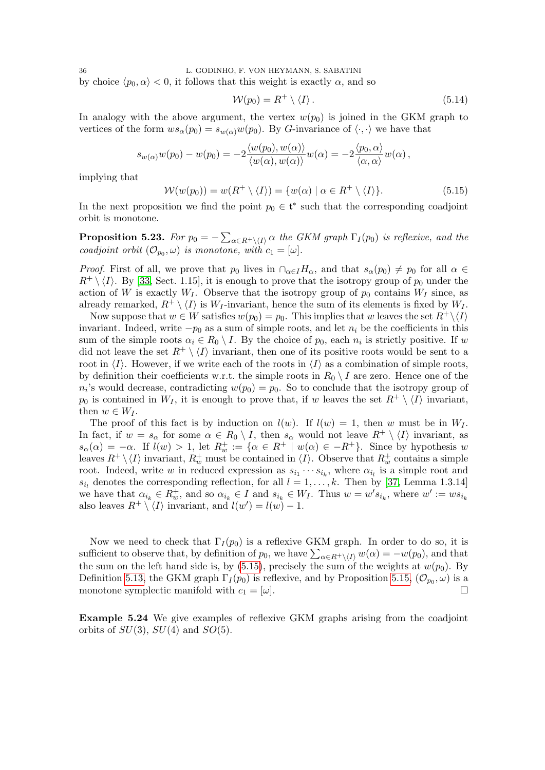by choice  $\langle p_0, \alpha \rangle < 0$ , it follows that this weight is exactly  $\alpha$ , and so

$$
\mathcal{W}(p_0) = R^+ \setminus \langle I \rangle \,. \tag{5.14}
$$

In analogy with the above argument, the vertex  $w(p_0)$  is joined in the GKM graph to vertices of the form  $ws_\alpha(p_0) = s_{w(\alpha)}w(p_0)$ . By G-invariance of  $\langle \cdot, \cdot \rangle$  we have that

$$
s_{w(\alpha)}w(p_0)-w(p_0)=-2\frac{\langle w(p_0),w(\alpha)\rangle}{\langle w(\alpha),w(\alpha)\rangle}w(\alpha)=-2\frac{\langle p_0,\alpha\rangle}{\langle\alpha,\alpha\rangle}w(\alpha)\,,
$$

implying that

<span id="page-35-2"></span>
$$
\mathcal{W}(w(p_0)) = w(R^+ \setminus \langle I \rangle) = \{w(\alpha) \mid \alpha \in R^+ \setminus \langle I \rangle\}.
$$
\n(5.15)

In the next proposition we find the point  $p_0 \in \mathfrak{t}^*$  such that the corresponding coadjoint orbit is monotone.

<span id="page-35-1"></span>**Proposition 5.23.** For  $p_0 = -\sum_{\alpha \in R^+ \setminus \{I\}} \alpha$  the GKM graph  $\Gamma_I(p_0)$  is reflexive, and the coadjoint orbit  $(\mathcal{O}_{p_0}, \omega)$  is monotone, with  $c_1 = [\omega]$ .

*Proof.* First of all, we prove that  $p_0$  lives in  $\bigcap_{\alpha \in I} H_\alpha$ , and that  $s_\alpha(p_0) \neq p_0$  for all  $\alpha \in I$  $R^+ \setminus \langle I \rangle$ . By [\[33,](#page-38-17) Sect. 1.15], it is enough to prove that the isotropy group of  $p_0$  under the action of W is exactly  $W_I$ . Observe that the isotropy group of  $p_0$  contains  $W_I$  since, as already remarked,  $R^+ \setminus \langle I \rangle$  is W<sub>I</sub>-invariant, hence the sum of its elements is fixed by W<sub>I</sub>.

Now suppose that  $w \in W$  satisfies  $w(p_0) = p_0$ . This implies that w leaves the set  $R^+ \setminus \langle I \rangle$ invariant. Indeed, write  $-p_0$  as a sum of simple roots, and let  $n_i$  be the coefficients in this sum of the simple roots  $\alpha_i \in R_0 \setminus I$ . By the choice of  $p_0$ , each  $n_i$  is strictly positive. If w did not leave the set  $R^+ \setminus \langle I \rangle$  invariant, then one of its positive roots would be sent to a root in  $\langle I \rangle$ . However, if we write each of the roots in  $\langle I \rangle$  as a combination of simple roots, by definition their coefficients w.r.t. the simple roots in  $R_0 \setminus I$  are zero. Hence one of the  $n_i$ 's would decrease, contradicting  $w(p_0) = p_0$ . So to conclude that the isotropy group of  $p_0$  is contained in  $W_I$ , it is enough to prove that, if w leaves the set  $R^+ \setminus \langle I \rangle$  invariant, then  $w \in W_I$ .

The proof of this fact is by induction on  $l(w)$ . If  $l(w) = 1$ , then w must be in  $W_I$ . In fact, if  $w = s_\alpha$  for some  $\alpha \in R_0 \setminus I$ , then  $s_\alpha$  would not leave  $R^+ \setminus \langle I \rangle$  invariant, as  $s_{\alpha}(\alpha) = -\alpha$ . If  $l(w) > 1$ , let  $R_w^+ := {\alpha \in R^+ \mid w(\alpha) \in -R^+}$ . Since by hypothesis w leaves  $R^+ \setminus \langle I \rangle$  invariant,  $R_w^+$  must be contained in  $\langle I \rangle$ . Observe that  $R_w^+$  contains a simple root. Indeed, write w in reduced expression as  $s_{i_1} \cdots s_{i_k}$ , where  $\alpha_{i_l}$  is a simple root and  $s_{i_l}$  denotes the corresponding reflection, for all  $l = 1, \ldots, k$ . Then by [\[37,](#page-38-18) Lemma 1.3.14] we have that  $\alpha_{i_k} \in R_w^+$ , and so  $\alpha_{i_k} \in I$  and  $s_{i_k} \in W_I$ . Thus  $w = w's_{i_k}$ , where  $w' := ws_{i_k}$ also leaves  $R^+ \setminus \langle I \rangle$  invariant, and  $l(w') = l(w) - 1$ .

Now we need to check that  $\Gamma_I(p_0)$  is a reflexive GKM graph. In order to do so, it is sufficient to observe that, by definition of  $p_0$ , we have  $\sum_{\alpha \in R^+ \setminus \{I\}} w(\alpha) = -w(p_0)$ , and that the sum on the left hand side is, by  $(5.15)$ , precisely the sum of the weights at  $w(p_0)$ . By Definition [5.13,](#page-31-0) the GKM graph  $\Gamma_I(p_0)$  is reflexive, and by Proposition [5.15,](#page-32-1)  $(\mathcal{O}_{p_0}, \omega)$  is a monotone symplectic manifold with  $c_1 = [\omega]$ .

<span id="page-35-0"></span>Example 5.24 We give examples of reflexive GKM graphs arising from the coadjoint orbits of  $SU(3)$ ,  $SU(4)$  and  $SO(5)$ .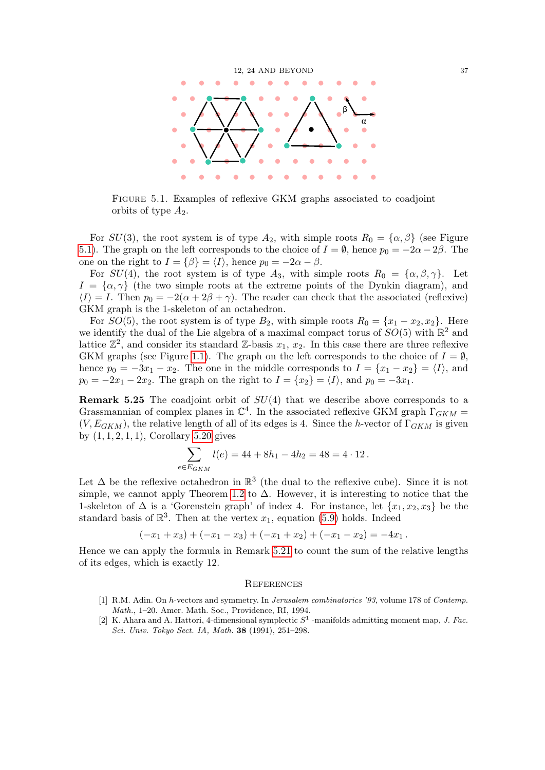

<span id="page-36-3"></span>Figure 5.1. Examples of reflexive GKM graphs associated to coadjoint orbits of type  $A_2$ .

For  $SU(3)$ , the root system is of type  $A_2$ , with simple roots  $R_0 = {\alpha, \beta}$  (see Figure [5.1\)](#page-36-3). The graph on the left corresponds to the choice of  $I = \emptyset$ , hence  $p_0 = -2\alpha - 2\beta$ . The one on the right to  $I = \{\beta\} = \langle I \rangle$ , hence  $p_0 = -2\alpha - \beta$ .

For  $SU(4)$ , the root system is of type  $A_3$ , with simple roots  $R_0 = {\alpha, \beta, \gamma}$ . Let  $I = {\alpha, \gamma}$  (the two simple roots at the extreme points of the Dynkin diagram), and  $\langle I \rangle = I$ . Then  $p_0 = -2(\alpha + 2\beta + \gamma)$ . The reader can check that the associated (reflexive) GKM graph is the 1-skeleton of an octahedron.

For  $SO(5)$ , the root system is of type  $B_2$ , with simple roots  $R_0 = \{x_1 - x_2, x_2\}$ . Here we identify the dual of the Lie algebra of a maximal compact torus of  $SO(5)$  with  $\mathbb{R}^2$  and lattice  $\mathbb{Z}^2$ , and consider its standard  $\mathbb{Z}$ -basis  $x_1, x_2$ . In this case there are three reflexive GKM graphs (see Figure [1.1\)](#page-4-4). The graph on the left corresponds to the choice of  $I = \emptyset$ , hence  $p_0 = -3x_1 - x_2$ . The one in the middle corresponds to  $I = \{x_1 - x_2\} = \langle I \rangle$ , and  $p_0 = -2x_1 - 2x_2$ . The graph on the right to  $I = \{x_2\} = \langle I \rangle$ , and  $p_0 = -3x_1$ .

**Remark 5.25** The coadjoint orbit of  $SU(4)$  that we describe above corresponds to a Grassmannian of complex planes in  $\mathbb{C}^4$ . In the associated reflexive GKM graph  $\Gamma_{GKM}$  =  $(V, E_{GKM})$ , the relative length of all of its edges is 4. Since the h-vector of  $\Gamma_{GKM}$  is given by  $(1, 1, 2, 1, 1)$ , Corollary [5.20](#page-32-0) gives

$$
\sum_{e \in E_{GKM}} l(e) = 44 + 8h_1 - 4h_2 = 48 = 4 \cdot 12.
$$

Let  $\Delta$  be the reflexive octahedron in  $\mathbb{R}^3$  (the dual to the reflexive cube). Since it is not simple, we cannot apply Theorem [1.2](#page-1-0) to  $\Delta$ . However, it is interesting to notice that the 1-skeleton of  $\Delta$  is a 'Gorenstein graph' of index 4. For instance, let  $\{x_1, x_2, x_3\}$  be the standard basis of  $\mathbb{R}^3$ . Then at the vertex  $x_1$ , equation [\(5.9\)](#page-31-2) holds. Indeed

$$
(-x_1+x_3)+(-x_1-x_3)+(-x_1+x_2)+(-x_1-x_2)=-4x_1.
$$

Hence we can apply the formula in Remark [5.21](#page-33-2) to count the sum of the relative lengths of its edges, which is exactly 12.

### <span id="page-36-0"></span>**REFERENCES**

- <span id="page-36-1"></span>[1] R.M. Adin. On h-vectors and symmetry. In Jerusalem combinatorics '93, volume 178 of Contemp. Math., 1–20. Amer. Math. Soc., Providence, RI, 1994.
- <span id="page-36-2"></span>[2] K. Ahara and A. Hattori, 4-dimensional symplectic  $S<sup>1</sup>$ -manifolds admitting moment map, J. Fac. Sci. Univ. Tokyo Sect. IA, Math. 38 (1991), 251–298.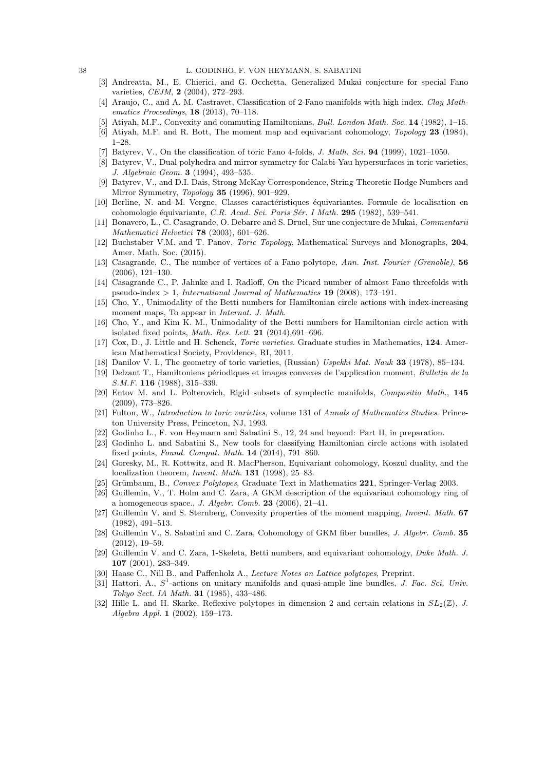- <span id="page-37-19"></span>[3] Andreatta, M., E. Chierici, and G. Occhetta, Generalized Mukai conjecture for special Fano varieties, *CEJM*, **2** (2004), 272-293.
- <span id="page-37-25"></span>[4] Araujo, C., and A. M. Castravet, Classification of 2-Fano manifolds with high index, Clay Mathematics Proceedings, 18 (2013), 70–118.
- <span id="page-37-11"></span>[5] Atiyah, M.F., Convexity and commuting Hamiltonians, Bull. London Math. Soc. 14 (1982), 1–15.
- <span id="page-37-14"></span>[6] Atiyah, M.F. and R. Bott, The moment map and equivariant cohomology, Topology 23 (1984), 1–28.
- <span id="page-37-24"></span>[7] Batyrev, V., On the classification of toric Fano 4-folds, *J. Math. Sci.* **94** (1999), 1021–1050.
- <span id="page-37-0"></span>[8] Batyrev, V., Dual polyhedra and mirror symmetry for Calabi-Yau hypersurfaces in toric varieties, J. Algebraic Geom. 3 (1994), 493–535.
- <span id="page-37-2"></span>[9] Batyrev, V., and D.I. Dais, Strong McKay Correspondence, String-Theoretic Hodge Numbers and Mirror Symmetry, Topology 35 (1996), 901–929.
- <span id="page-37-15"></span>[10] Berline, N. and M. Vergne, Classes caractéristiques équivariantes. Formule de localisation en cohomologie équivariante, C.R. Acad. Sci. Paris Sér. I Math. 295 (1982), 539–541.
- <span id="page-37-18"></span>[11] Bonavero, L., C. Casagrande, O. Debarre and S. Druel, Sur une conjecture de Mukai, Commentarii Mathematici Helvetici 78 (2003), 601–626.
- <span id="page-37-13"></span>[12] Buchstaber V.M. and T. Panov, Toric Topology, Mathematical Surveys and Monographs, 204, Amer. Math. Soc. (2015).
- <span id="page-37-20"></span>[13] Casagrande, C., The number of vertices of a Fano polytope, Ann. Inst. Fourier (Grenoble), 56 (2006), 121–130.
- <span id="page-37-21"></span>[14] Casagrande C., P. Jahnke and I. Radloff, On the Picard number of almost Fano threefolds with pseudo-index  $> 1$ , International Journal of Mathematics **19** (2008), 173–191.
- <span id="page-37-22"></span>[15] Cho, Y., Unimodality of the Betti numbers for Hamiltonian circle actions with index-increasing moment maps, To appear in *Internat. J. Math.*
- <span id="page-37-23"></span>[16] Cho, Y., and Kim K. M., Unimodality of the Betti numbers for Hamiltonian circle action with isolated fixed points, *Math. Res. Lett.* **21** (2014),691–696.
- <span id="page-37-8"></span>[17] Cox, D., J. Little and H. Schenck, Toric varieties. Graduate studies in Mathematics, 124. American Mathematical Society, Providence, RI, 2011.
- <span id="page-37-17"></span>[18] Danilov V. I., The geometry of toric varieties, (Russian) Uspekhi Mat. Nauk 33 (1978), 85-134.
- <span id="page-37-6"></span>[19] Delzant T., Hamiltoniens périodiques et images convexes de l'application moment, Bulletin de la S.M.F. **116** (1988), 315–339.
- <span id="page-37-10"></span>[20] Entov M. and L. Polterovich, Rigid subsets of symplectic manifolds, Compositio Math., 145 (2009), 773–826.
- <span id="page-37-9"></span>[21] Fulton, W., Introduction to toric varieties, volume 131 of Annals of Mathematics Studies. Princeton University Press, Princeton, NJ, 1993.
- <span id="page-37-5"></span>[22] Godinho L., F. von Heymann and Sabatini S., 12, 24 and beyond: Part II, in preparation.
- <span id="page-37-4"></span>[23] Godinho L. and Sabatini S., New tools for classifying Hamiltonian circle actions with isolated fixed points, Found. Comput. Math. 14 (2014), 791–860.
- <span id="page-37-7"></span>[24] Goresky, M., R. Kottwitz, and R. MacPherson, Equivariant cohomology, Koszul duality, and the localization theorem, Invent. Math. 131 (1998), 25–83.
- <span id="page-37-26"></span>[25] Grümbaum, B., Convex Polytopes, Graduate Text in Mathematics 221, Springer-Verlag 2003.
- <span id="page-37-28"></span>[26] Guillemin, V., T. Holm and C. Zara, A GKM description of the equivariant cohomology ring of a homogeneous space., *J. Algebr. Comb.* **23** (2006),  $21-41$ .
- <span id="page-37-12"></span>[27] Guillemin V. and S. Sternberg, Convexity properties of the moment mapping, Invent. Math. 67 (1982), 491–513.
- <span id="page-37-29"></span>[28] Guillemin V., S. Sabatini and C. Zara, Cohomology of GKM fiber bundles, J. Algebr. Comb. 35 (2012), 19–59.
- <span id="page-37-27"></span>[29] Guillemin V. and C. Zara, 1-Skeleta, Betti numbers, and equivariant cohomology, Duke Math. J. 107 (2001), 283–349.
- <span id="page-37-3"></span>[30] Haase C., Nill B., and Paffenholz A., Lecture Notes on Lattice polytopes, Preprint.
- <span id="page-37-16"></span>[31] Hattori, A.,  $S^1$ -actions on unitary manifolds and quasi-ample line bundles, J. Fac. Sci. Univ. Tokyo Sect. IA Math. 31 (1985), 433–486.
- <span id="page-37-1"></span>[32] Hille L. and H. Skarke, Reflexive polytopes in dimension 2 and certain relations in  $SL_2(\mathbb{Z})$ , J. Algebra Appl. 1 (2002), 159–173.